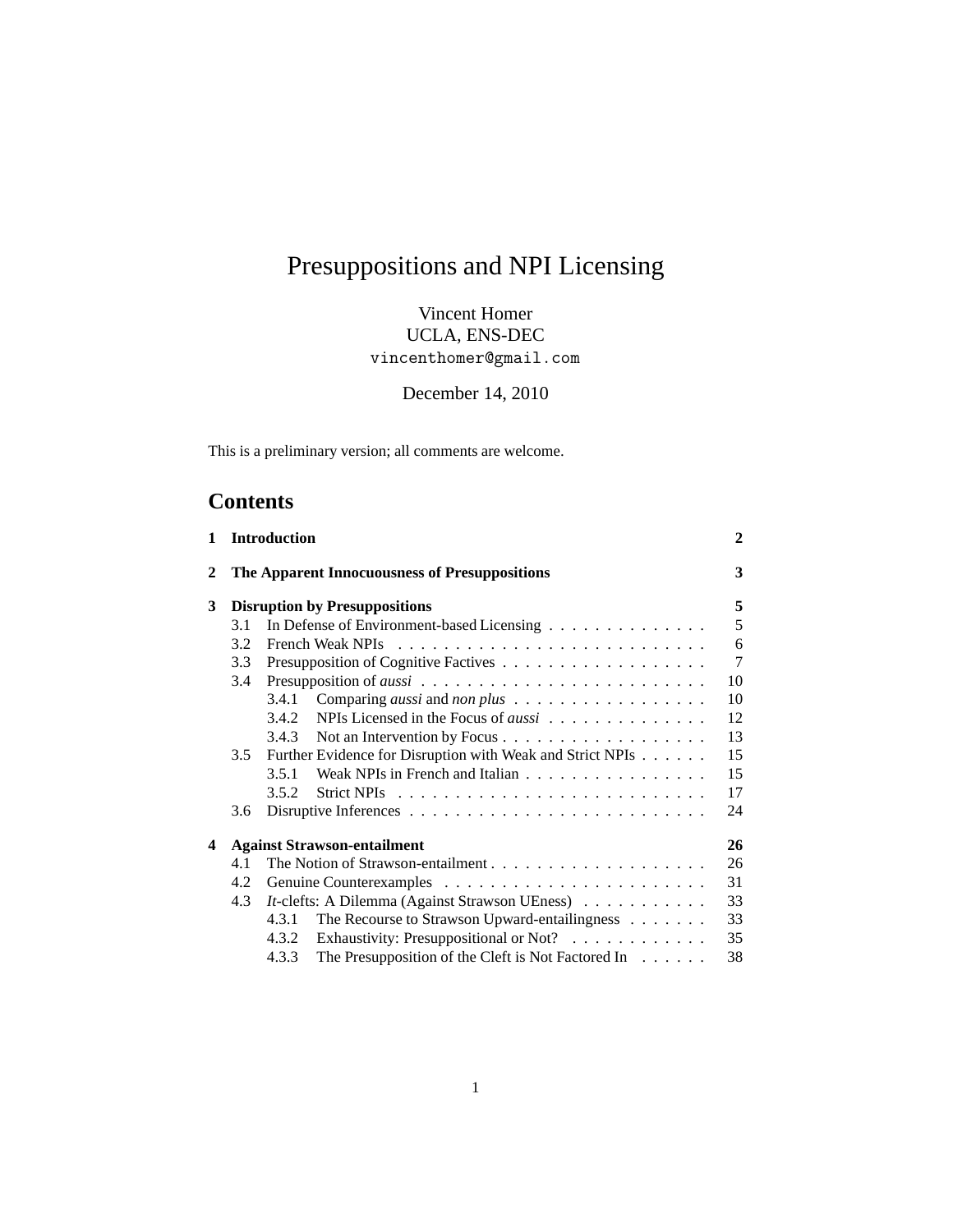# Presuppositions and NPI Licensing

Vincent Homer UCLA, ENS-DEC vincenthomer@gmail.com

December 14, 2010

This is a preliminary version; all comments are welcome.

# **Contents**

| $\mathbf 1$ |     | <b>Introduction</b>                                                   | $\mathbf{2}$   |
|-------------|-----|-----------------------------------------------------------------------|----------------|
| 2           |     | The Apparent Innocuousness of Presuppositions                         | 3              |
| 3           |     | <b>Disruption by Presuppositions</b>                                  | 5              |
|             | 3.1 | In Defense of Environment-based Licensing                             | 5              |
|             | 3.2 |                                                                       | 6              |
|             | 3.3 |                                                                       | $\overline{7}$ |
|             | 3.4 |                                                                       | 10             |
|             |     | 3.4.1                                                                 | 10             |
|             |     | NPIs Licensed in the Focus of <i>aussi</i><br>3.4.2                   | 12             |
|             |     | 3.4.3                                                                 | 13             |
|             | 3.5 | Further Evidence for Disruption with Weak and Strict NPIs             | 15             |
|             |     | Weak NPIs in French and Italian<br>3.5.1                              | 15             |
|             |     | 3.5.2                                                                 | 17             |
|             | 3.6 |                                                                       | 24             |
| 4           |     | <b>Against Strawson-entailment</b>                                    | 26             |
|             | 4.1 |                                                                       | 26             |
|             | 4.2 |                                                                       | 31             |
|             | 4.3 | <i>It</i> -clefts: A Dilemma (Against Strawson UEness)                | 33             |
|             |     | The Recourse to Strawson Upward-entailingness<br>4.3.1                | 33             |
|             |     | Exhaustivity: Presuppositional or Not?<br>4.3.2                       | 35             |
|             |     | The Presupposition of the Cleft is Not Factored In $\dots$ .<br>4.3.3 | 38             |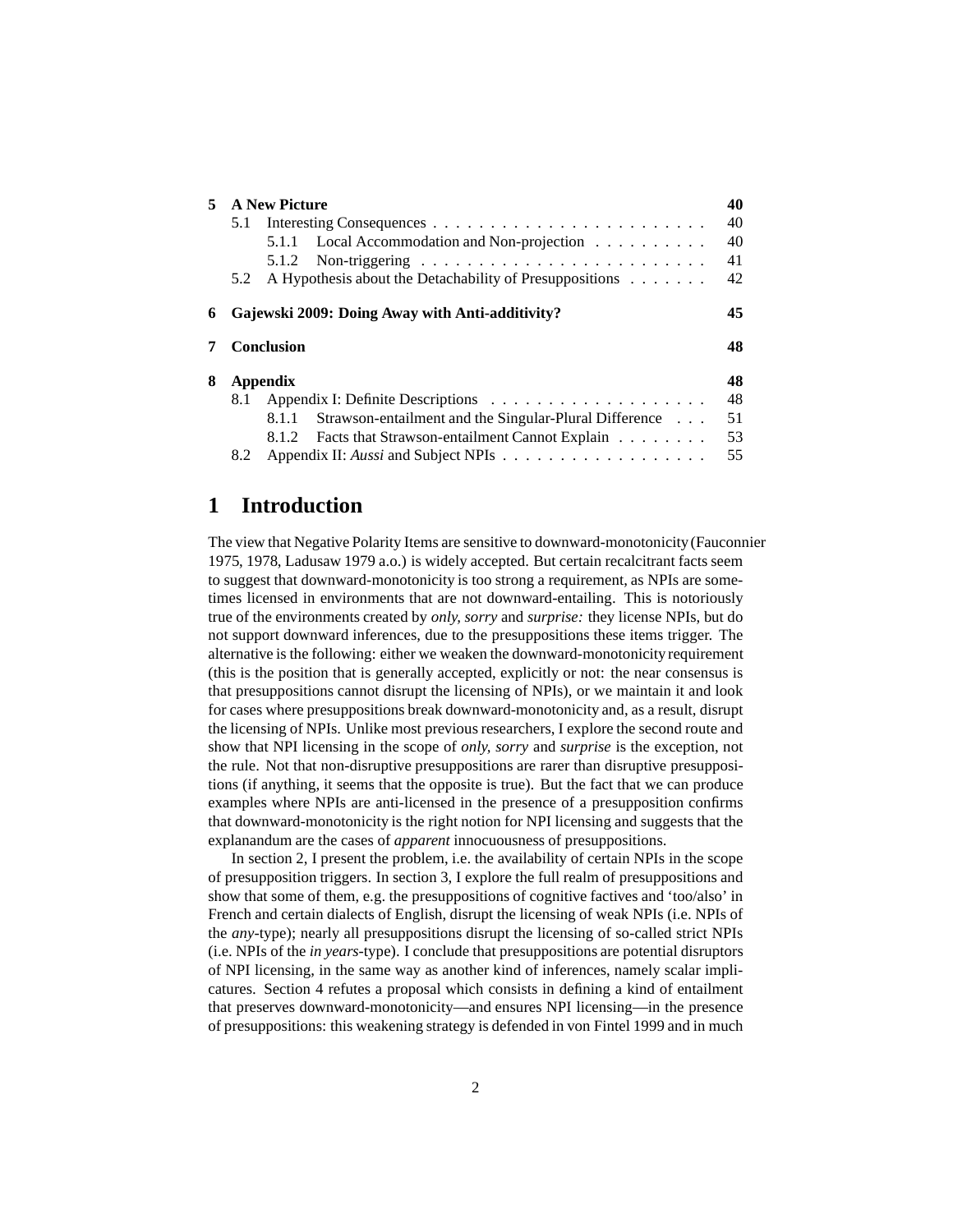| 5 |                   | <b>A New Picture</b>                                            | 40 |
|---|-------------------|-----------------------------------------------------------------|----|
|   | 5.1               |                                                                 | 40 |
|   |                   | Local Accommodation and Non-projection<br>5.1.1                 | 40 |
|   |                   | 5.1.2                                                           | 41 |
|   | 5.2               | A Hypothesis about the Detachability of Presuppositions         | 42 |
| 6 |                   | Gajewski 2009: Doing Away with Anti-additivity?                 | 45 |
|   |                   |                                                                 |    |
|   | <b>Conclusion</b> |                                                                 | 48 |
| 8 | Appendix          |                                                                 | 48 |
|   | 8.1               |                                                                 | 48 |
|   |                   | Strawson-entailment and the Singular-Plural Difference<br>8.1.1 | 51 |
|   |                   | Facts that Strawson-entailment Cannot Explain<br>8.1.2          | 53 |

# <span id="page-1-0"></span>**1 Introduction**

The view that Negative Polarity Items are sensitive to downward-monotonicity [\(Fauconnier](#page-58-0) [1975,](#page-58-0) [1978,](#page-58-1) [Ladusaw 1979](#page-59-0) a.o.) is widely accepted. But certain recalcitrant facts seem to suggest that downward-monotonicity is too strong a requirement, as NPIs are sometimes licensed in environments that are not downward-entailing. This is notoriously true of the environments created by *only, sorry* and *surprise:* they license NPIs, but do not support downward inferences, due to the presuppositions these items trigger. The alternative is the following: either we weaken the downward-monotonicity requirement (this is the position that is generally accepted, explicitly or not: the near consensus is that presuppositions cannot disrupt the licensing of NPIs), or we maintain it and look for cases where presuppositions break downward-monotonicity and, as a result, disrupt the licensing of NPIs. Unlike most previous researchers, I explore the second route and show that NPI licensing in the scope of *only, sorry* and *surprise* is the exception, not the rule. Not that non-disruptive presuppositions are rarer than disruptive presuppositions (if anything, it seems that the opposite is true). But the fact that we can produce examples where NPIs are anti-licensed in the presence of a presupposition confirms that downward-monotonicity is the right notion for NPI licensing and suggests that the explanandum are the cases of *apparent* innocuousness of presuppositions.

In section [2,](#page-2-0) I present the problem, i.e. the availability of certain NPIs in the scope of presupposition triggers. In section [3,](#page-4-0) I explore the full realm of presuppositions and show that some of them, e.g. the presuppositions of cognitive factives and 'too/also' in French and certain dialects of English, disrupt the licensing of weak NPIs (i.e. NPIs of the *any*-type); nearly all presuppositions disrupt the licensing of so-called strict NPIs (i.e. NPIs of the *in years*-type). I conclude that presuppositions are potential disruptors of NPI licensing, in the same way as another kind of inferences, namely scalar implicatures. Section [4](#page-25-0) refutes a proposal which consists in defining a kind of entailment that preserves downward-monotonicity—and ensures NPI licensing—in the presence of presuppositions: this weakening strategy is defended in [von Fintel 1999](#page-58-2) and in much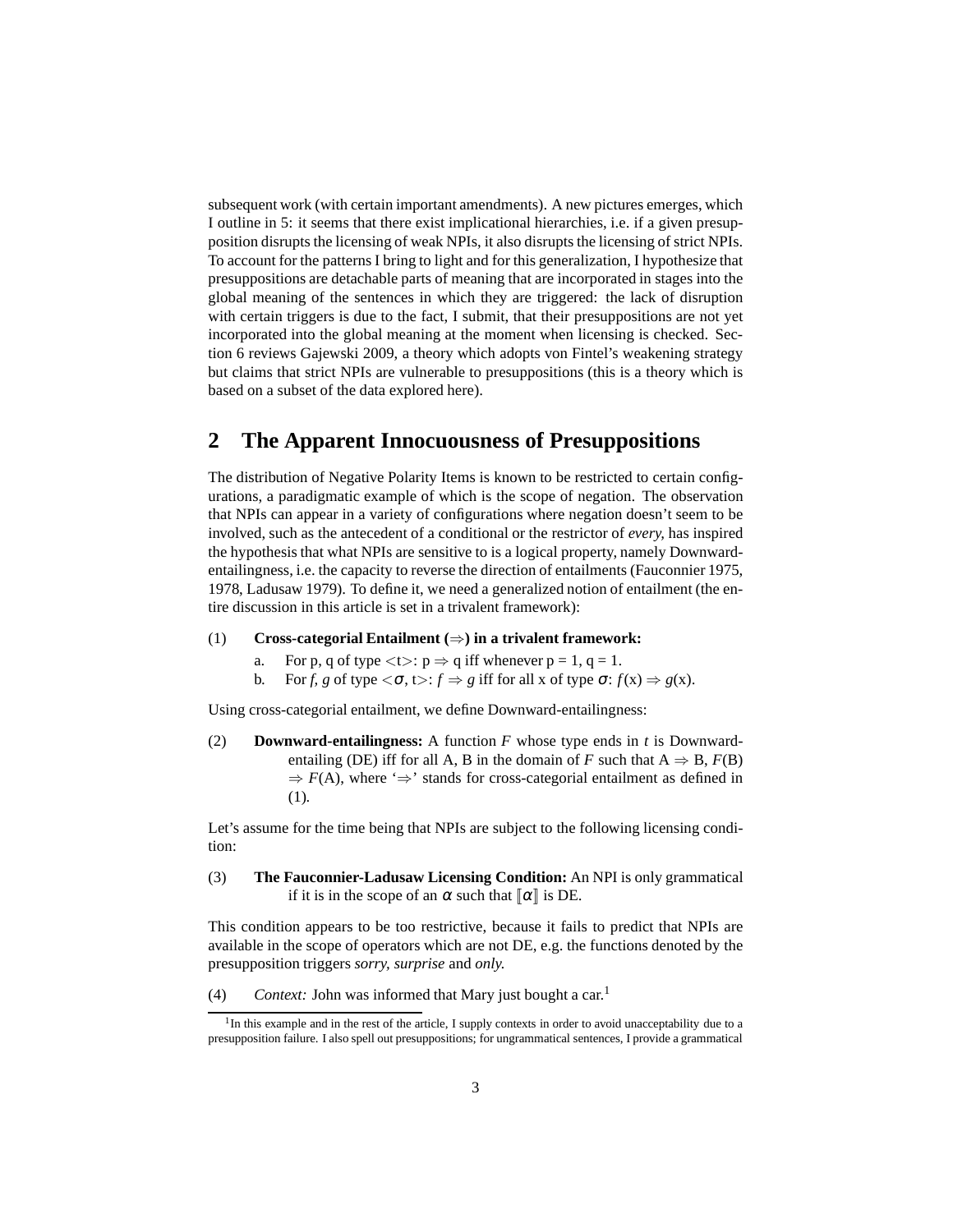subsequent work (with certain important amendments). A new pictures emerges, which I outline in [5:](#page-39-0) it seems that there exist implicational hierarchies, i.e. if a given presupposition disrupts the licensing of weak NPIs, it also disrupts the licensing of strict NPIs. To account for the patterns I bring to light and for this generalization, I hypothesize that presuppositions are detachable parts of meaning that are incorporated in stages into the global meaning of the sentences in which they are triggered: the lack of disruption with certain triggers is due to the fact, I submit, that their presuppositions are not yet incorporated into the global meaning at the moment when licensing is checked. Section [6](#page-44-0) reviews [Gajewski 2009](#page-58-3), a theory which adopts von Fintel's weakening strategy but claims that strict NPIs are vulnerable to presuppositions (this is a theory which is based on a subset of the data explored here).

# <span id="page-2-0"></span>**2 The Apparent Innocuousness of Presuppositions**

The distribution of Negative Polarity Items is known to be restricted to certain configurations, a paradigmatic example of which is the scope of negation. The observation that NPIs can appear in a variety of configurations where negation doesn't seem to be involved, such as the antecedent of a conditional or the restrictor of *every,* has inspired the hypothesis that what NPIs are sensitive to is a logical property, namely Downwardentailingness, i.e. the capacity to reverse the direction of entailments [\(Fauconnier 1975,](#page-58-0) [1978,](#page-58-1) [Ladusaw 1979\)](#page-59-0). To define it, we need a generalized notion of entailment (the entire discussion in this article is set in a trivalent framework):

- <span id="page-2-1"></span>(1) **Cross-categorial Entailment (**⇒**) in a trivalent framework:**
	- a. For p, q of type  $\langle t \rangle$ :  $p \Rightarrow q$  iff whenever  $p = 1$ ,  $q = 1$ .
	- b. For *f*, *g* of type  $\langle \sigma, t \rangle : f \Rightarrow g$  iff for all x of type  $\sigma : f(x) \Rightarrow g(x)$ .

<span id="page-2-4"></span>Using cross-categorial entailment, we define Downward-entailingness:

(2) **Downward-entailingness:** A function *F* whose type ends in *t* is Downwardentailing (DE) iff for all A, B in the domain of *F* such that  $A \Rightarrow B$ ,  $F(B)$  $\Rightarrow$  *F*(A), where ' $\Rightarrow$ ' stands for cross-categorial entailment as defined in [\(1\).](#page-2-1)

<span id="page-2-3"></span>Let's assume for the time being that NPIs are subject to the following licensing condition:

(3) **The Fauconnier-Ladusaw Licensing Condition:** An NPI is only grammatical if it is in the scope of an  $\alpha$  such that  $\alpha$  is DE.

This condition appears to be too restrictive, because it fails to predict that NPIs are available in the scope of operators which are not DE, e.g. the functions denoted by the presupposition triggers *sorry, surprise* and *only.*

(4) *Context:* John was informed that Mary just bought a car.[1](#page-2-2)

<span id="page-2-2"></span><sup>&</sup>lt;sup>1</sup>In this example and in the rest of the article, I supply contexts in order to avoid unacceptability due to a presupposition failure. I also spell out presuppositions; for ungrammatical sentences, I provide a grammatical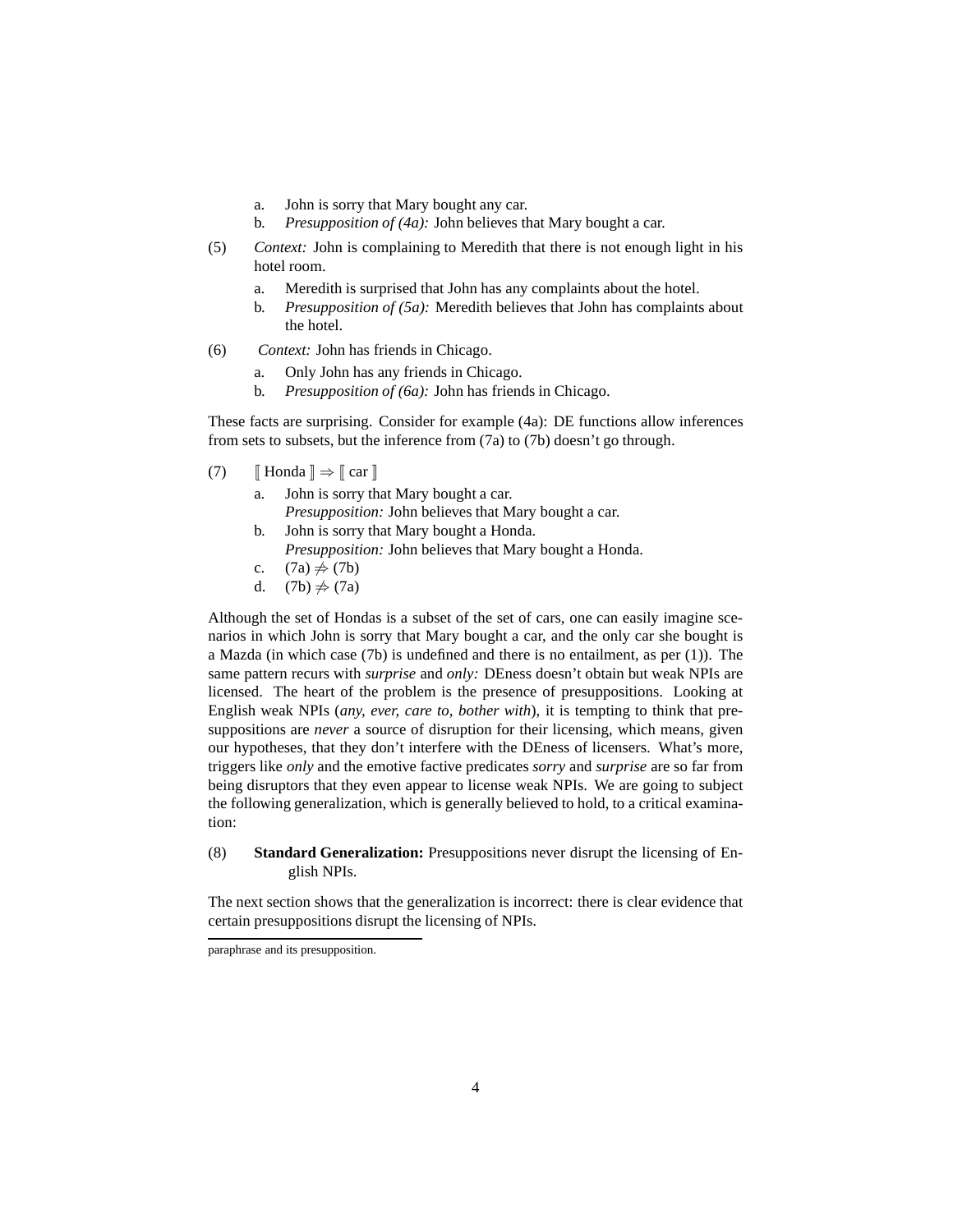- a. John is sorry that Mary bought any car.
- b. *Presupposition of [\(4a\):](#page-3-0)* John believes that Mary bought a car.
- <span id="page-3-1"></span><span id="page-3-0"></span>(5) *Context:* John is complaining to Meredith that there is not enough light in his hotel room.
	- a. Meredith is surprised that John has any complaints about the hotel.
	- b. *Presupposition of [\(5a\):](#page-3-1)* Meredith believes that John has complaints about the hotel.
- <span id="page-3-2"></span>(6) *Context:* John has friends in Chicago.
	- a. Only John has any friends in Chicago.
	- b. *Presupposition of [\(6a\):](#page-3-2)* John has friends in Chicago.

These facts are surprising. Consider for example [\(4a\):](#page-3-0) DE functions allow inferences from sets to subsets, but the inference from [\(7a\)](#page-3-3) to [\(7b\)](#page-3-4) doesn't go through.

- <span id="page-3-4"></span><span id="page-3-3"></span>(7)  $\llbracket$  Honda  $\rrbracket \Rightarrow \llbracket$  car  $\rrbracket$ 
	- a. John is sorry that Mary bought a car.
	- *Presupposition:* John believes that Mary bought a car.
	- b. John is sorry that Mary bought a Honda. *Presupposition:* John believes that Mary bought a Honda.
	- c.  $(7a) \neq (7b)$  $(7a) \neq (7b)$
	- d.  $(7b) \neq (7a)$  $(7b) \neq (7a)$

<span id="page-3-6"></span>Although the set of Hondas is a subset of the set of cars, one can easily imagine scenarios in which John is sorry that Mary bought a car, and the only car she bought is a Mazda (in which case [\(7b\)](#page-3-4) is undefined and there is no entailment, as per [\(1\)\)](#page-2-1). The same pattern recurs with *surprise* and *only:* DEness doesn't obtain but weak NPIs are licensed. The heart of the problem is the presence of presuppositions. Looking at English weak NPIs (*any, ever, care to, bother with*), it is tempting to think that presuppositions are *never* a source of disruption for their licensing, which means, given our hypotheses, that they don't interfere with the DEness of licensers. What's more, triggers like *only* and the emotive factive predicates *sorry* and *surprise* are so far from being disruptors that they even appear to license weak NPIs. We are going to subject the following generalization, which is generally believed to hold, to a critical examination:

<span id="page-3-5"></span>(8) **Standard Generalization:** Presuppositions never disrupt the licensing of English NPIs.

The next section shows that the generalization is incorrect: there is clear evidence that certain presuppositions disrupt the licensing of NPIs.

paraphrase and its presupposition.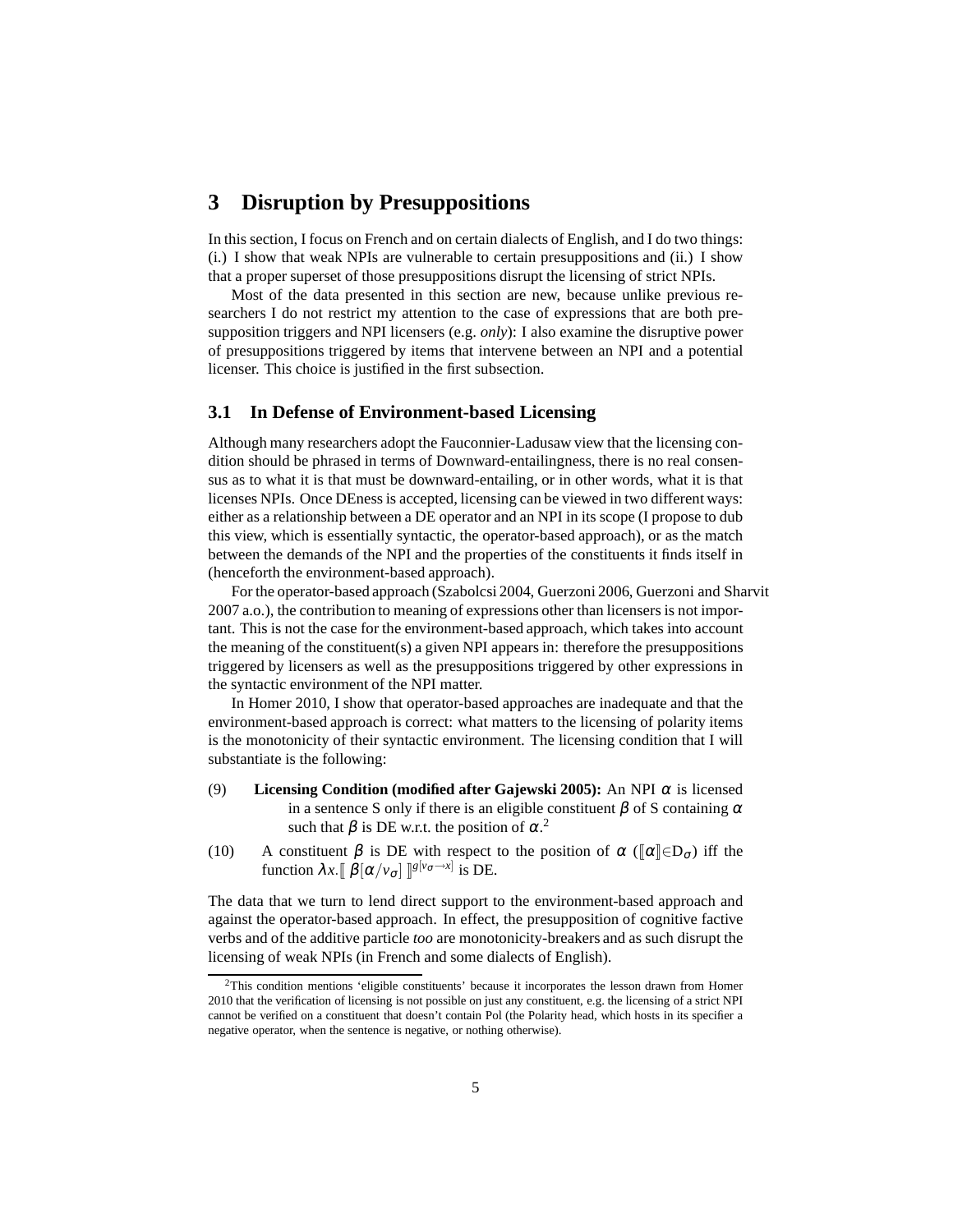# <span id="page-4-0"></span>**3 Disruption by Presuppositions**

In this section, I focus on French and on certain dialects of English, and I do two things: (i.) I show that weak NPIs are vulnerable to certain presuppositions and (ii.) I show that a proper superset of those presuppositions disrupt the licensing of strict NPIs.

Most of the data presented in this section are new, because unlike previous researchers I do not restrict my attention to the case of expressions that are both presupposition triggers and NPI licensers (e.g. *only*): I also examine the disruptive power of presuppositions triggered by items that intervene between an NPI and a potential licenser. This choice is justified in the first subsection.

#### <span id="page-4-1"></span>**3.1 In Defense of Environment-based Licensing**

Although many researchers adopt the Fauconnier-Ladusaw view that the licensing condition should be phrased in terms of Downward-entailingness, there is no real consensus as to what it is that must be downward-entailing, or in other words, what it is that licenses NPIs. Once DEness is accepted, licensing can be viewed in two different ways: either as a relationship between a DE operator and an NPI in its scope (I propose to dub this view, which is essentially syntactic, the operator-based approach), or as the match between the demands of the NPI and the properties of the constituents it finds itself in (henceforth the environment-based approach).

For the operator-based approach [\(Szabolcsi 2004,](#page-60-0) [Guerzoni](#page-58-4) [2006,](#page-58-4) [Guerzoni and Sharvit](#page-58-5) [2007](#page-58-5) a.o.), the contribution to meaning of expressions other than licensers is not important. This is not the case for the environment-based approach, which takes into account the meaning of the constituent(s) a given NPI appears in: therefore the presuppositions triggered by licensers as well as the presuppositions triggered by other expressions in the syntactic environment of the NPI matter.

In [Homer 2010,](#page-59-1) I show that operator-based approaches are inadequate and that the environment-based approach is correct: what matters to the licensing of polarity items is the monotonicity of their syntactic environment. The licensing condition that I will substantiate is the following:

- <span id="page-4-3"></span>(9) **Licensing Condition (modified after [Gajewski 2005](#page-58-6)): An NPI**  $\alpha$  **is licensed** in a sentence S only if there is an eligible constituent  $\beta$  of S containing  $\alpha$ such that  $\beta$  is DE w.r.t. the position of  $\alpha$ <sup>[2](#page-4-2)</sup>
- (10) A constituent  $\beta$  is DE with respect to the position of  $\alpha$  ( $\alpha \in D_{\sigma}$ ) iff the function  $\lambda x. \llbracket \beta[\alpha/v_{\sigma}] \rrbracket^{g[v_{\sigma} \to x]}$  is DE.

The data that we turn to lend direct support to the environment-based approach and against the operator-based approach. In effect, the presupposition of cognitive factive verbs and of the additive particle *too* are monotonicity-breakers and as such disrupt the licensing of weak NPIs (in French and some dialects of English).

<span id="page-4-2"></span> $2$ This condition mentions 'eligible constituents' because it incorporates the lesson drawn from [Homer](#page-59-1) [2010](#page-59-1) that the verification of licensing is not possible on just any constituent, e.g. the licensing of a strict NPI cannot be verified on a constituent that doesn't contain Pol (the Polarity head, which hosts in its specifier a negative operator, when the sentence is negative, or nothing otherwise).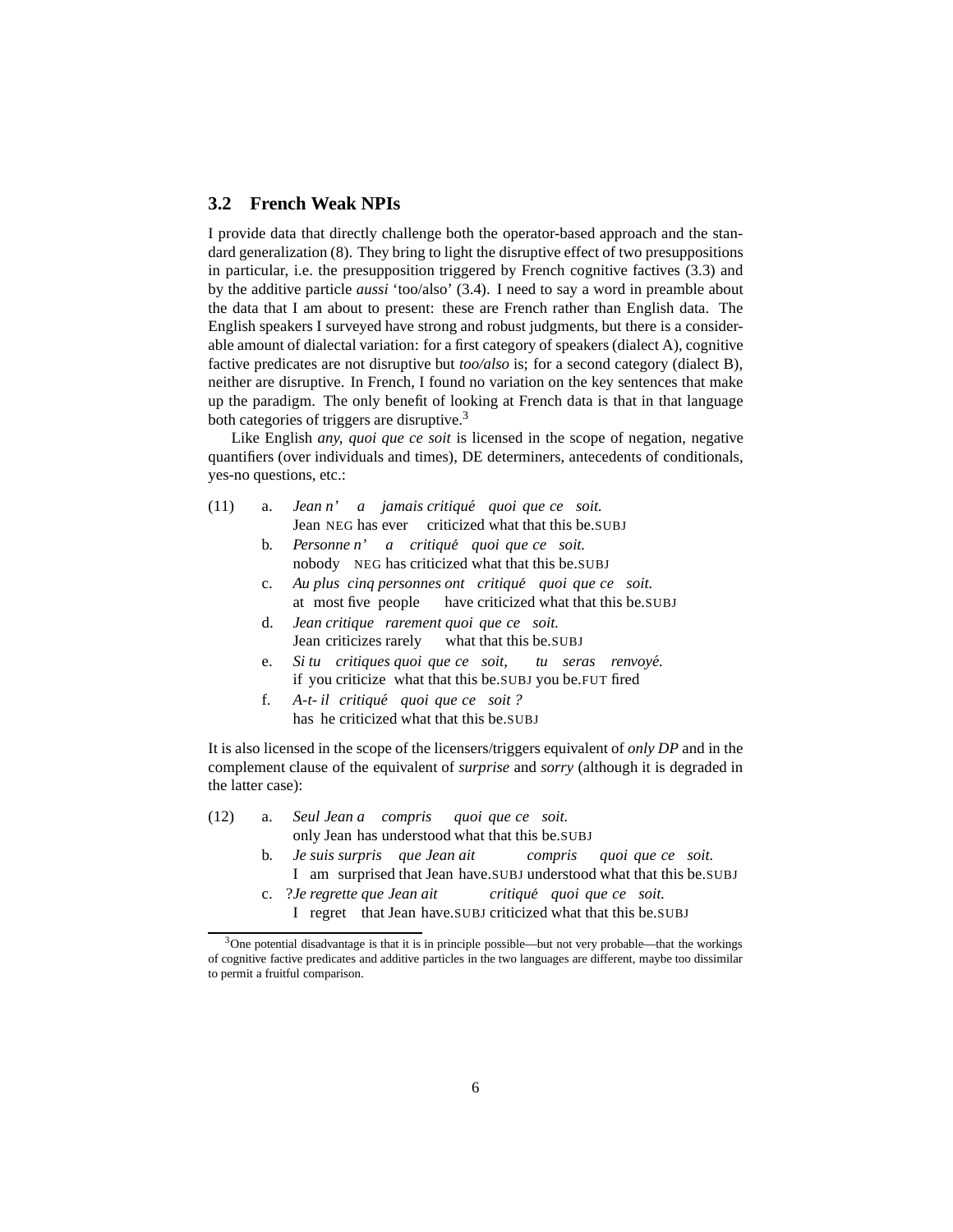# <span id="page-5-0"></span>**3.2 French Weak NPIs**

I provide data that directly challenge both the operator-based approach and the standard generalization [\(8\).](#page-3-5) They bring to light the disruptive effect of two presuppositions in particular, i.e. the presupposition triggered by French cognitive factives [\(3.3\)](#page-6-0) and by the additive particle *aussi* 'too/also' [\(3.4\)](#page-9-0). I need to say a word in preamble about the data that I am about to present: these are French rather than English data. The English speakers I surveyed have strong and robust judgments, but there is a considerable amount of dialectal variation: for a first category of speakers (dialect A), cognitive factive predicates are not disruptive but *too/also* is; for a second category (dialect B), neither are disruptive. In French, I found no variation on the key sentences that make up the paradigm. The only benefit of looking at French data is that in that language both categories of triggers are disruptive.<sup>[3](#page-5-1)</sup>

Like English *any, quoi que ce soit* is licensed in the scope of negation, negative quantifiers (over individuals and times), DE determiners, antecedents of conditionals, yes-no questions, etc.:

- (11) a. *Jean n' a jamais critique´ quoi que ce soit.* Jean NEG has ever criticized what that this be.SUBJ
	- b. *Personne n' a critique´ quoi que ce soit.* nobody NEG has criticized what that this be.SUBJ
	- c. *Au plus cinq personnes ont critique´ quoi que ce soit.* at most five people have criticized what that this be.SUBJ
	- d. *Jean critique rarement quoi que ce soit.* Jean criticizes rarely what that this be.SUBJ
	- e. *Si tu critiques quoi que ce soit,* if you criticize what that this be.SUBJ you be.FUT fired *tu seras renvoye.´*
	- f. *A-t-il critique´ quoi que ce soit ?* has he criticized what that this be.SUBJ

It is also licensed in the scope of the licensers/triggers equivalent of *only DP* and in the complement clause of the equivalent of *surprise* and *sorry* (although it is degraded in the latter case):

- (12) a. *Seul Jean a compris* only Jean has understood what that this be.SUBJ *quoi que ce soit.*
	- b. *Je suis surpris que Jean ait* I am surprised that Jean have.SUBJ understood what that this be.SUBJ *compris quoi que ce soit.*
	- c. ?*Je regrette que Jean ait* I regret that Jean have.SUBJ criticized what that this be.SUBJ *critique´ quoi que ce soit.*

<span id="page-5-1"></span> $3$ One potential disadvantage is that it is in principle possible—but not very probable—that the workings of cognitive factive predicates and additive particles in the two languages are different, maybe too dissimilar to permit a fruitful comparison.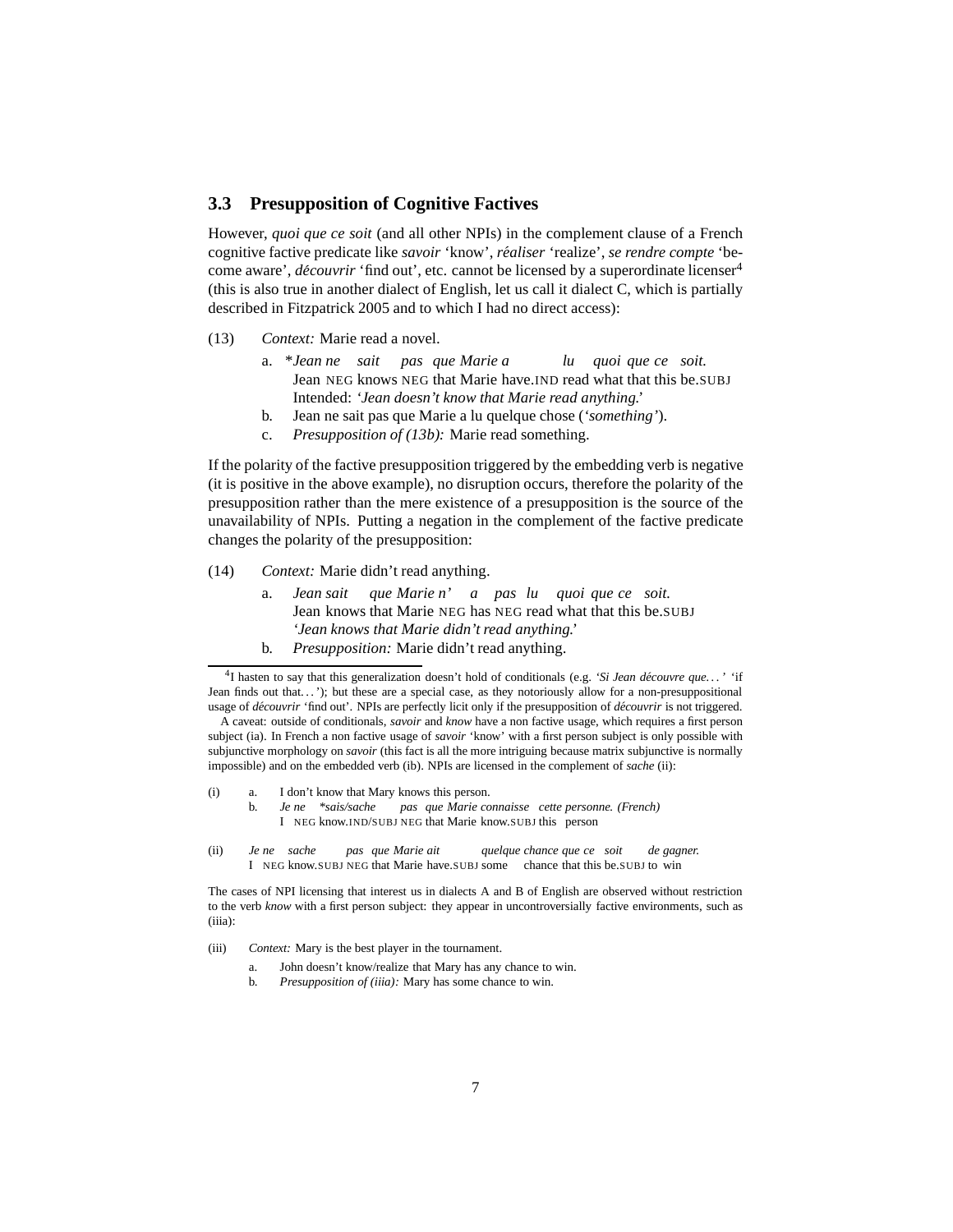# <span id="page-6-0"></span>**3.3 Presupposition of Cognitive Factives**

However, *quoi que ce soit* (and all other NPIs) in the complement clause of a French cognitive factive predicate like *savoir* 'know', *realiser ´* 'realize', *se rendre compte* 'become aware', *decouvrir ´* 'find out', etc. cannot be licensed by a superordinate licenser[4](#page-6-1) (this is also true in another dialect of English, let us call it dialect C, which is partially described in [Fitzpatrick 2005](#page-58-7) and to which I had no direct access):

- <span id="page-6-6"></span><span id="page-6-2"></span>(13) *Context:* Marie read a novel.
	- a. \**Jean ne sait* Jean NEG knows NEG that Marie have.IND read what that this be.SUBJ *pas que Marie a lu quoi que ce soit.* Intended: *'Jean doesn't know that Marie read anything.'*
	- b. Jean ne sait pas que Marie a lu quelque chose (*'something'*).
	- c. *Presupposition of [\(13b\):](#page-6-2)* Marie read something.

If the polarity of the factive presupposition triggered by the embedding verb is negative (it is positive in the above example), no disruption occurs, therefore the polarity of the presupposition rather than the mere existence of a presupposition is the source of the unavailability of NPIs. Putting a negation in the complement of the factive predicate changes the polarity of the presupposition:

- (14) *Context:* Marie didn't read anything.
	- a. *Jean sait* Jean knows that Marie NEG has NEG read what that this be.SUBJ *que Marie n' a pas lu quoi que ce soit. 'Jean knows that Marie didn't read anything.'*
	- b. *Presupposition:* Marie didn't read anything.

A caveat: outside of conditionals, *savoir* and *know* have a non factive usage, which requires a first person subject [\(ia\).](#page-6-3) In French a non factive usage of *savoir* 'know' with a first person subject is only possible with subjunctive morphology on *savoir* (this fact is all the more intriguing because matrix subjunctive is normally impossible) and on the embedded verb [\(ib\).](#page-6-4) NPIs are licensed in the complement of *sache* [\(ii\):](#page-55-0)

- <span id="page-6-4"></span><span id="page-6-3"></span>(i) a. I don't know that Mary knows this person.
	- b. *Je ne \*sais/sache* I NEG know.IND/SUBJ NEG that Marie know.SUBJ this person *pas que Marie connaisse cette personne. (French)*
- (ii) *Je* I NEG know.SUBJ NEG that Marie have.SUBJ some chance that this be.SUBJ to win *ne sache pas que Marie ait quelque chance que ce soit de gagner.*

The cases of NPI licensing that interest us in dialects A and B of English are observed without restriction to the verb *know* with a first person subject: they appear in uncontroversially factive environments, such as [\(iiia\):](#page-6-5)

- <span id="page-6-5"></span>(iii) *Context:* Mary is the best player in the tournament.
	- a. John doesn't know/realize that Mary has any chance to win.
	- b. *Presupposition of [\(iiia\):](#page-6-5)* Mary has some chance to win.

<span id="page-6-1"></span><sup>&</sup>lt;sup>4</sup>I hasten to say that this generalization doesn't hold of conditionals (e.g. 'Si Jean découvre que...' 'if Jean finds out that...'); but these are a special case, as they notoriously allow for a non-presuppositional usage of *découvrir* 'find out'. NPIs are perfectly licit only if the presupposition of *découvrir* is not triggered.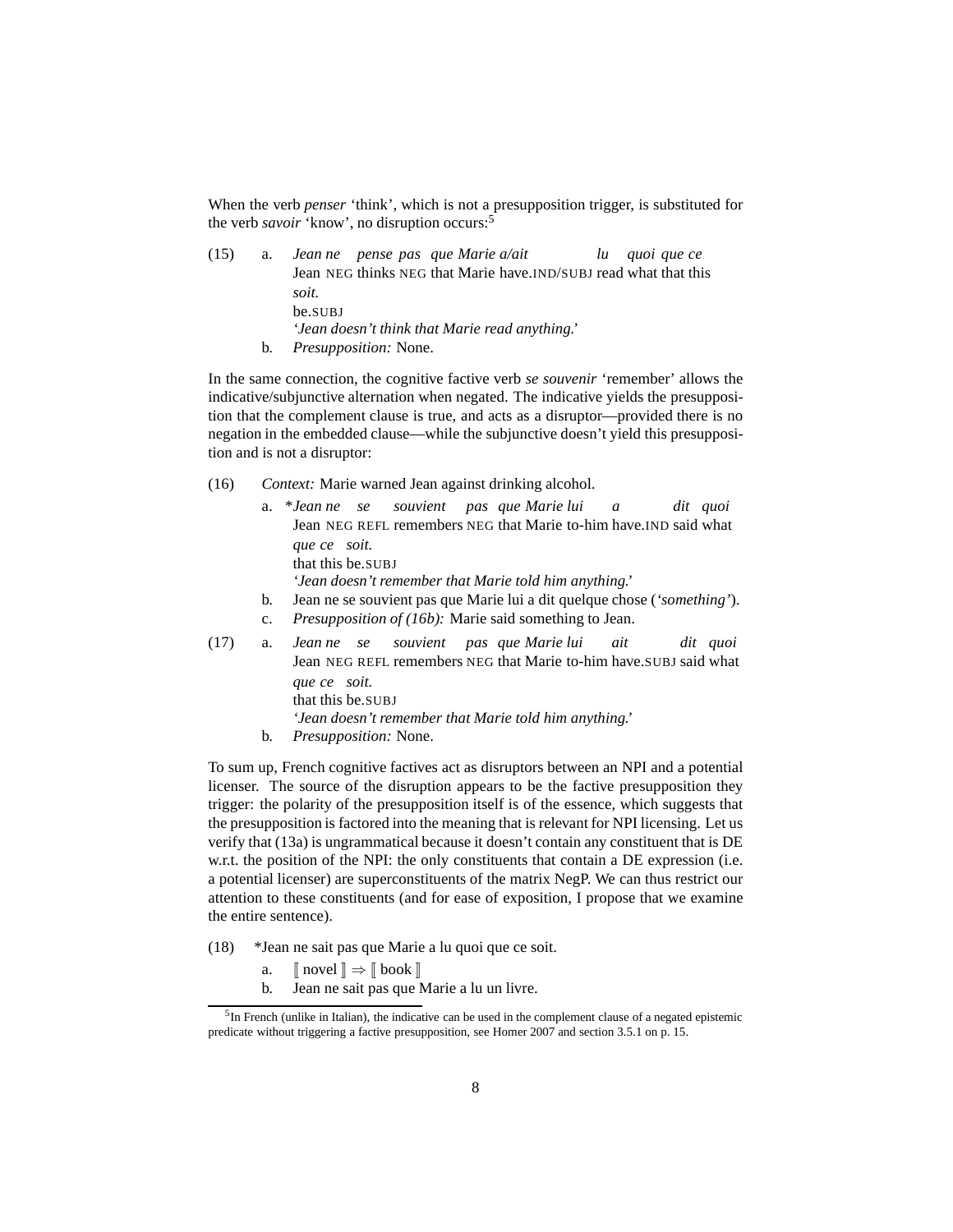When the verb *penser* 'think', which is not a presupposition trigger, is substituted for the verb *savoir* 'know', no disruption occurs:<sup>[5](#page-7-0)</sup>

(15) a. *Jean ne pense pas que Marie a/ait* Jean NEG thinks NEG that Marie have.IND/SUBJ read what that this *lu quoi que ce soit.* be.SUBJ *'Jean doesn't think that Marie read anything.'* b. *Presupposition:* None.

In the same connection, the cognitive factive verb *se souvenir* 'remember' allows the indicative/subjunctive alternation when negated. The indicative yields the presupposition that the complement clause is true, and acts as a disruptor—provided there is no negation in the embedded clause—while the subjunctive doesn't yield this presupposition and is not a disruptor:

- <span id="page-7-4"></span>(16) *Context:* Marie warned Jean against drinking alcohol.
	- a. \**Jean ne se* Jean NEG REFL remembers NEG that Marie to-him have.IND said what *souvient pas que Marie lui a dit quoi que ce soit.* that this be.SUBJ *'Jean doesn't remember that Marie told him anything.'* b. Jean ne se souvient pas que Marie lui a dit quelque chose (*'something'*).
		- c. *Presupposition of [\(16b\):](#page-7-1)* Marie said something to Jean.
- <span id="page-7-5"></span><span id="page-7-1"></span>(17) a. *Jean ne se* Jean NEG REFL remembers NEG that Marie to-him have.SUBJ said what *souvient pas que Marie lui ait dit quoi que ce soit.* that this be.SUBJ *'Jean doesn't remember that Marie told him anything.'*
	- b. *Presupposition:* None.

To sum up, French cognitive factives act as disruptors between an NPI and a potential licenser. The source of the disruption appears to be the factive presupposition they trigger: the polarity of the presupposition itself is of the essence, which suggests that the presupposition is factored into the meaning that is relevant for NPI licensing. Let us verify that [\(13a\)](#page-6-6) is ungrammatical because it doesn't contain any constituent that is DE w.r.t. the position of the NPI: the only constituents that contain a DE expression (i.e. a potential licenser) are superconstituents of the matrix NegP. We can thus restrict our attention to these constituents (and for ease of exposition, I propose that we examine the entire sentence).

- <span id="page-7-3"></span><span id="page-7-2"></span>(18) \*Jean ne sait pas que Marie a lu quoi que ce soit.
	- a.  $\lceil \text{novel} \rceil \Rightarrow \lceil \text{book} \rceil$
	- b. Jean ne sait pas que Marie a lu un livre.

<span id="page-7-0"></span> $<sup>5</sup>$ In French (unlike in Italian), the indicative can be used in the complement clause of a negated epistemic</sup> predicate without triggering a factive presupposition, see [Homer 2007](#page-59-2) and section [3.5.1](#page-14-1) on p. [15.](#page-14-1)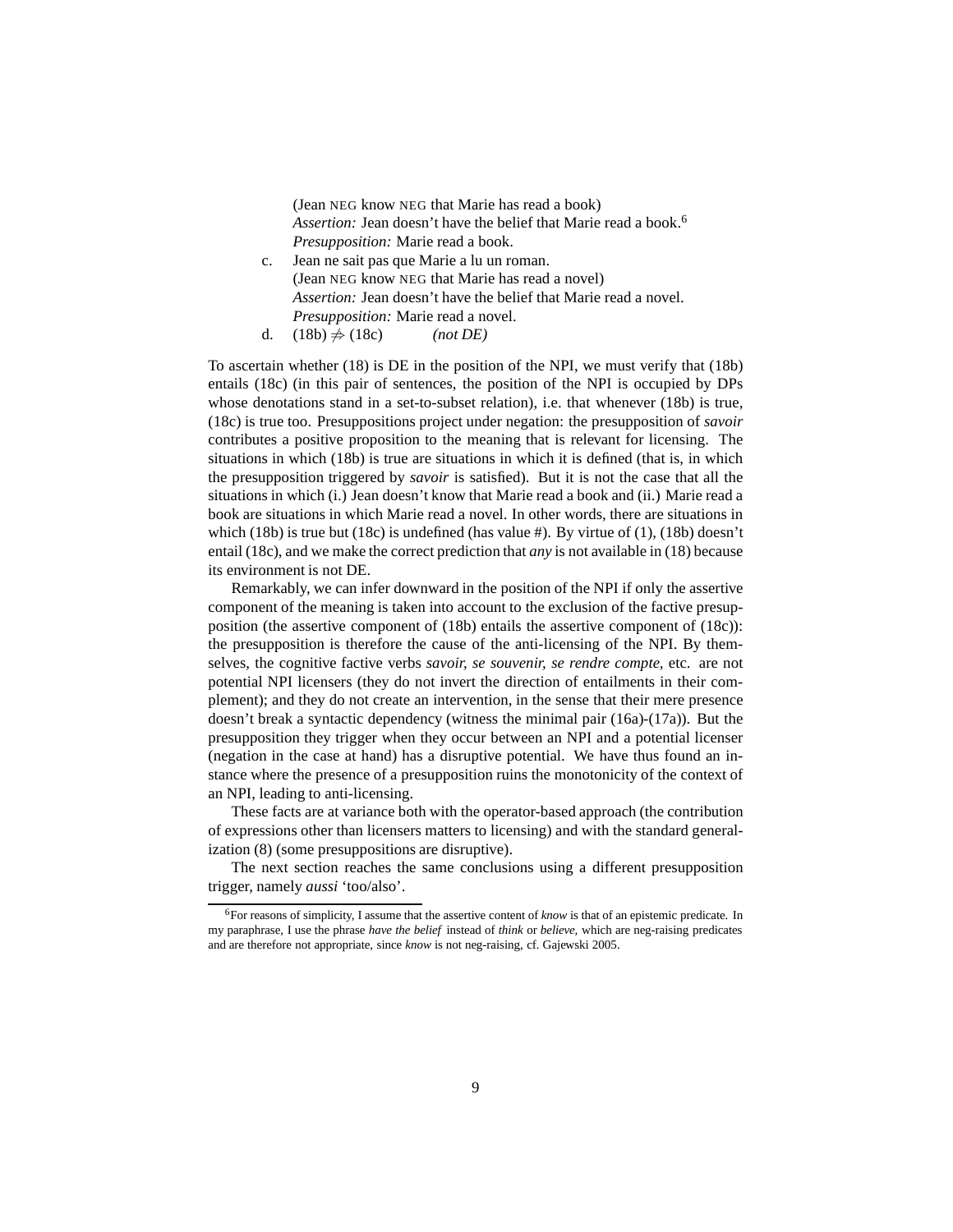(Jean NEG know NEG that Marie has read a book) *Assertion:* Jean doesn't have the belief that Marie read a book.[6](#page-8-0) *Presupposition:* Marie read a book.

- <span id="page-8-1"></span>c. Jean ne sait pas que Marie a lu un roman. (Jean NEG know NEG that Marie has read a novel) *Assertion:* Jean doesn't have the belief that Marie read a novel. *Presupposition:* Marie read a novel.
- d.  $(18b) \neq (18c)$  $(18b) \neq (18c)$  *(not DE)*

To ascertain whether [\(18\)](#page-7-3) is DE in the position of the NPI, we must verify that [\(18b\)](#page-7-2) entails [\(18c\)](#page-8-1) (in this pair of sentences, the position of the NPI is occupied by DPs whose denotations stand in a set-to-subset relation), i.e. that whenever [\(18b\)](#page-7-2) is true, [\(18c\)](#page-8-1) is true too. Presuppositions project under negation: the presupposition of *savoir* contributes a positive proposition to the meaning that is relevant for licensing. The situations in which [\(18b\)](#page-7-2) is true are situations in which it is defined (that is, in which the presupposition triggered by *savoir* is satisfied). But it is not the case that all the situations in which (i.) Jean doesn't know that Marie read a book and (ii.) Marie read a book are situations in which Marie read a novel. In other words, there are situations in which [\(18b\)](#page-7-2) is true but [\(18c\)](#page-8-1) is undefined (has value #). By virtue of [\(1\),](#page-2-1) (18b) doesn't entail [\(18c\),](#page-8-1) and we make the correct prediction that *any* is not available in [\(18\)](#page-7-3) because its environment is not DE.

Remarkably, we can infer downward in the position of the NPI if only the assertive component of the meaning is taken into account to the exclusion of the factive presupposition (the assertive component of [\(18b\)](#page-7-2) entails the assertive component of [\(18c\)\)](#page-8-1): the presupposition is therefore the cause of the anti-licensing of the NPI. By themselves, the cognitive factive verbs *savoir, se souvenir, se rendre compte,* etc. are not potential NPI licensers (they do not invert the direction of entailments in their complement); and they do not create an intervention, in the sense that their mere presence doesn't break a syntactic dependency (witness the minimal pair [\(16a\)-](#page-7-4)[\(17a\)\)](#page-7-5). But the presupposition they trigger when they occur between an NPI and a potential licenser (negation in the case at hand) has a disruptive potential. We have thus found an instance where the presence of a presupposition ruins the monotonicity of the context of an NPI, leading to anti-licensing.

These facts are at variance both with the operator-based approach (the contribution of expressions other than licensers matters to licensing) and with the standard generalization [\(8\)](#page-3-5) (some presuppositions are disruptive).

The next section reaches the same conclusions using a different presupposition trigger, namely *aussi* 'too/also'.

<span id="page-8-0"></span><sup>6</sup>For reasons of simplicity, I assume that the assertive content of *know* is that of an epistemic predicate. In my paraphrase, I use the phrase *have the belief* instead of *think* or *believe,* which are neg-raising predicates and are therefore not appropriate, since *know* is not neg-raising, cf. [Gajewski 2005](#page-58-6).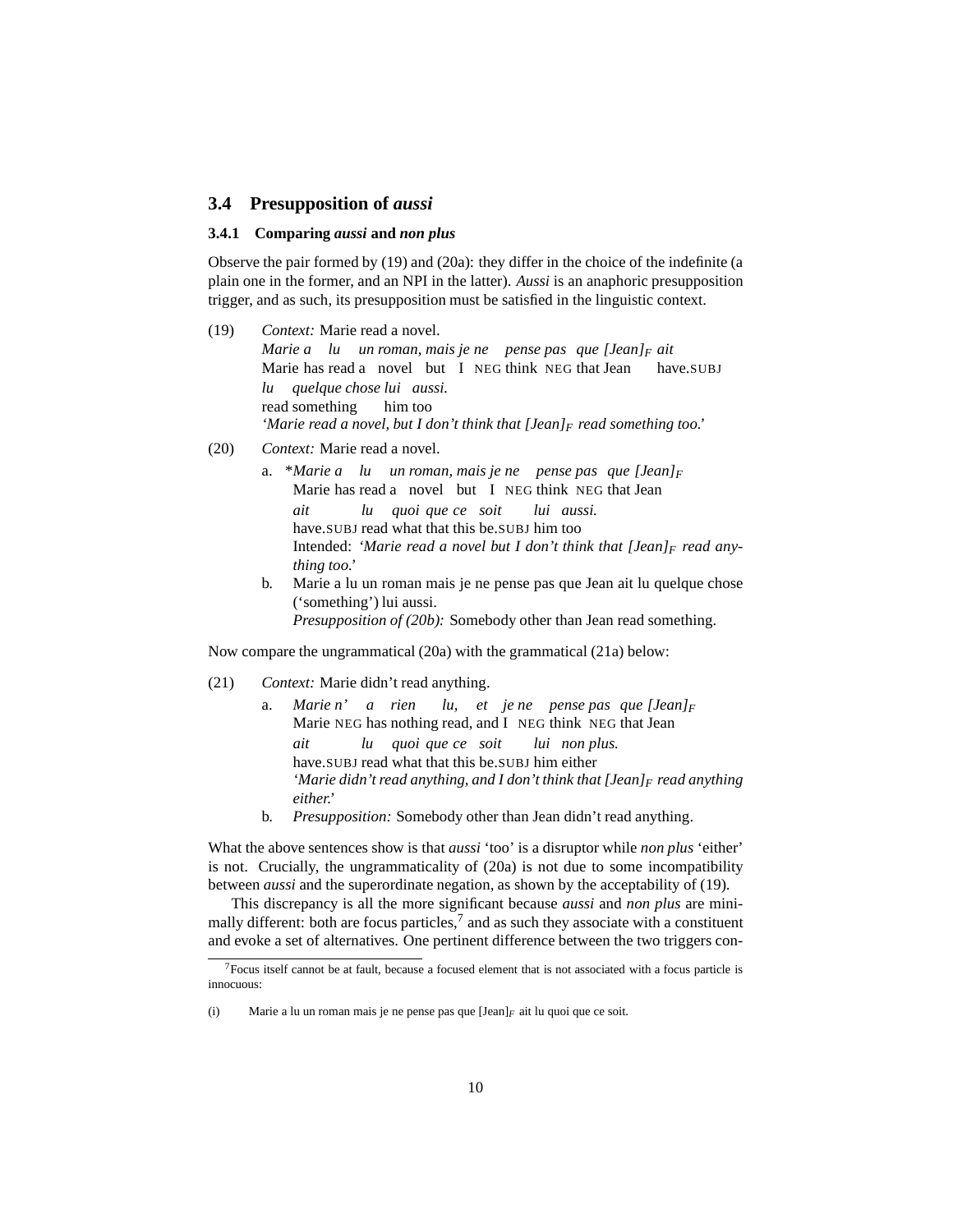#### <span id="page-9-1"></span><span id="page-9-0"></span>**3.4 Presupposition of** *aussi*

#### **3.4.1 Comparing** *aussi* **and** *non plus*

Observe the pair formed by [\(19\)](#page-9-2) and [\(20a\):](#page-9-3) they differ in the choice of the indefinite (a plain one in the former, and an NPI in the latter). *Aussi* is an anaphoric presupposition trigger, and as such, its presupposition must be satisfied in the linguistic context.

- <span id="page-9-2"></span>(19) *Context:* Marie read a novel. *Marie a lu un roman, mais je ne pense pas que [Jean]<sup>F</sup> ait* Marie has read a novel but I NEG think NEG that Jean have.SUBJ *lu* read something *quelque chose lui aussi.* him too *'Marie read a novel, but I don't think that [Jean]<sup>F</sup> read something too.'*
- <span id="page-9-3"></span>(20) *Context:* Marie read a novel.
	- a. \**Marie a lu un roman, mais je ne pense pas que [Jean]<sup>F</sup>* Marie has read a novel but I NEG think NEG that Jean *ait* have.SUBJ read what that this be.SUBJ him too *lu quoi que ce soit lui aussi.* Intended: *'Marie read a novel but I don't think that [Jean]<sup>F</sup> read anything too.'*
	- b. Marie a lu un roman mais je ne pense pas que Jean ait lu quelque chose ('something') lui aussi. *Presupposition of* [\(20b\):](#page-9-4) Somebody other than Jean read something.

<span id="page-9-4"></span>Now compare the ungrammatical [\(20a\)](#page-9-3) with the grammatical [\(21a\)](#page-9-5) below:

- <span id="page-9-5"></span>(21) *Context:* Marie didn't read anything.
	- a. *Marie n' a rien* Marie NEG has nothing read, and I NEG think NEG that Jean *lu, et je ne pense pas que [Jean]<sup>F</sup> ait* have.SUBJ read what that this be.SUBJ him either *lu quoi que ce soit lui non plus. 'Marie didn't read anything, and I don't think that [Jean]<sup>F</sup> read anything either.'*
	- b. *Presupposition:* Somebody other than Jean didn't read anything.

What the above sentences show is that *aussi* 'too' is a disruptor while *non plus* 'either' is not. Crucially, the ungrammaticality of [\(20a\)](#page-9-3) is not due to some incompatibility between *aussi* and the superordinate negation, as shown by the acceptability of [\(19\).](#page-9-2)

This discrepancy is all the more significant because *aussi* and *non plus* are minimally different: both are focus particles, $<sup>7</sup>$  $<sup>7</sup>$  $<sup>7</sup>$  and as such they associate with a constituent</sup> and evoke a set of alternatives. One pertinent difference between the two triggers con-

<span id="page-9-6"></span> $<sup>7</sup>$  Focus itself cannot be at fault, because a focused element that is not associated with a focus particle is</sup> innocuous:

<sup>(</sup>i) Marie a lu un roman mais je ne pense pas que [Jean]*<sup>F</sup>* ait lu quoi que ce soit.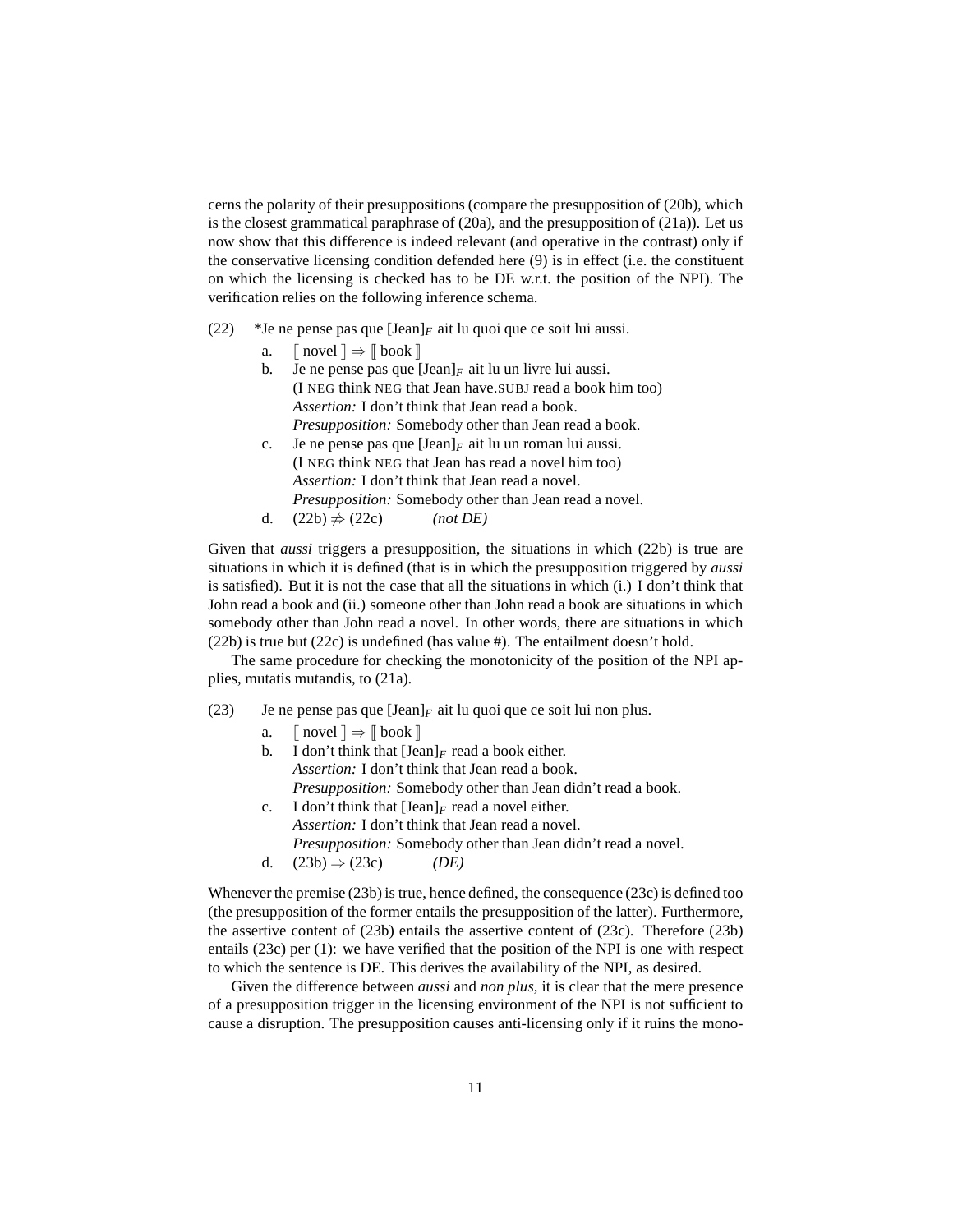cerns the polarity of their presuppositions (compare the presupposition of [\(20b\),](#page-9-4) which is the closest grammatical paraphrase of [\(20a\),](#page-9-3) and the presupposition of [\(21a\)\)](#page-9-5). Let us now show that this difference is indeed relevant (and operative in the contrast) only if the conservative licensing condition defended here [\(9\)](#page-4-3) is in effect (i.e. the constituent on which the licensing is checked has to be DE w.r.t. the position of the NPI). The verification relies on the following inference schema.

- <span id="page-10-4"></span><span id="page-10-1"></span><span id="page-10-0"></span>(22) \*Je ne pense pas que [Jean]*<sup>F</sup>* ait lu quoi que ce soit lui aussi.
	- a.  $\parallel$  novel  $\parallel \Rightarrow \parallel$  book  $\parallel$
	- b. Je ne pense pas que  $\left[\text{Jean}\right]_F$  ait lu un livre lui aussi. (I NEG think NEG that Jean have.SUBJ read a book him too) *Assertion:* I don't think that Jean read a book. *Presupposition:* Somebody other than Jean read a book.
	- c. Je ne pense pas que  $\text{[Jean]}_F$  ait lu un roman lui aussi. (I NEG think NEG that Jean has read a novel him too) *Assertion:* I don't think that Jean read a novel. *Presupposition:* Somebody other than Jean read a novel.
	- d.  $(22b) \neq (22c)$  $(22b) \neq (22c)$  *(not DE)*

Given that *aussi* triggers a presupposition, the situations in which [\(22b\)](#page-10-0) is true are situations in which it is defined (that is in which the presupposition triggered by *aussi* is satisfied). But it is not the case that all the situations in which (i.) I don't think that John read a book and (ii.) someone other than John read a book are situations in which somebody other than John read a novel. In other words, there are situations in which [\(22b\)](#page-10-0) is true but [\(22c\)](#page-10-1) is undefined (has value #). The entailment doesn't hold.

The same procedure for checking the monotonicity of the position of the NPI applies, mutatis mutandis, to [\(21a\).](#page-9-5)

- <span id="page-10-3"></span><span id="page-10-2"></span>(23) Je ne pense pas que  $[\text{Jean}]_F$  ait lu quoi que ce soit lui non plus.
	- a.  $\parallel$  novel  $\parallel \Rightarrow \parallel$  book  $\parallel$
	- b. I don't think that  $\text{[Jean]}_F$  read a book either. *Assertion:* I don't think that Jean read a book. *Presupposition:* Somebody other than Jean didn't read a book. c. I don't think that  $\text{[Jean]}_F$  read a novel either.
	- *Assertion:* I don't think that Jean read a novel.
	- *Presupposition:* Somebody other than Jean didn't read a novel.
	- d.  $(23b) \Rightarrow (23c)$  $(23b) \Rightarrow (23c)$  *(DE)*

Whenever the premise [\(23b\)](#page-10-2) is true, hence defined, the consequence [\(23c\)](#page-10-3) is defined too (the presupposition of the former entails the presupposition of the latter). Furthermore, the assertive content of [\(23b\)](#page-10-2) entails the assertive content of [\(23c\).](#page-10-3) Therefore [\(23b\)](#page-10-2) entails [\(23c\)](#page-10-3) per [\(1\):](#page-2-1) we have verified that the position of the NPI is one with respect to which the sentence is DE. This derives the availability of the NPI, as desired.

Given the difference between *aussi* and *non plus,* it is clear that the mere presence of a presupposition trigger in the licensing environment of the NPI is not sufficient to cause a disruption. The presupposition causes anti-licensing only if it ruins the mono-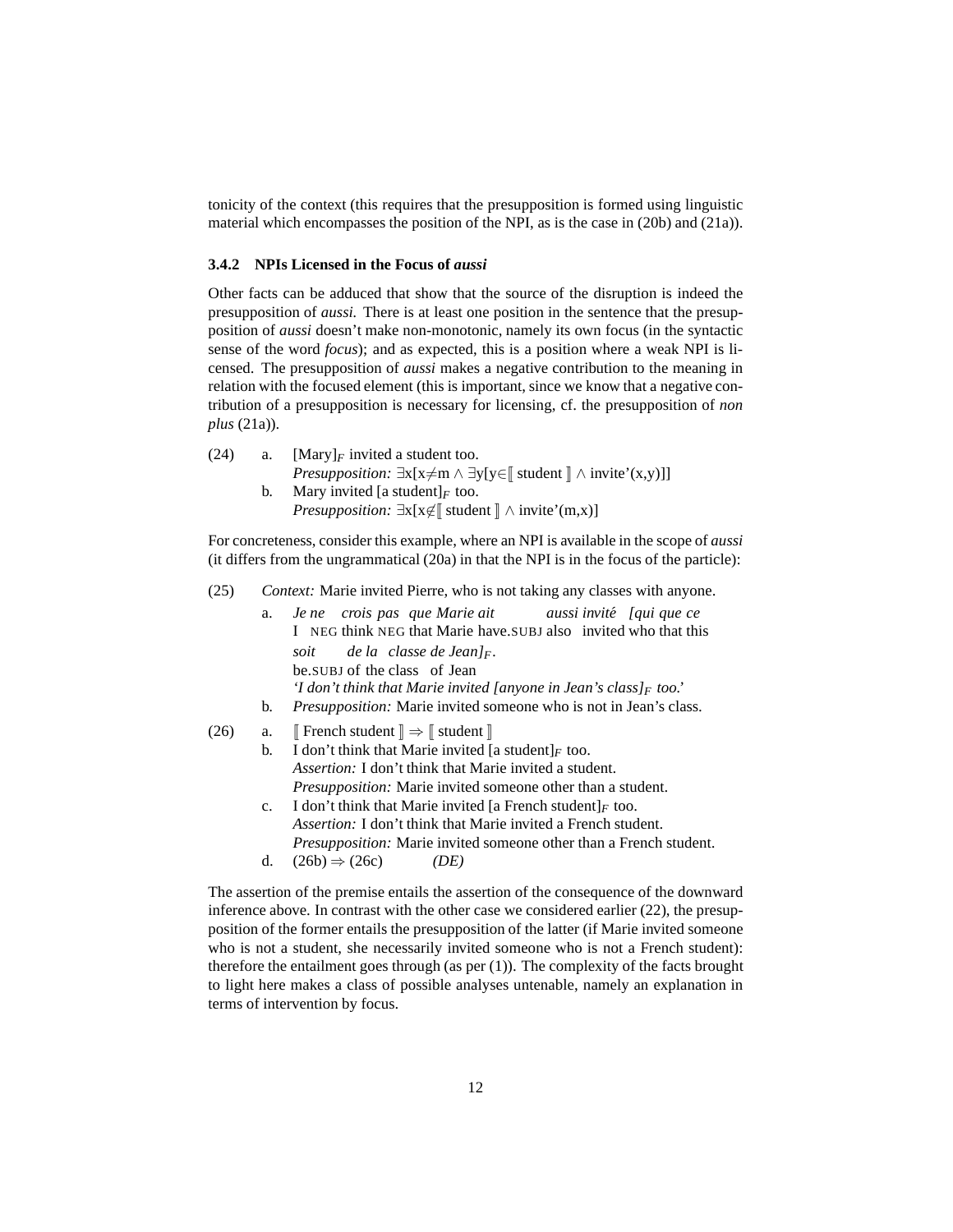tonicity of the context (this requires that the presupposition is formed using linguistic material which encompasses the position of the NPI, as is the case in [\(20b\)](#page-9-4) and [\(21a\)\)](#page-9-5).

## <span id="page-11-0"></span>**3.4.2 NPIs Licensed in the Focus of** *aussi*

Other facts can be adduced that show that the source of the disruption is indeed the presupposition of *aussi.* There is at least one position in the sentence that the presupposition of *aussi* doesn't make non-monotonic, namely its own focus (in the syntactic sense of the word *focus*); and as expected, this is a position where a weak NPI is licensed. The presupposition of *aussi* makes a negative contribution to the meaning in relation with the focused element (this is important, since we know that a negative contribution of a presupposition is necessary for licensing, cf. the presupposition of *non plus* [\(21a\)\)](#page-9-5).

- (24) a. [Mary] $_F$  invited a student too. *Presupposition:*  $\exists x[x \neq m \land \exists y[y \in \mathbb{R}$  student  $\mathbb{R} \land \text{invite'}(x,y)]$ b. Mary invited [a student] $_F$  too.
	- *Presupposition:*  $\exists x [x \notin \mathbb{R} \text{ student } \mathbb{R} \land \text{invite'}(m,x)]$

For concreteness, consider this example, where an NPI is available in the scope of *aussi* (it differs from the ungrammatical [\(20a\)](#page-9-3) in that the NPI is in the focus of the particle):

- <span id="page-11-3"></span>(25) *Context:* Marie invited Pierre, who is not taking any classes with anyone.
	- a. *Je ne crois pas que Marie ait* I NEG think NEG that Marie have.SUBJ also invited who that this *aussi invite´ [qui que ce soit* be.SUBJ of the class of Jean *de la classe de Jean]F. 'I don't think that Marie invited [anyone in Jean's class]<sup>F</sup> too.'*
	- b. *Presupposition:* Marie invited someone who is not in Jean's class.
- <span id="page-11-2"></span><span id="page-11-1"></span>(26) a.  $\mathbb{F}$  French student  $\mathbb{R} \Rightarrow \mathbb{F}$  student  $\mathbb{R}$ 
	- b. I don't think that Marie invited [a student] $_F$  too. *Assertion:* I don't think that Marie invited a student. *Presupposition:* Marie invited someone other than a student.
	- c. I don't think that Marie invited [a French student] $_F$  too. *Assertion:* I don't think that Marie invited a French student. *Presupposition:* Marie invited someone other than a French student.
	- d.  $(26b) \Rightarrow (26c)$  $(26b) \Rightarrow (26c)$  *(DE)*

The assertion of the premise entails the assertion of the consequence of the downward inference above. In contrast with the other case we considered earlier [\(22\),](#page-10-4) the presupposition of the former entails the presupposition of the latter (if Marie invited someone who is not a student, she necessarily invited someone who is not a French student): therefore the entailment goes through (as per [\(1\)\)](#page-2-1). The complexity of the facts brought to light here makes a class of possible analyses untenable, namely an explanation in terms of intervention by focus.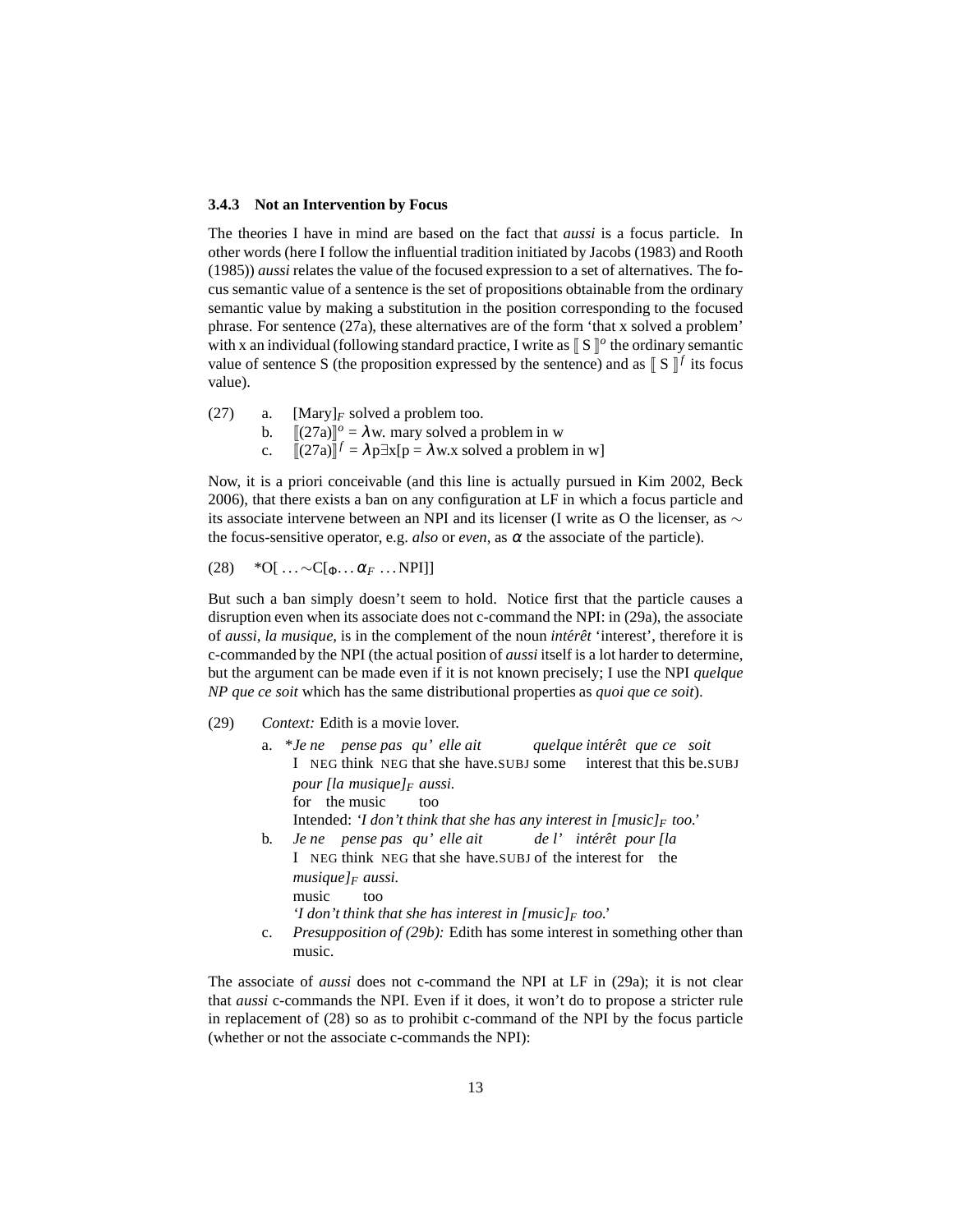#### <span id="page-12-0"></span>**3.4.3 Not an Intervention by Focus**

The theories I have in mind are based on the fact that *aussi* is a focus particle. In other words (here I follow the influential tradition initiated by [Jacobs \(1983](#page-59-3)) and [Rooth](#page-60-1) [\(1985\)](#page-60-1)) *aussi* relates the value of the focused expression to a set of alternatives. The focus semantic value of a sentence is the set of propositions obtainable from the ordinary semantic value by making a substitution in the position corresponding to the focused phrase. For sentence [\(27a\),](#page-12-1) these alternatives are of the form 'that x solved a problem' with x an individual (following standard practice, I write as  $\llbracket S \rrbracket^o$  the ordinary semantic value of sentence S (the proposition expressed by the sentence) and as  $\llbracket S \rrbracket^f$  its focus value).

<span id="page-12-1"></span>(27) a. [Mary] $_F$  solved a problem too. b.  $[(27a)]^o = \lambda w$  $[(27a)]^o = \lambda w$  $[(27a)]^o = \lambda w$ . mary solved a problem in w c.  $[(27a)]^f = \lambda p \exists x [p = \lambda w.x \text{ solved a problem in w}]$  $[(27a)]^f = \lambda p \exists x [p = \lambda w.x \text{ solved a problem in w}]$  $[(27a)]^f = \lambda p \exists x [p = \lambda w.x \text{ solved a problem in w}]$ 

Now, it is a priori conceivable (and this line is actually pursued in [Kim 2002,](#page-59-4) [Beck](#page-57-0) [2006\)](#page-57-0), that there exists a ban on any configuration at LF in which a focus particle and its associate intervene between an NPI and its licenser (I write as O the licenser, as ∼ the focus-sensitive operator, e.g. *also* or *even*, as  $\alpha$  the associate of the particle).

<span id="page-12-4"></span> $(28)$  \*O[ ... ~ $C[\Phi \dots \alpha_F \dots \text{NPI}]]$ 

But such a ban simply doesn't seem to hold. Notice first that the particle causes a disruption even when its associate does not c-command the NPI: in [\(29a\),](#page-12-2) the associate of *aussi*, *la musique*, is in the complement of the noun *intérêt* 'interest', therefore it is c-commanded by the NPI (the actual position of *aussi* itself is a lot harder to determine, but the argument can be made even if it is not known precisely; I use the NPI *quelque NP que ce soit* which has the same distributional properties as *quoi que ce soit*).

<span id="page-12-3"></span><span id="page-12-2"></span>(29) *Context:* Edith is a movie lover.

music.

|             | a. *Je ne pense pas qu'elle ait quelque intérêt que ce soit                     |
|-------------|---------------------------------------------------------------------------------|
|             | I NEG think NEG that she have.SUBJ some interest that this be.SUBJ              |
|             | pour <i>[la musique]</i> $F$ aussi.                                             |
|             | for the music<br>too                                                            |
|             | Intended: 'I don't think that she has any interest in $[music]_F$ too.'         |
| $b_{\cdot}$ | Je ne pense pas qu'elle ait de l'intérêt pour [la                               |
|             | I NEG think NEG that she have. SUBJ of the interest for the                     |
|             | musique $\vert_F$ aussi.                                                        |
|             | music<br>too                                                                    |
|             | 'I don't think that she has interest in $[music]_F$ too.'                       |
| $c_{\cdot}$ | <i>Presupposition of (29b):</i> Edith has some interest in something other than |

The associate of *aussi* does not c-command the NPI at LF in [\(29a\);](#page-12-2) it is not clear that *aussi* c-commands the NPI. Even if it does, it won't do to propose a stricter rule in replacement of [\(28\)](#page-12-4) so as to prohibit c-command of the NPI by the focus particle (whether or not the associate c-commands the NPI):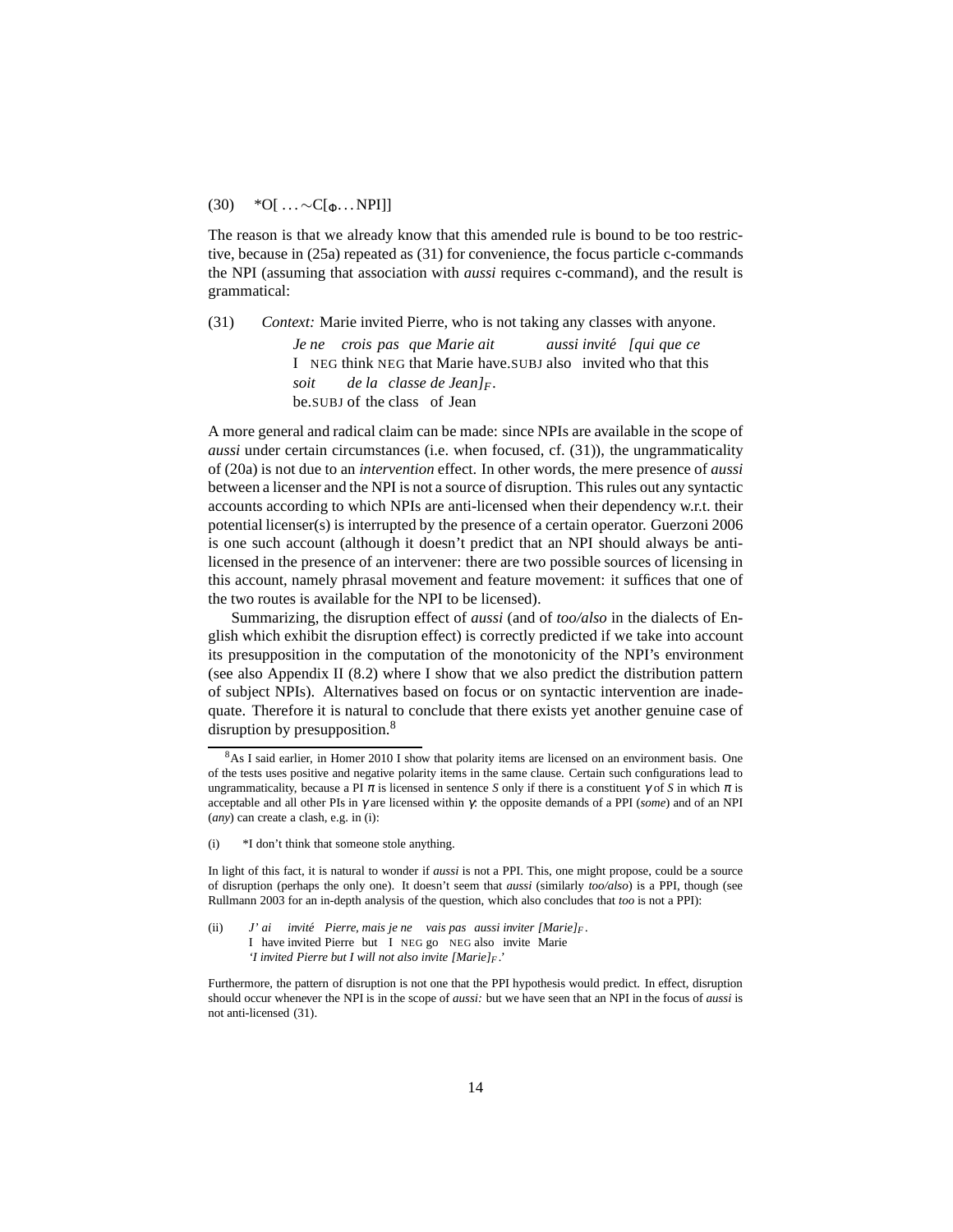## $(30)$  \*O[ ... ∼C[ $_{Φ}$ ... NPI]]

The reason is that we already know that this amended rule is bound to be too restrictive, because in [\(25a\)](#page-11-3) repeated as [\(31\)](#page-13-0) for convenience, the focus particle c-commands the NPI (assuming that association with *aussi* requires c-command), and the result is grammatical:

<span id="page-13-0"></span>(31) *Context:* Marie invited Pierre, who is not taking any classes with anyone.

*Je ne crois pas que Marie ait* I NEG think NEG that Marie have.SUBJ also invited who that this *aussi invite´ [qui que ce soit* be.SUBJ of the class of Jean *de la classe de Jean]F.*

A more general and radical claim can be made: since NPIs are available in the scope of *aussi* under certain circumstances (i.e. when focused, cf. [\(31\)\)](#page-13-0), the ungrammaticality of [\(20a\)](#page-9-3) is not due to an *intervention* effect. In other words, the mere presence of *aussi* between a licenser and the NPI is not a source of disruption. This rules out any syntactic accounts according to which NPIs are anti-licensed when their dependency w.r.t. their potential licenser(s) is interrupted by the presence of a certain operator. [Guerzoni 2006](#page-58-4) is one such account (although it doesn't predict that an NPI should always be antilicensed in the presence of an intervener: there are two possible sources of licensing in this account, namely phrasal movement and feature movement: it suffices that one of the two routes is available for the NPI to be licensed).

Summarizing, the disruption effect of *aussi* (and of *too/also* in the dialects of English which exhibit the disruption effect) is correctly predicted if we take into account its presupposition in the computation of the monotonicity of the NPI's environment (see also Appendix II [\(8.2\)](#page-54-0) where I show that we also predict the distribution pattern of subject NPIs). Alternatives based on focus or on syntactic intervention are inadequate. Therefore it is natural to conclude that there exists yet another genuine case of disruption by presupposition.<sup>[8](#page-13-1)</sup>

<span id="page-13-1"></span><sup>8</sup>As I said earlier, in [Homer 2010](#page-59-1) I show that polarity items are licensed on an environment basis. One of the tests uses positive and negative polarity items in the same clause. Certain such configurations lead to ungrammaticality, because a PI  $\pi$  is licensed in sentence *S* only if there is a constituent  $\gamma$  of *S* in which  $\pi$  is acceptable and all other PIs in γ are licensed within γ: the opposite demands of a PPI (*some*) and of an NPI (*any*) can create a clash, e.g. in [\(i\):](#page-55-1)

<sup>(</sup>i) \*I don't think that someone stole anything.

In light of this fact, it is natural to wonder if *aussi* is not a PPI. This, one might propose, could be a source of disruption (perhaps the only one). It doesn't seem that *aussi* (similarly *too/also*) is a PPI, though (see [Rullmann 2003](#page-60-2) for an in-depth analysis of the question, which also concludes that *too* is not a PPI):

<sup>(</sup>ii) *J'* I have invited Pierre but I NEG go NEG also invite Marie *ai invité* Pierre, mais je ne vais pas aussi inviter [Marie]<sub>F</sub>. *'I invited Pierre but I will not also invite [Marie]<sup>F</sup> .'*

Furthermore, the pattern of disruption is not one that the PPI hypothesis would predict. In effect, disruption should occur whenever the NPI is in the scope of *aussi:* but we have seen that an NPI in the focus of *aussi* is not anti-licensed [\(31\).](#page-13-0)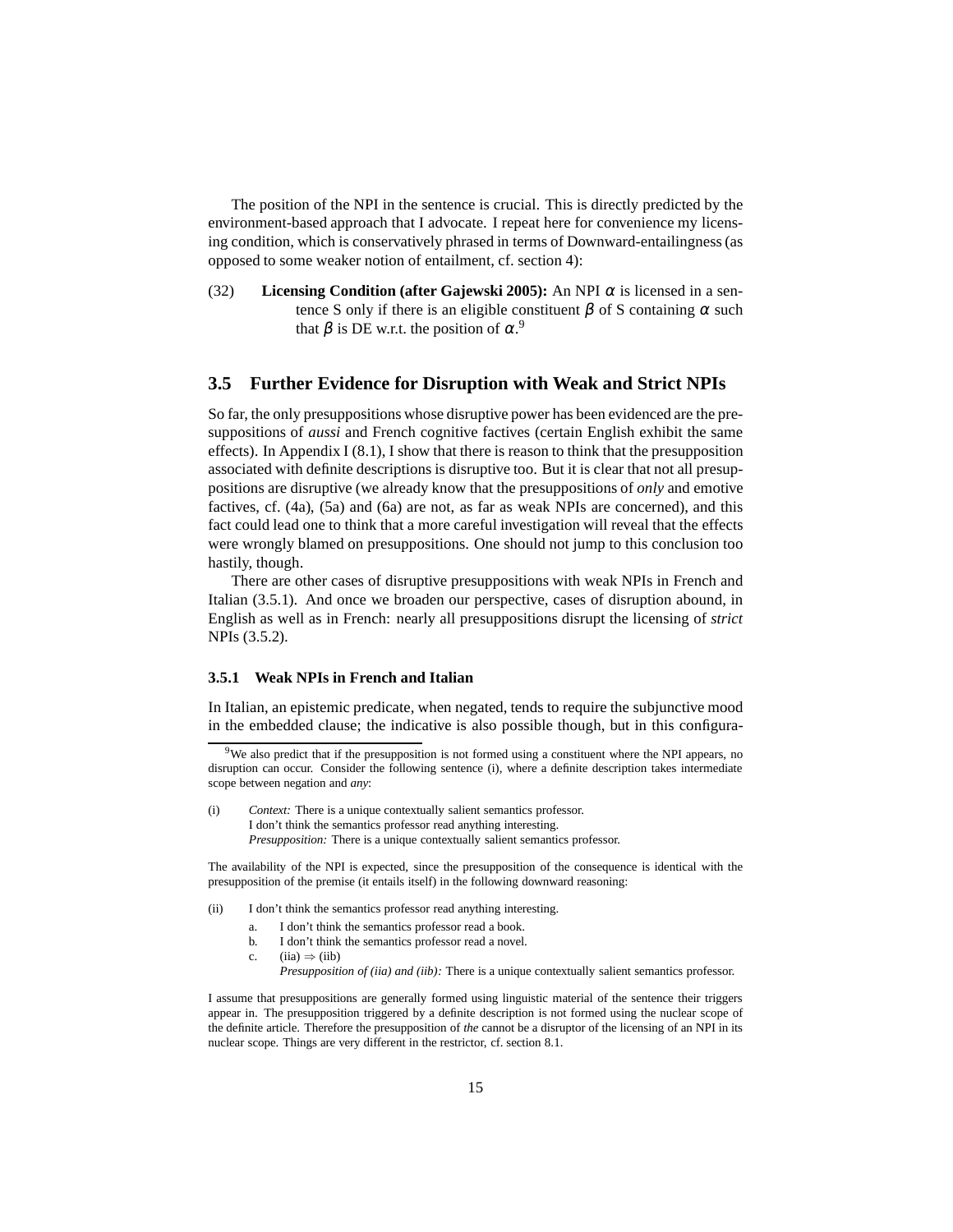The position of the NPI in the sentence is crucial. This is directly predicted by the environment-based approach that I advocate. I repeat here for convenience my licensing condition, which is conservatively phrased in terms of Downward-entailingness (as opposed to some weaker notion of entailment, cf. section [4\)](#page-25-0):

(32) **Licensing Condition (after [Gajewski 2005\)](#page-58-6):** An NPI  $\alpha$  is licensed in a sentence S only if there is an eligible constituent  $\beta$  of S containing  $\alpha$  such that  $\beta$  is DE w.r.t. the position of  $\alpha$ .<sup>[9](#page-14-2)</sup>

## <span id="page-14-0"></span>**3.5 Further Evidence for Disruption with Weak and Strict NPIs**

So far, the only presuppositions whose disruptive power has been evidenced are the presuppositions of *aussi* and French cognitive factives (certain English exhibit the same effects). In Appendix I  $(8.1)$ , I show that there is reason to think that the presupposition associated with definite descriptions is disruptive too. But it is clear that not all presuppositions are disruptive (we already know that the presuppositions of *only* and emotive factives, cf. [\(4a\),](#page-3-0) [\(5a\)](#page-3-1) and [\(6a\)](#page-3-2) are not, as far as weak NPIs are concerned), and this fact could lead one to think that a more careful investigation will reveal that the effects were wrongly blamed on presuppositions. One should not jump to this conclusion too hastily, though.

There are other cases of disruptive presuppositions with weak NPIs in French and Italian [\(3.5.1\)](#page-14-1). And once we broaden our perspective, cases of disruption abound, in English as well as in French: nearly all presuppositions disrupt the licensing of *strict* NPIs [\(3.5.2\)](#page-16-0).

#### <span id="page-14-1"></span>**3.5.1 Weak NPIs in French and Italian**

In Italian, an epistemic predicate, when negated, tends to require the subjunctive mood in the embedded clause; the indicative is also possible though, but in this configura-

(i) *Context:* There is a unique contextually salient semantics professor. I don't think the semantics professor read anything interesting.

*Presupposition:* There is a unique contextually salient semantics professor.

The availability of the NPI is expected, since the presupposition of the consequence is identical with the presupposition of the premise (it entails itself) in the following downward reasoning:

- <span id="page-14-4"></span><span id="page-14-3"></span>(ii) I don't think the semantics professor read anything interesting.
	- a. I don't think the semantics professor read a book.
	- b. I don't think the semantics professor read a novel.
	- c.  $(iia) \Rightarrow (iib)$  $(iia) \Rightarrow (iib)$ 
		- *Presupposition of [\(iia\)](#page-14-3) and [\(iib\):](#page-14-4)* There is a unique contextually salient semantics professor.

I assume that presuppositions are generally formed using linguistic material of the sentence their triggers appear in. The presupposition triggered by a definite description is not formed using the nuclear scope of the definite article. Therefore the presupposition of *the* cannot be a disruptor of the licensing of an NPI in its nuclear scope. Things are very different in the restrictor, cf. section [8.1.](#page-47-2)

<span id="page-14-2"></span> $9$ We also predict that if the presupposition is not formed using a constituent where the NPI appears, no disruption can occur. Consider the following sentence [\(i\),](#page-55-1) where a definite description takes intermediate scope between negation and *any*: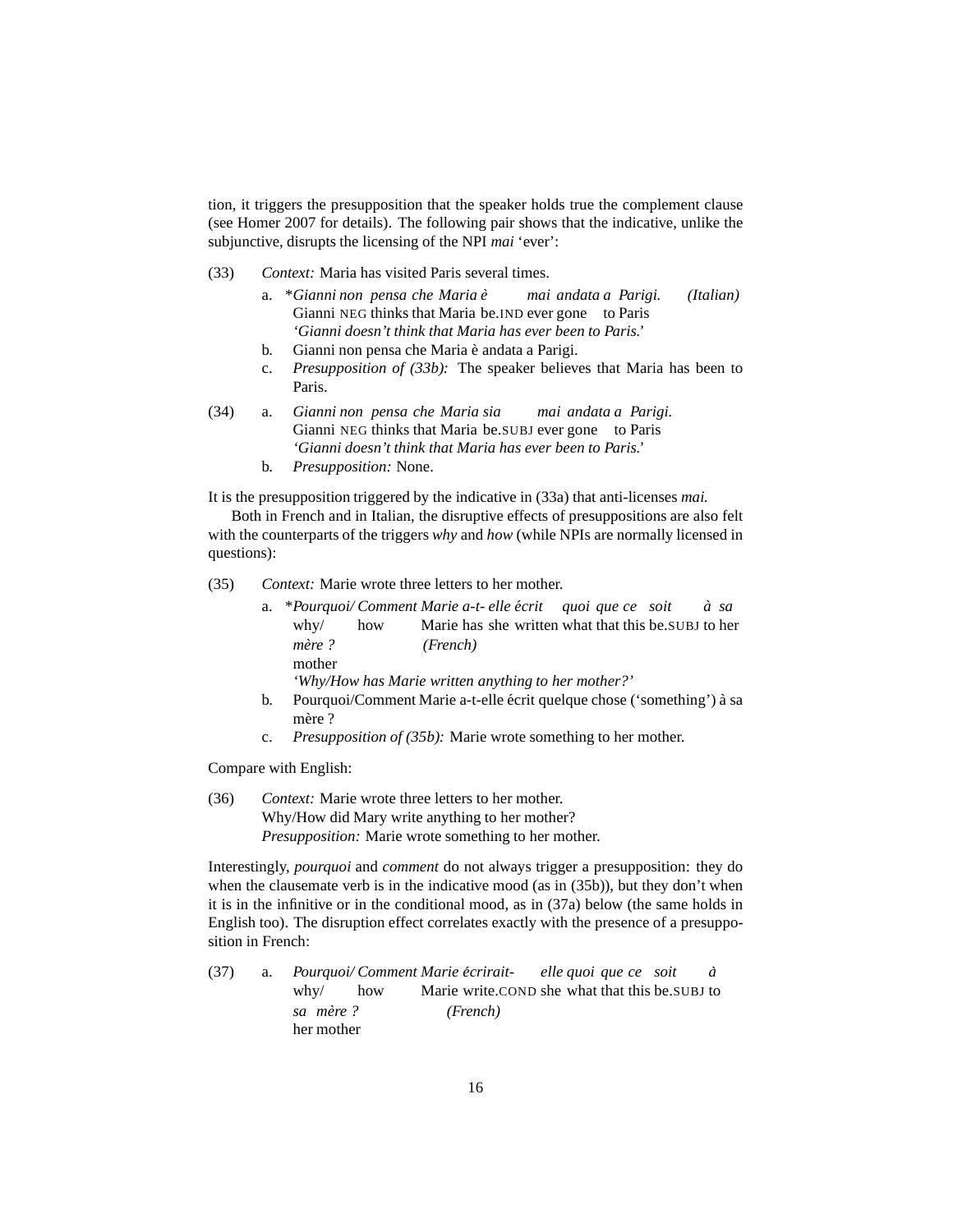tion, it triggers the presupposition that the speaker holds true the complement clause (see [Homer 2007](#page-59-2) for details). The following pair shows that the indicative, unlike the subjunctive, disrupts the licensing of the NPI *mai* 'ever':

- <span id="page-15-1"></span><span id="page-15-0"></span>(33) *Context:* Maria has visited Paris several times.
	- a. \**Gianni non pensa che Maria e`* Gianni NEG thinks that Maria be.IND ever gone to Paris *mai andata a Parigi. (Italian) 'Gianni doesn't think that Maria has ever been to Paris.'*
	- b. Gianni non pensa che Maria è andata a Parigi.
	- c. *Presupposition of [\(33b\):](#page-15-0)* The speaker believes that Maria has been to Paris.
- (34) a. *Gianni non pensa che Maria sia* Gianni NEG thinks that Maria be.SUBJ ever gone to Paris *mai andata a Parigi. 'Gianni doesn't think that Maria has ever been to Paris.'*
	- b. *Presupposition:* None.

It is the presupposition triggered by the indicative in [\(33a\)](#page-15-1) that anti-licenses *mai.*

Both in French and in Italian, the disruptive effects of presuppositions are also felt with the counterparts of the triggers *why* and *how* (while NPIs are normally licensed in questions):

(35) *Context:* Marie wrote three letters to her mother.

|        |     | a. *Pourquoi/Comment Marie a-t- elle écrit quoi que ce soit à sa |  |  |  |  |
|--------|-----|------------------------------------------------------------------|--|--|--|--|
| whv/   | how | Marie has she written what that this be SUBJ to her              |  |  |  |  |
| mère?  |     | (French)                                                         |  |  |  |  |
| mother |     |                                                                  |  |  |  |  |
|        |     | 'Why/How has Marie written anything to her mother?'              |  |  |  |  |
|        |     |                                                                  |  |  |  |  |

- b. Pourquoi/Comment Marie a-t-elle écrit quelque chose ('something') à sa mère ?
- c. *Presupposition of [\(35b\):](#page-15-2)* Marie wrote something to her mother.

<span id="page-15-2"></span>Compare with English:

(36) *Context:* Marie wrote three letters to her mother. Why/How did Mary write anything to her mother? *Presupposition:* Marie wrote something to her mother.

Interestingly, *pourquoi* and *comment* do not always trigger a presupposition: they do when the clausemate verb is in the indicative mood (as in [\(35b\)\)](#page-15-2), but they don't when it is in the infinitive or in the conditional mood, as in [\(37a\)](#page-15-3) below (the same holds in English too). The disruption effect correlates exactly with the presence of a presupposition in French:

<span id="page-15-3"></span>(37) a. *Pourquoi/ Comment Marie ecrirait- ´* why/ how Marie write.COND she what that this be.SUBJ to *elle quoi que ce soit a` sa* her mother  $(French)$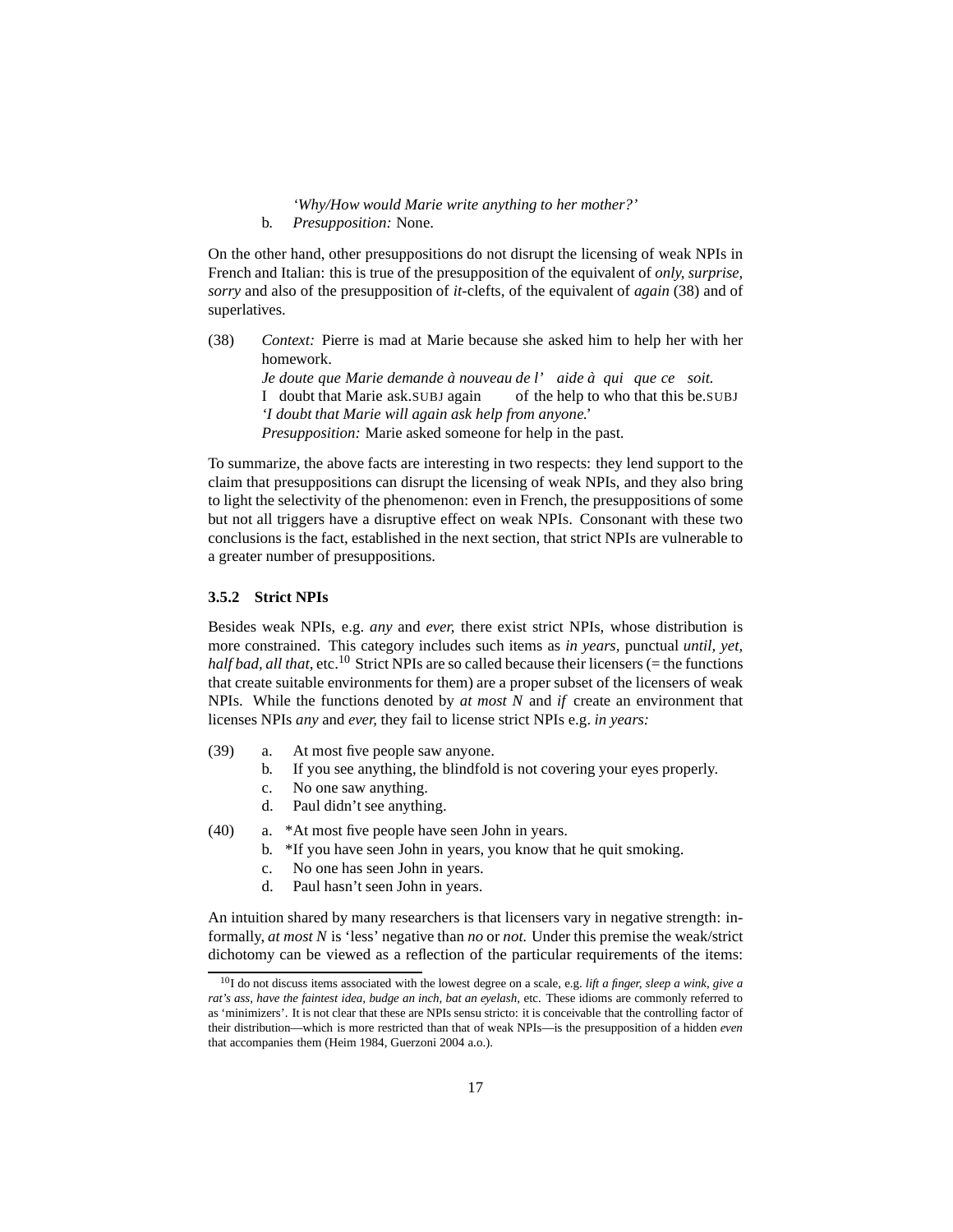*'Why/How would Marie write anything to her mother?'* b. *Presupposition:* None.

On the other hand, other presuppositions do not disrupt the licensing of weak NPIs in French and Italian: this is true of the presupposition of the equivalent of *only, surprise, sorry* and also of the presupposition of *it*-clefts, of the equivalent of *again* [\(38\)](#page-16-1) and of superlatives.

<span id="page-16-1"></span>(38) *Context:* Pierre is mad at Marie because she asked him to help her with her homework.

> *Je* doute que Marie demande à nouveau de l' aide à qui que ce soit. I doubt that Marie ask.SUBJ again of the help to who that this be.SUBJ *'I doubt that Marie will again ask help from anyone.' Presupposition:* Marie asked someone for help in the past.

To summarize, the above facts are interesting in two respects: they lend support to the claim that presuppositions can disrupt the licensing of weak NPIs, and they also bring to light the selectivity of the phenomenon: even in French, the presuppositions of some but not all triggers have a disruptive effect on weak NPIs. Consonant with these two conclusions is the fact, established in the next section, that strict NPIs are vulnerable to a greater number of presuppositions.

#### <span id="page-16-0"></span>**3.5.2 Strict NPIs**

Besides weak NPIs, e.g. *any* and *ever,* there exist strict NPIs, whose distribution is more constrained. This category includes such items as *in years,* punctual *until, yet, half bad, all that,* etc.<sup>[10](#page-16-2)</sup> Strict NPIs are so called because their licensers (= the functions that create suitable environments for them) are a proper subset of the licensers of weak NPIs. While the functions denoted by *at most N* and *if* create an environment that licenses NPIs *any* and *ever,* they fail to license strict NPIs e.g. *in years:*

- (39) a. At most five people saw anyone.
	- b. If you see anything, the blindfold is not covering your eyes properly.
	- c. No one saw anything.
	- d. Paul didn't see anything.
- (40) a. \*At most five people have seen John in years.
	- b. \*If you have seen John in years, you know that he quit smoking.
	- c. No one has seen John in years.
	- d. Paul hasn't seen John in years.

An intuition shared by many researchers is that licensers vary in negative strength: informally, *at most N* is 'less' negative than *no* or *not.* Under this premise the weak/strict dichotomy can be viewed as a reflection of the particular requirements of the items:

<span id="page-16-2"></span><sup>10</sup>I do not discuss items associated with the lowest degree on a scale, e.g. *lift a finger, sleep a wink, give a rat's ass, have the faintest idea, budge an inch, bat an eyelash,* etc. These idioms are commonly referred to as 'minimizers'. It is not clear that these are NPIs sensu stricto: it is conceivable that the controlling factor of their distribution—which is more restricted than that of weak NPIs—is the presupposition of a hidden *even* that accompanies them [\(Heim 1984](#page-59-5), [Guerzoni 2004](#page-58-8) a.o.).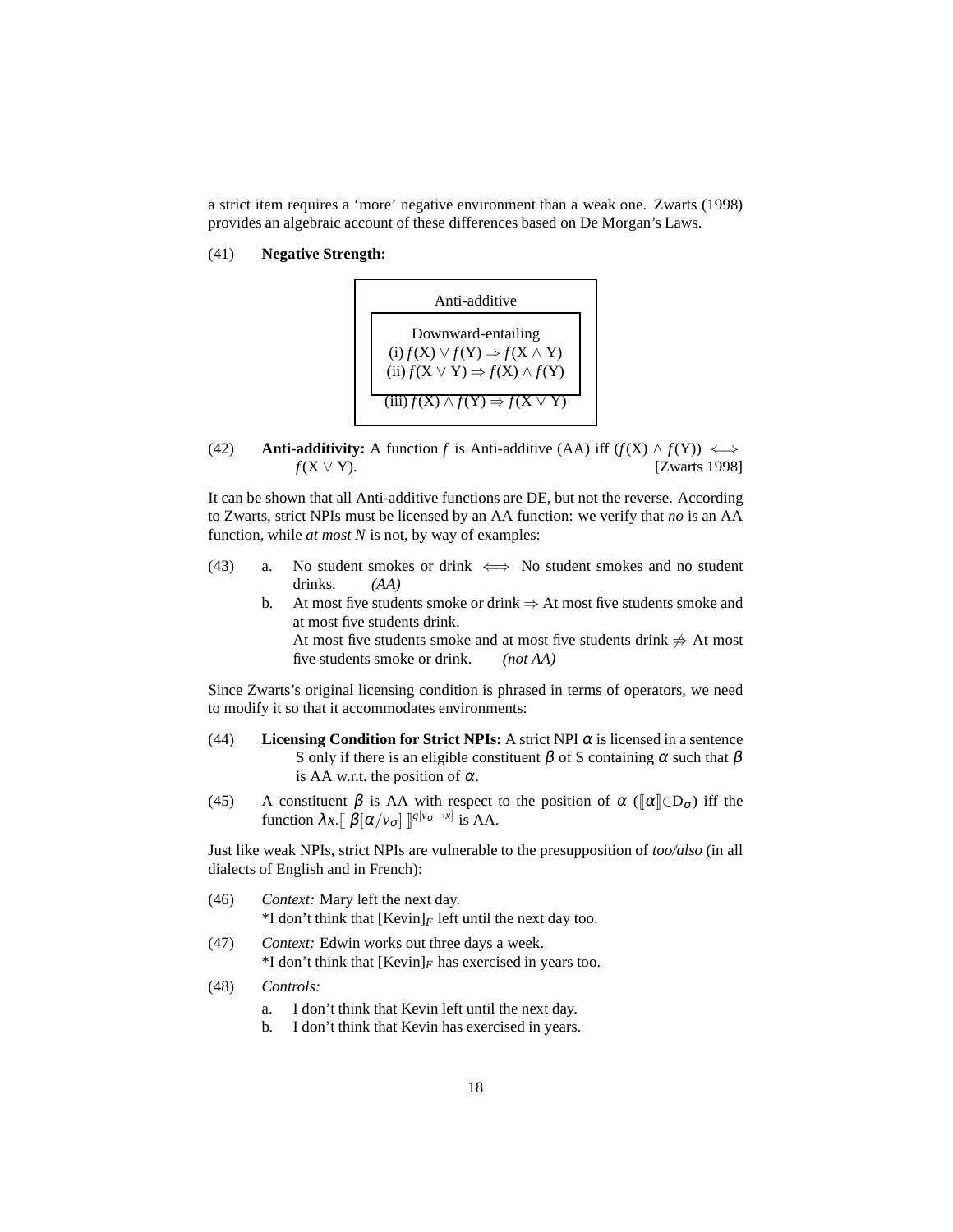<span id="page-17-0"></span>a strict item requires a 'more' negative environment than a weak one. [Zwarts \(1998](#page-60-3)) provides an algebraic account of these differences based on De Morgan's Laws.

(41) **Negative Strength:**



(42) **Anti-additivity:** A function *f* is Anti-additive (AA) iff  $(f(X) \land f(Y)) \iff$  $f(X \vee Y)$ . [\[Zwarts 1998](#page-60-3)]

It can be shown that all Anti-additive functions are DE, but not the reverse. According to Zwarts, strict NPIs must be licensed by an AA function: we verify that *no* is an AA function, while *at most N* is not, by way of examples:

- <span id="page-17-1"></span>(43) a. No student smokes or drink  $\iff$  No student smokes and no student drinks. *(AA)*
	- b. At most five students smoke or drink  $\Rightarrow$  At most five students smoke and at most five students drink. At most five students smoke and at most five students drink  $\neq$  At most

five students smoke or drink. *(not AA)*

<span id="page-17-2"></span>Since Zwarts's original licensing condition is phrased in terms of operators, we need to modify it so that it accommodates environments:

- (44) **Licensing Condition for Strict NPIs:** A strict NPI  $\alpha$  is licensed in a sentence S only if there is an eligible constituent  $\beta$  of S containing  $\alpha$  such that  $\beta$ is AA w.r.t. the position of  $\alpha$ .
- (45) A constituent  $\beta$  is AA with respect to the position of  $\alpha$  ( $\alpha \in \mathbb{R}$ <sub>σ</sub>) iff the function  $\lambda x. [\![\beta[\alpha/v_{\sigma}]\!] \mathbb{S}^{[v_{\sigma}\rightarrow x]}$  is AA.

Just like weak NPIs, strict NPIs are vulnerable to the presupposition of *too/also* (in all dialects of English and in French):

- (46) *Context:* Mary left the next day. \*I don't think that  $[Kevin]_F$  left until the next day too.
- (47) *Context:* Edwin works out three days a week.  $*I$  don't think that  $[Kevin]_F$  has exercised in years too.
- (48) *Controls:*
	- a. I don't think that Kevin left until the next day.
	- b. I don't think that Kevin has exercised in years.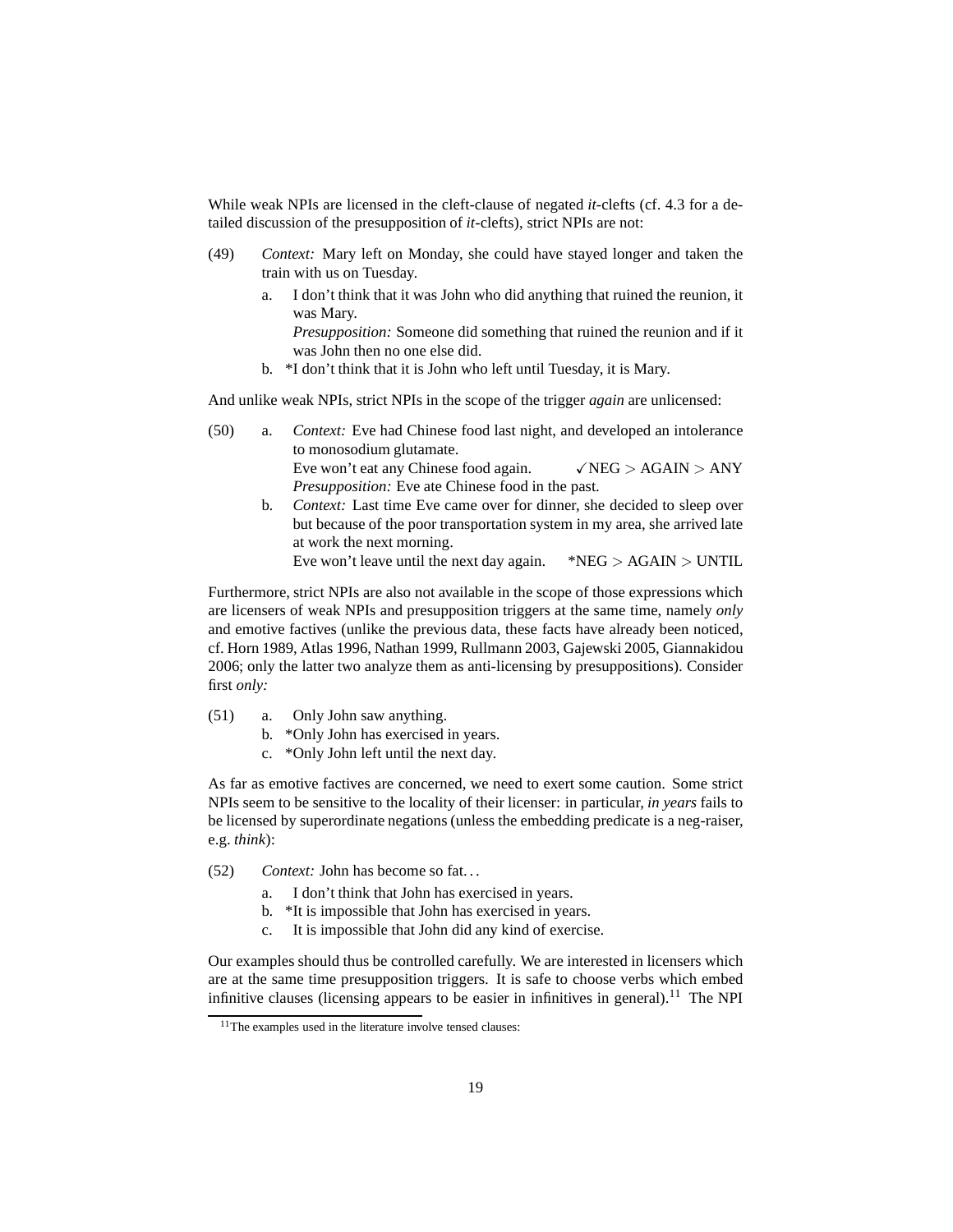While weak NPIs are licensed in the cleft-clause of negated *it-*clefts (cf. [4.3](#page-32-0) for a detailed discussion of the presupposition of *it*-clefts), strict NPIs are not:

- (49) *Context:* Mary left on Monday, she could have stayed longer and taken the train with us on Tuesday.
	- a. I don't think that it was John who did anything that ruined the reunion, it was Mary.

*Presupposition:* Someone did something that ruined the reunion and if it was John then no one else did.

b. \*I don't think that it is John who left until Tuesday, it is Mary.

And unlike weak NPIs, strict NPIs in the scope of the trigger *again* are unlicensed:

- (50) a. *Context:* Eve had Chinese food last night, and developed an intolerance to monosodium glutamate. Eve won't eat any Chinese food again.  $\sqrt{\text{NEG}} > \text{AGAIN} > \text{ANY}$ *Presupposition:* Eve ate Chinese food in the past.
	- b. *Context:* Last time Eve came over for dinner, she decided to sleep over but because of the poor transportation system in my area, she arrived late at work the next morning.

Eve won't leave until the next day again.  $*NEG > AGAIN > UNTIL$ 

Furthermore, strict NPIs are also not available in the scope of those expressions which are licensers of weak NPIs and presupposition triggers at the same time, namely *only* and emotive factives (unlike the previous data, these facts have already been noticed, cf. [Horn 1989,](#page-59-6) [Atlas 1996](#page-57-1), [Nathan 1999,](#page-59-7) [Rullmann 2003,](#page-60-2) [Gajewski 2005,](#page-58-6) [Giannakidou](#page-58-9) [2006;](#page-58-9) only the latter two analyze them as anti-licensing by presuppositions). Consider first *only:*

- <span id="page-18-2"></span><span id="page-18-1"></span>(51) a. Only John saw anything.
	- b. \*Only John has exercised in years.
	- c. \*Only John left until the next day.

As far as emotive factives are concerned, we need to exert some caution. Some strict NPIs seem to be sensitive to the locality of their licenser: in particular, *in years* fails to be licensed by superordinate negations (unless the embedding predicate is a neg-raiser, e.g. *think*):

- (52) *Context:* John has become so fat. . .
	- a. I don't think that John has exercised in years.
	- b. \*It is impossible that John has exercised in years.
	- c. It is impossible that John did any kind of exercise.

Our examples should thus be controlled carefully. We are interested in licensers which are at the same time presupposition triggers. It is safe to choose verbs which embed infinitive clauses (licensing appears to be easier in infinitives in general).<sup>[11](#page-18-0)</sup> The NPI

<span id="page-18-0"></span> $11$ The examples used in the literature involve tensed clauses: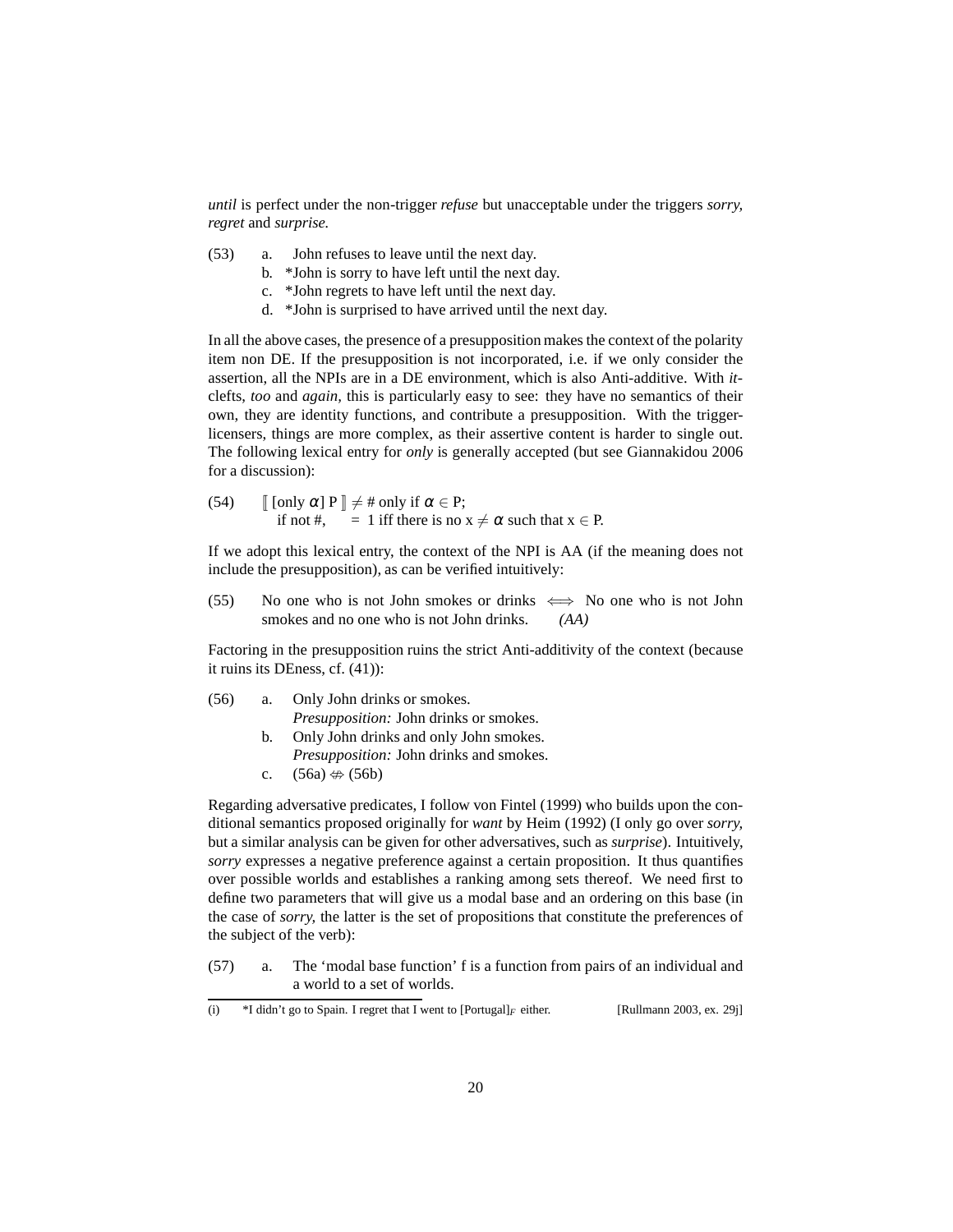*until* is perfect under the non-trigger *refuse* but unacceptable under the triggers *sorry, regret* and *surprise.*

- <span id="page-19-2"></span>(53) a. John refuses to leave until the next day.
	- b. \*John is sorry to have left until the next day.
	- c. \*John regrets to have left until the next day.
	- d. \*John is surprised to have arrived until the next day.

In all the above cases, the presence of a presupposition makes the context of the polarity item non DE. If the presupposition is not incorporated, i.e. if we only consider the assertion, all the NPIs are in a DE environment, which is also Anti-additive. With *it*clefts, *too* and *again,* this is particularly easy to see: they have no semantics of their own, they are identity functions, and contribute a presupposition. With the triggerlicensers, things are more complex, as their assertive content is harder to single out. The following lexical entry for *only* is generally accepted (but see [Giannakidou 2006](#page-58-9) for a discussion):

(54) 
$$
\[ \text{ [only } \alpha \text{]} P \] \neq \text{# only if } \alpha \in P; \text{ if not } \text{#}, \quad = 1 \text{ iff there is no } x \neq \alpha \text{ such that } x \in P.
$$

If we adopt this lexical entry, the context of the NPI is AA (if the meaning does not include the presupposition), as can be verified intuitively:

(55) No one who is not John smokes or drinks  $\iff$  No one who is not John smokes and no one who is not John drinks. *(AA)*

Factoring in the presupposition ruins the strict Anti-additivity of the context (because it ruins its DEness, cf. [\(41\)\)](#page-17-0):

- <span id="page-19-1"></span><span id="page-19-0"></span>(56) a. Only John drinks or smokes. *Presupposition:* John drinks or smokes. b. Only John drinks and only John smokes.
	- *Presupposition:* John drinks and smokes.
	- c.  $(56a) \nleftrightarrow (56b)$  $(56a) \nleftrightarrow (56b)$

Regarding adversative predicates, I follow [von Fintel](#page-58-2) [\(1999\)](#page-58-2) who builds upon the conditional semantics proposed originally for *want* by [Heim \(1992\)](#page-59-8) (I only go over *sorry,* but a similar analysis can be given for other adversatives, such as *surprise*). Intuitively, *sorry* expresses a negative preference against a certain proposition. It thus quantifies over possible worlds and establishes a ranking among sets thereof. We need first to define two parameters that will give us a modal base and an ordering on this base (in the case of *sorry,* the latter is the set of propositions that constitute the preferences of the subject of the verb):

(57) a. The 'modal base function' f is a function from pairs of an individual and a world to a set of worlds.

<sup>(</sup>i) \*I didn't go to Spain. I regret that I went to [Portugal]*<sup>F</sup>* either. [\[Rullmann 2003,](#page-60-2) ex. 29j]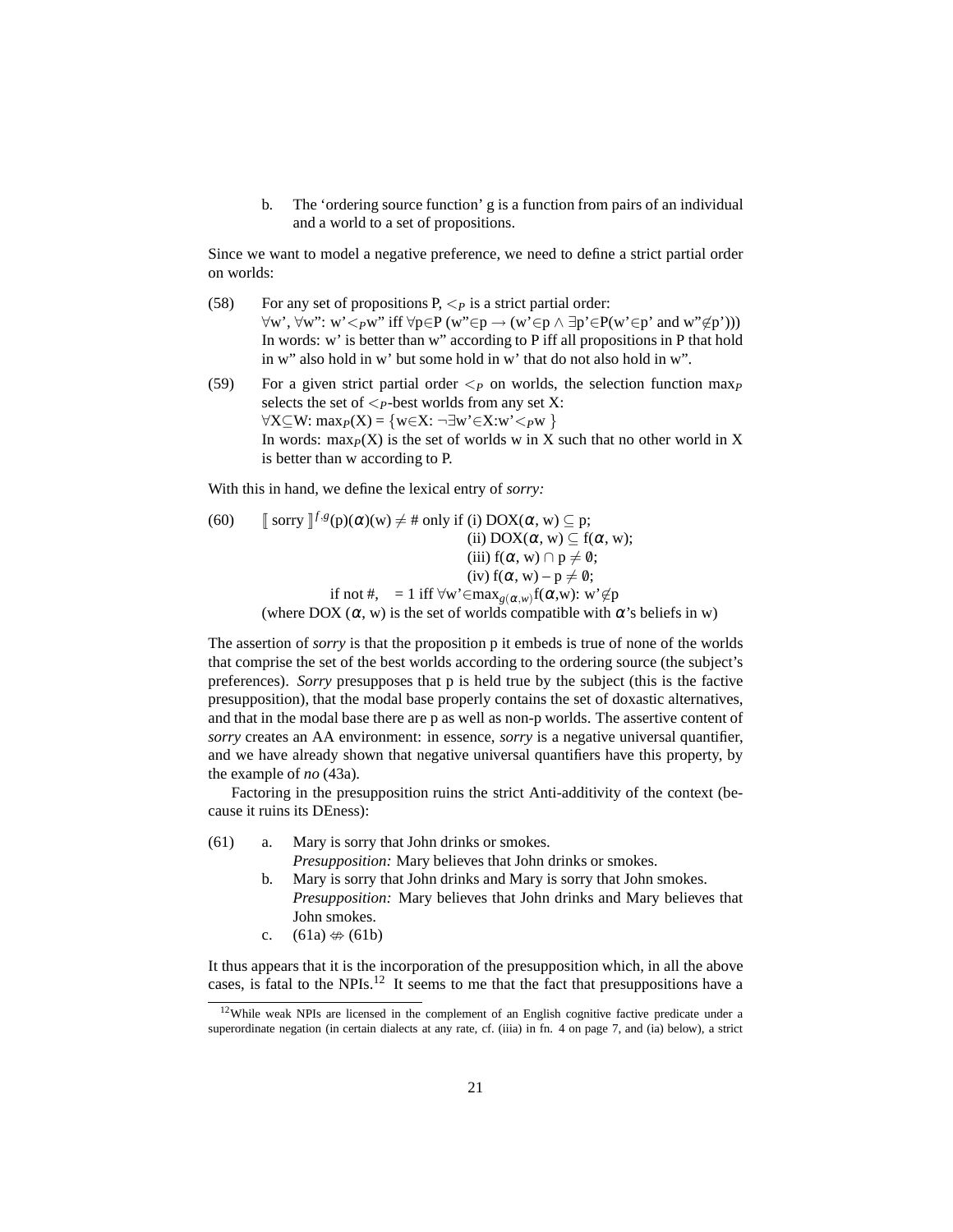b. The 'ordering source function' g is a function from pairs of an individual and a world to a set of propositions.

Since we want to model a negative preference, we need to define a strict partial order on worlds:

- (58) For any set of propositions  $P, \langle P \rangle$  is a strict partial order:  $\forall w', \forall w'': w' <_{P}w'' \text{ iff } \forall p \in P(w'' \in p \rightarrow (w' \in p \land \exists p' \in P(w' \in p' \text{ and } w'' \notin p'))$ In words: w' is better than w" according to P iff all propositions in P that hold in w" also hold in w' but some hold in w' that do not also hold in w".
- (59) For a given strict partial order <*<sup>P</sup>* on worlds, the selection function max*<sup>P</sup>* selects the set of  $\leq_P$ -best worlds from any set X: ∀X⊆W: max*P*(X) = {w∈X: ¬∃w'∈X:w'<*P*w } In words:  $\max_{P}(X)$  is the set of worlds w in X such that no other world in X is better than w according to P.

<span id="page-20-3"></span>With this in hand, we define the lexical entry of *sorry:*

(60)  $\int \int_0^{\infty}$  *f*  $\int_0^{\infty} f(s) g(x)$  (w)  $\neq \$  only if (i) DOX( $\alpha$ , w)  $\subseteq$  p; (ii)  $DOX(\alpha, w) \subseteq f(\alpha, w);$ (iii)  $f(\alpha, w) \cap p \neq \emptyset$ ; (iv)  $f(\alpha, w) - p \neq \emptyset$ ; if not #, = 1 iff  $\forall w' \in \max_{g(\alpha,w)} f(\alpha,w)$ : w' $\not\in p$ (where DOX  $(\alpha, w)$  is the set of worlds compatible with  $\alpha$ 's beliefs in w)

The assertion of *sorry* is that the proposition p it embeds is true of none of the worlds that comprise the set of the best worlds according to the ordering source (the subject's preferences). *Sorry* presupposes that p is held true by the subject (this is the factive presupposition), that the modal base properly contains the set of doxastic alternatives, and that in the modal base there are p as well as non-p worlds. The assertive content of *sorry* creates an AA environment: in essence, *sorry* is a negative universal quantifier, and we have already shown that negative universal quantifiers have this property, by the example of *no* [\(43a\).](#page-17-1)

Factoring in the presupposition ruins the strict Anti-additivity of the context (because it ruins its DEness):

<span id="page-20-1"></span><span id="page-20-0"></span>(61) a. Mary is sorry that John drinks or smokes.

*Presupposition:* Mary believes that John drinks or smokes.

- b. Mary is sorry that John drinks and Mary is sorry that John smokes. *Presupposition:* Mary believes that John drinks and Mary believes that John smokes.
- c.  $(61a) \nleftrightarrow (61b)$  $(61a) \nleftrightarrow (61b)$

It thus appears that it is the incorporation of the presupposition which, in all the above cases, is fatal to the NPIs.[12](#page-20-2) It seems to me that the fact that presuppositions have a

<span id="page-20-2"></span><sup>&</sup>lt;sup>12</sup>While weak NPIs are licensed in the complement of an English cognitive factive predicate under a superordinate negation (in certain dialects at any rate, cf. [\(iiia\)](#page-6-5) in fn. [4](#page-6-1) on page [7,](#page-6-5) and [\(ia\)](#page-21-0) below), a strict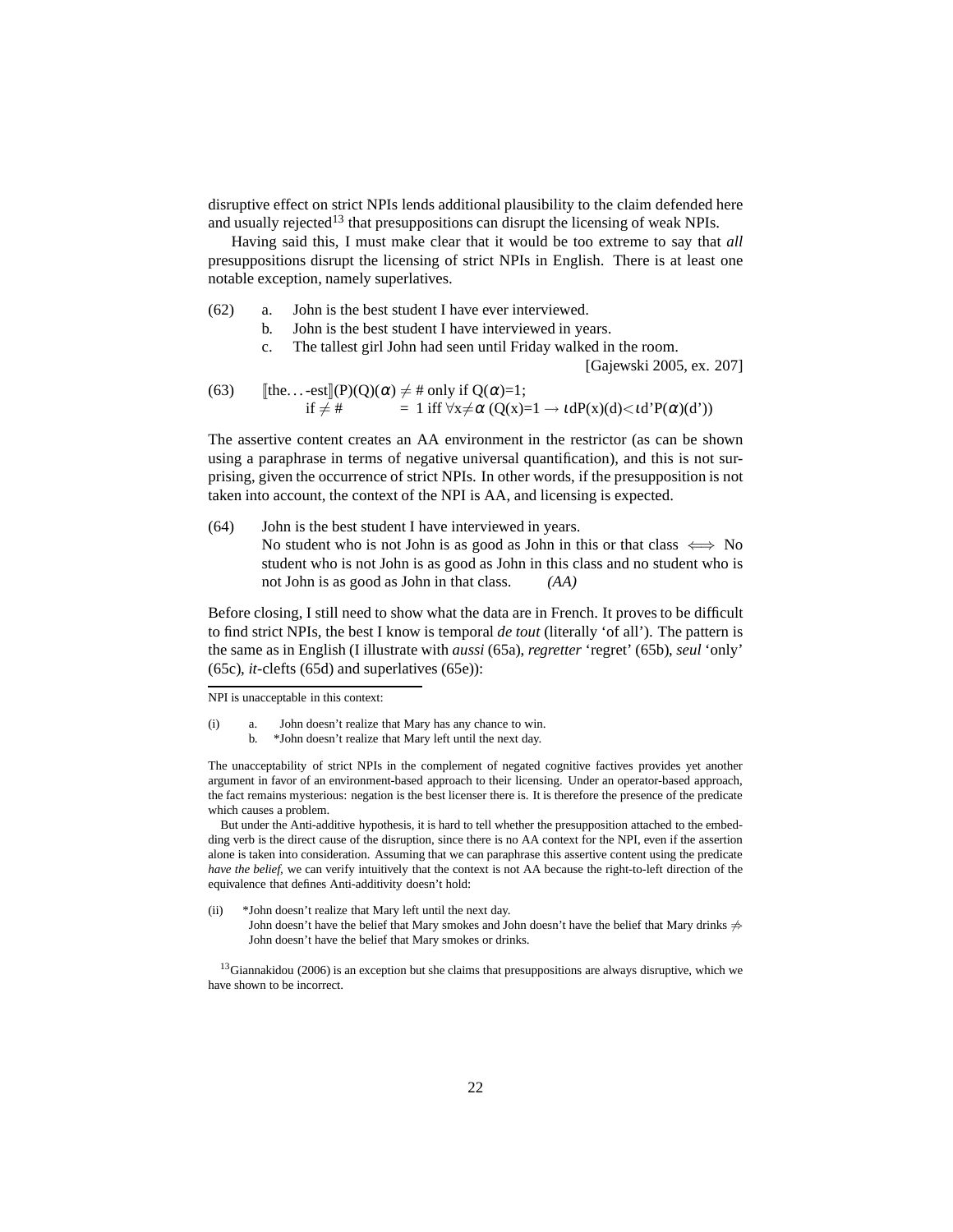disruptive effect on strict NPIs lends additional plausibility to the claim defended here and usually rejected<sup>[13](#page-21-1)</sup> that presuppositions can disrupt the licensing of weak NPIs.

Having said this, I must make clear that it would be too extreme to say that *all* presuppositions disrupt the licensing of strict NPIs in English. There is at least one notable exception, namely superlatives.

- (62) a. John is the best student I have ever interviewed.
	- b. John is the best student I have interviewed in years.
	- c. The tallest girl John had seen until Friday walked in the room.

[\[Gajewski 2005,](#page-58-6) ex. 207]

(63) 
$$
\begin{array}{ll}\n\text{[the...-est]} & (P)(Q)(\alpha) \neq \text{# only if } Q(\alpha)=1; \\
\text{if } \neq \text{#} &= 1 \text{ iff } \forall x \neq \alpha \ (Q(x)=1 \rightarrow \text{tdP}(x)(d) < \text{td'}P(\alpha)(d'))\n\end{array}
$$

The assertive content creates an AA environment in the restrictor (as can be shown using a paraphrase in terms of negative universal quantification), and this is not surprising, given the occurrence of strict NPIs. In other words, if the presupposition is not taken into account, the context of the NPI is AA, and licensing is expected.

(64) John is the best student I have interviewed in years. No student who is not John is as good as John in this or that class  $\iff$  No student who is not John is as good as John in this class and no student who is not John is as good as John in that class. *(AA)*

Before closing, I still need to show what the data are in French. It proves to be difficult to find strict NPIs, the best I know is temporal *de tout* (literally 'of all'). The pattern is the same as in English (I illustrate with *aussi* [\(65a\),](#page-22-0) *regretter* 'regret' [\(65b\),](#page-22-1) *seul* 'only' [\(65c\),](#page-22-2) *it*-clefts [\(65d\)](#page-22-3) and superlatives [\(65e\)\)](#page-22-4):

NPI is unacceptable in this context:

The unacceptability of strict NPIs in the complement of negated cognitive factives provides yet another argument in favor of an environment-based approach to their licensing. Under an operator-based approach, the fact remains mysterious: negation is the best licenser there is. It is therefore the presence of the predicate which causes a problem.

But under the Anti-additive hypothesis, it is hard to tell whether the presupposition attached to the embedding verb is the direct cause of the disruption, since there is no AA context for the NPI, even if the assertion alone is taken into consideration. Assuming that we can paraphrase this assertive content using the predicate *have the belief,* we can verify intuitively that the context is not AA because the right-to-left direction of the equivalence that defines Anti-additivity doesn't hold:

(ii) \*John doesn't realize that Mary left until the next day. John doesn't have the belief that Mary smokes and John doesn't have the belief that Mary drinks  $\Rightarrow$ John doesn't have the belief that Mary smokes or drinks.

<span id="page-21-1"></span> $13$ [Giannakidou \(2006\)](#page-58-9) is an exception but she claims that presuppositions are always disruptive, which we have shown to be incorrect.

<span id="page-21-0"></span><sup>(</sup>i) a. John doesn't realize that Mary has any chance to win. b. \*John doesn't realize that Mary left until the next day.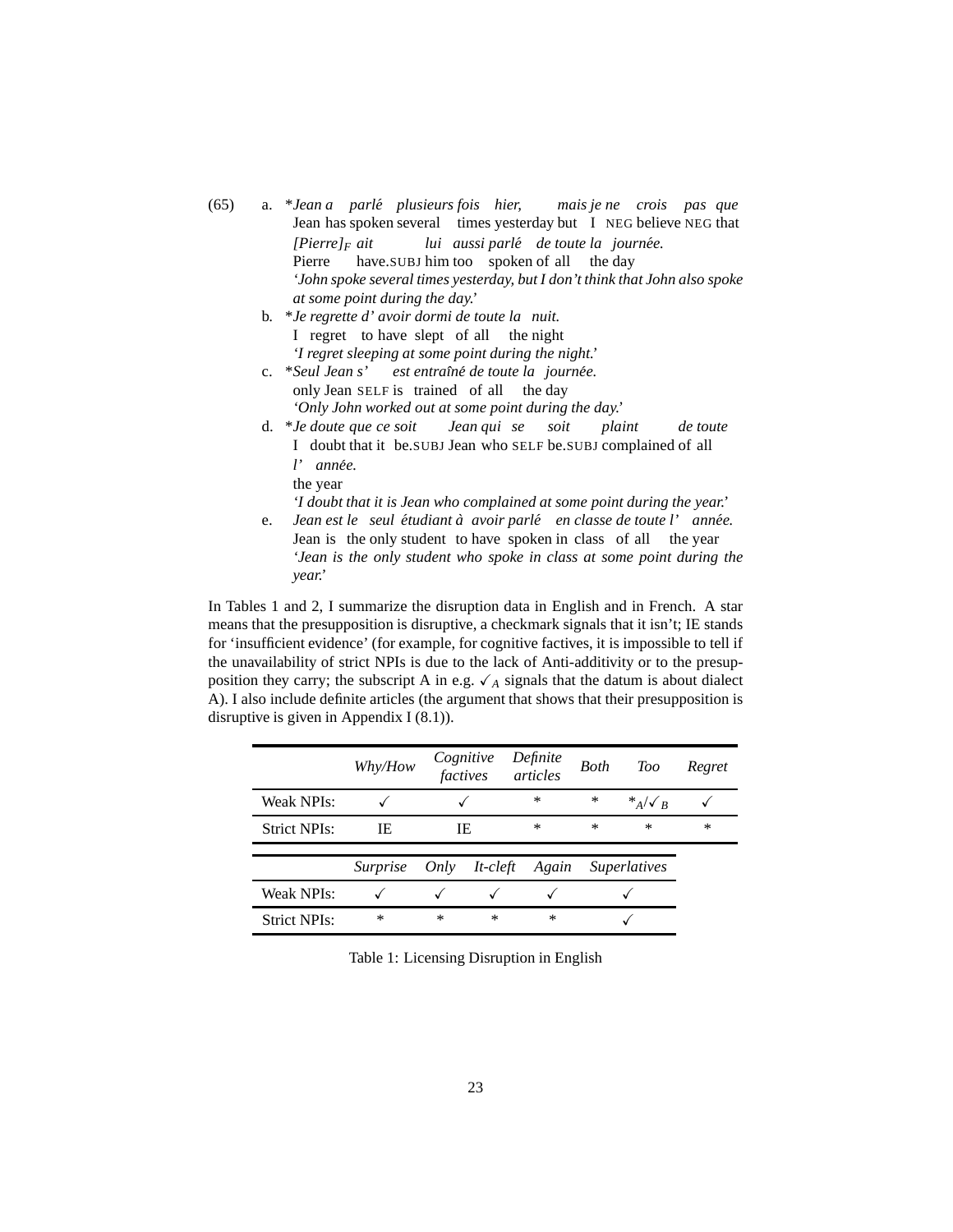- <span id="page-22-2"></span><span id="page-22-1"></span><span id="page-22-0"></span>(65) a. \**Jean a parle´ plusieurs fois hier,* Jean has spoken several times yesterday but I NEG believe NEG that *mais je ne crois pas que [Pierre]<sup>F</sup> ait* Pierre have.SUBJ him too spoken of all the day *lui aussi parle´ de toute la journee. ´ 'John spoke several times yesterday, but I don't think that John also spoke at some point during the day.'*
	- b. \**Je regrette d' avoir dormi de toute la nuit.* I regret to have slept of all the night *'I regret sleeping at some point during the night.'*
	- c. \**Seul Jean s'* only Jean SELF is trained of all the day *est entraˆıne´ de toute la journee. ´ 'Only John worked out at some point during the day.'*
	- d. \**Je doute que ce soit* I doubt that it be.SUBJ Jean who SELF be.SUBJ complained of all *Jean qui se soit plaint de toute l' annee. ´*

the year *'I doubt that it is Jean who complained at some point during the year.'*

<span id="page-22-3"></span>e. Jean est le seul étudiant à avoir parlé en classe de toute l'année. Jean is the only student to have spoken in class of all the year *'Jean is the only student who spoke in class at some point during the year.'*

<span id="page-22-4"></span>In Tables [1](#page-22-5) and [2,](#page-23-1) I summarize the disruption data in English and in French. A star means that the presupposition is disruptive, a checkmark signals that it isn't; IE stands for 'insufficient evidence' (for example, for cognitive factives, it is impossible to tell if the unavailability of strict NPIs is due to the lack of Anti-additivity or to the presupposition they carry; the subscript A in e.g.  $\checkmark$  a signals that the datum is about dialect A). I also include definite articles (the argument that shows that their presupposition is disruptive is given in Appendix I [\(8.1\)](#page-47-2)).

|                     | Why/How         | Cognitive<br>factives |               | Definite<br>articles | <b>Both</b> | Too                 | Regret |
|---------------------|-----------------|-----------------------|---------------|----------------------|-------------|---------------------|--------|
| <b>Weak NPIs:</b>   |                 |                       |               | ∗                    | ∗           | $*_{A}/\sqrt{R}$    |        |
| <b>Strict NPIs:</b> | IE              | IE                    |               | ∗                    | $\ast$      | $\ast$              | $\ast$ |
|                     | <i>Surprise</i> | Only                  | $It - c left$ | Again                |             | <b>Superlatives</b> |        |
| <b>Weak NPIs:</b>   |                 |                       |               |                      |             |                     |        |
|                     |                 |                       |               |                      |             |                     |        |

<span id="page-22-5"></span>Table 1: Licensing Disruption in English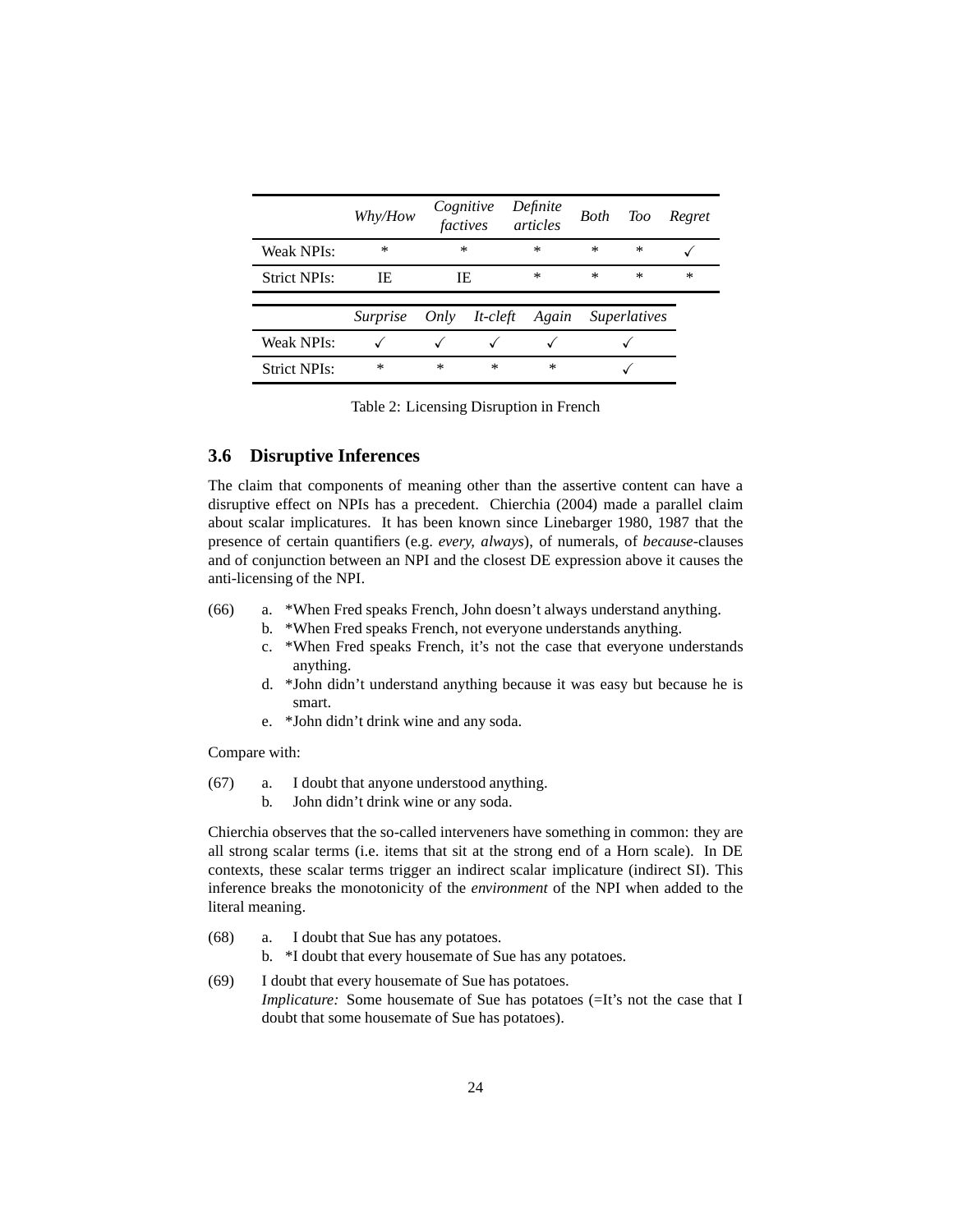|                     | Why/How         | factives | Cognitive   | Definite<br>articles | Both   | Too                 | Regret |
|---------------------|-----------------|----------|-------------|----------------------|--------|---------------------|--------|
| Weak NPIs:          | $\ast$          |          | $\ast$      | $\ast$               | $\ast$ | $\ast$              |        |
| <b>Strict NPIs:</b> | IE.             |          | IE          | ∗                    | $\ast$ | $\ast$              | $\ast$ |
|                     | <i>Surprise</i> | Only     | $It$ -cleft | Again                |        | <i>Superlatives</i> |        |
| <b>Weak NPIs:</b>   |                 |          |             |                      |        |                     |        |
| <b>Strict NPIs:</b> | *               | $\ast$   | *           | $\ast$               |        |                     |        |

<span id="page-23-1"></span>Table 2: Licensing Disruption in French

## <span id="page-23-0"></span>**3.6 Disruptive Inferences**

The claim that components of meaning other than the assertive content can have a disruptive effect on NPIs has a precedent. [Chierchia](#page-58-10) [\(2004\)](#page-58-10) made a parallel claim about scalar implicatures. It has been known since [Linebarger 1980,](#page-59-9) [1987](#page-59-10) that the presence of certain quantifiers (e.g. *every, always*), of numerals, of *because-*clauses and of conjunction between an NPI and the closest DE expression above it causes the anti-licensing of the NPI.

- (66) a. \*When Fred speaks French, John doesn't always understand anything.
	- b. \*When Fred speaks French, not everyone understands anything.
	- c. \*When Fred speaks French, it's not the case that everyone understands anything.
	- d. \*John didn't understand anything because it was easy but because he is smart.
	- e. \*John didn't drink wine and any soda.

Compare with:

- (67) a. I doubt that anyone understood anything.
	- b. John didn't drink wine or any soda.

Chierchia observes that the so-called interveners have something in common: they are all strong scalar terms (i.e. items that sit at the strong end of a Horn scale). In DE contexts, these scalar terms trigger an indirect scalar implicature (indirect SI). This inference breaks the monotonicity of the *environment* of the NPI when added to the literal meaning.

- <span id="page-23-3"></span><span id="page-23-2"></span>(68) a. I doubt that Sue has any potatoes.
	- b. \*I doubt that every housemate of Sue has any potatoes.
- (69) I doubt that every housemate of Sue has potatoes. *Implicature:* Some housemate of Sue has potatoes (=It's not the case that I doubt that some housemate of Sue has potatoes).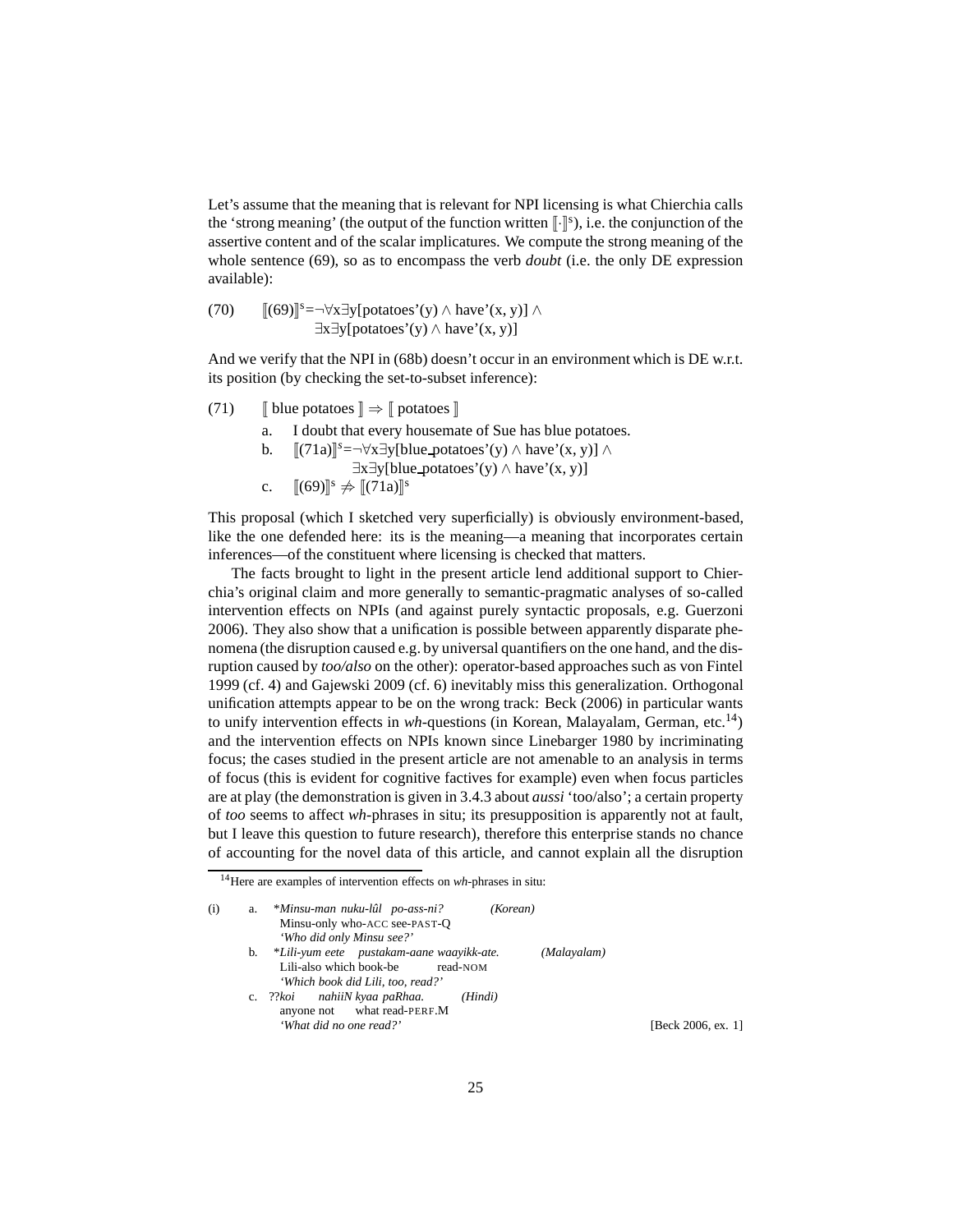Let's assume that the meaning that is relevant for NPI licensing is what Chierchia calls the 'strong meaning' (the output of the function written  $\lbrack \cdot \rbrack^s$ ), i.e. the conjunction of the assertive content and of the scalar implicatures. We compute the strong meaning of the whole sentence [\(69\),](#page-23-2) so as to encompass the verb *doubt* (i.e. the only DE expression available):

(70) 
$$
[(69)]^{s} = \forall x \exists y [potatoes'(y) \land have'(x, y)] \land \exists x \exists y [potatoes'(y) \land have'(x, y)]
$$

And we verify that the NPI in [\(68b\)](#page-23-3) doesn't occur in an environment which is DE w.r.t. its position (by checking the set-to-subset inference):

- <span id="page-24-0"></span>(71)  $\blacksquare$  blue potatoes  $\rrbracket \Rightarrow \ulcorner$  potatoes  $\rrbracket$ 
	- a. I doubt that every housemate of Sue has blue potatoes.
	- b.  $[[(71a)]^s = \forall x \exists y$  $[[(71a)]^s = \forall x \exists y$  $[[(71a)]^s = \forall x \exists y$ [blue\_potatoes'(y)  $\land$  have'(x, y)]  $\land$ 
		- ∃x∃y[blue potatoes'(y) ∧ have'(x, y)]
	- c.  $[(69)]^s \neq [(71a)]^s$  $[(69)]^s \neq [(71a)]^s$  $[(69)]^s \neq [(71a)]^s$  $[(69)]^s \neq [(71a)]^s$  $[(69)]^s \neq [(71a)]^s$

This proposal (which I sketched very superficially) is obviously environment-based, like the one defended here: its is the meaning—a meaning that incorporates certain inferences—of the constituent where licensing is checked that matters.

The facts brought to light in the present article lend additional support to Chierchia's original claim and more generally to semantic-pragmatic analyses of so-called intervention effects on NPIs (and against purely syntactic proposals, e.g. [Guerzoni](#page-58-4) [2006\)](#page-58-4). They also show that a unification is possible between apparently disparate phenomena (the disruption caused e.g. by universal quantifiers on the one hand, and the disruption caused by *too/also* on the other): operator-based approaches such as [von Fintel](#page-58-2) [1999](#page-58-2) (cf. [4\)](#page-25-0) and [Gajewski 2009](#page-58-3) (cf. [6\)](#page-44-0) inevitably miss this generalization. Orthogonal unification attempts appear to be on the wrong track: [Beck](#page-57-0) [\(2006\)](#page-57-0) in particular wants to unify intervention effects in *wh*-questions (in Korean, Malayalam, German, etc.[14](#page-24-1)) and the intervention effects on NPIs known since [Linebarger](#page-59-9) [1980](#page-59-9) by incriminating focus; the cases studied in the present article are not amenable to an analysis in terms of focus (this is evident for cognitive factives for example) even when focus particles are at play (the demonstration is given in [3.4.3](#page-12-0) about *aussi* 'too/also'; a certain property of *too* seems to affect *wh*-phrases in situ; its presupposition is apparently not at fault, but I leave this question to future research), therefore this enterprise stands no chance of accounting for the novel data of this article, and cannot explain all the disruption

<sup>14</sup>Here are examples of intervention effects on *wh*-phrases in situ:

<span id="page-24-1"></span>

| [Beck 2006, ex. 1] |
|--------------------|
|                    |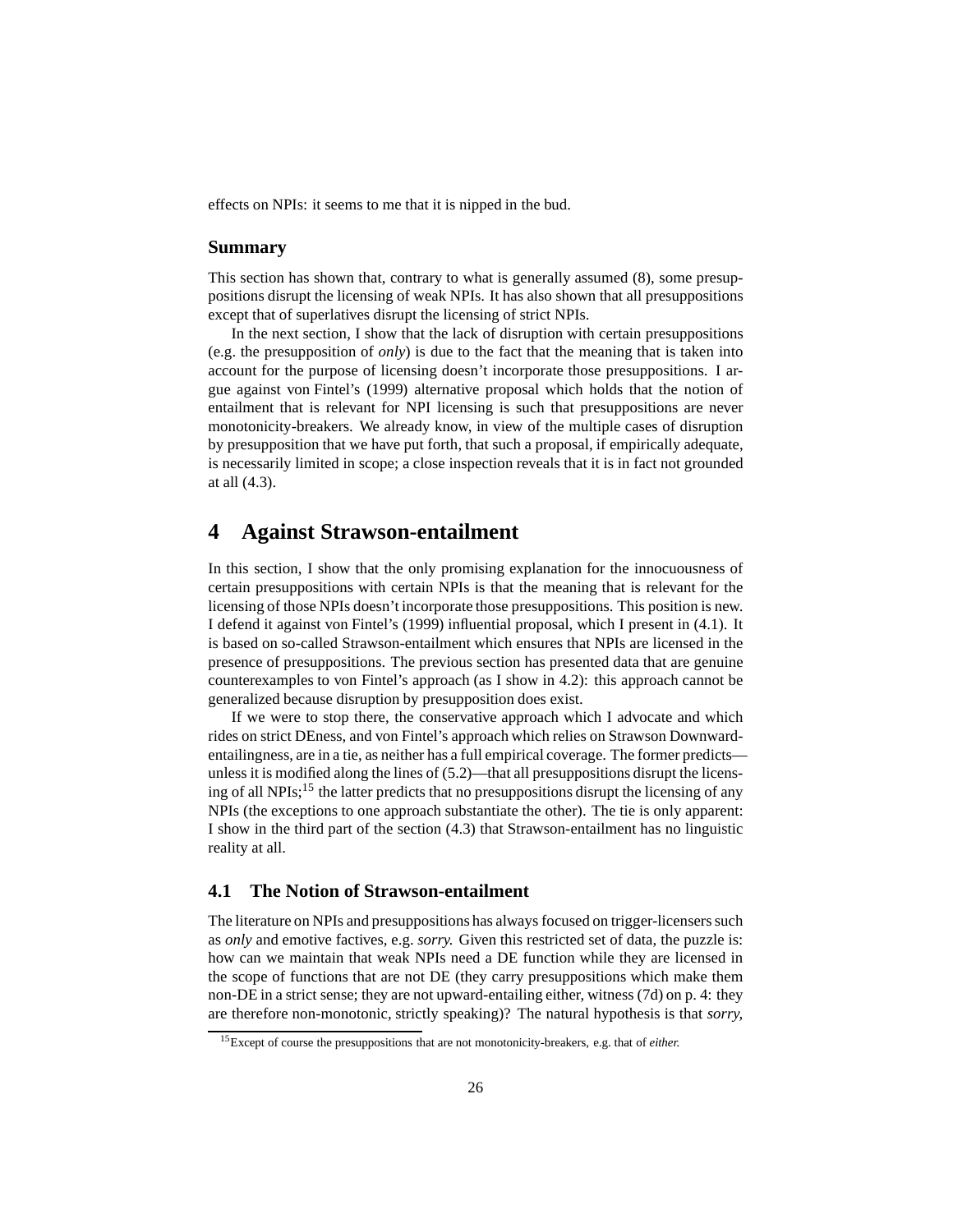effects on NPIs: it seems to me that it is nipped in the bud.

## **Summary**

This section has shown that, contrary to what is generally assumed [\(8\),](#page-3-5) some presuppositions disrupt the licensing of weak NPIs. It has also shown that all presuppositions except that of superlatives disrupt the licensing of strict NPIs.

In the next section, I show that the lack of disruption with certain presuppositions (e.g. the presupposition of *only*) is due to the fact that the meaning that is taken into account for the purpose of licensing doesn't incorporate those presuppositions. I argue against [von Fintel'](#page-58-2)s [\(1999\)](#page-58-2) alternative proposal which holds that the notion of entailment that is relevant for NPI licensing is such that presuppositions are never monotonicity-breakers. We already know, in view of the multiple cases of disruption by presupposition that we have put forth, that such a proposal, if empirically adequate, is necessarily limited in scope; a close inspection reveals that it is in fact not grounded at all [\(4.3\)](#page-32-0).

# <span id="page-25-0"></span>**4 Against Strawson-entailment**

In this section, I show that the only promising explanation for the innocuousness of certain presuppositions with certain NPIs is that the meaning that is relevant for the licensing of those NPIs doesn't incorporate those presuppositions. This position is new. I defend it against [von Fintel](#page-58-2)'s [\(1999](#page-58-2)) influential proposal, which I present in [\(4.1\)](#page-25-1). It is based on so-called Strawson-entailment which ensures that NPIs are licensed in the presence of presuppositions. The previous section has presented data that are genuine counterexamples to von Fintel's approach (as I show in [4.2\)](#page-30-0): this approach cannot be generalized because disruption by presupposition does exist.

If we were to stop there, the conservative approach which I advocate and which rides on strict DEness, and von Fintel's approach which relies on Strawson Downwardentailingness, are in a tie, as neither has a full empirical coverage. The former predicts unless it is modified along the lines of [\(5.2\)](#page-41-0)—that all presuppositions disrupt the licensing of all NPIs;[15](#page-25-2) the latter predicts that no presuppositions disrupt the licensing of any NPIs (the exceptions to one approach substantiate the other). The tie is only apparent: I show in the third part of the section [\(4.3\)](#page-32-0) that Strawson-entailment has no linguistic reality at all.

#### <span id="page-25-1"></span>**4.1 The Notion of Strawson-entailment**

The literature on NPIs and presuppositions has always focused on trigger-licensers such as *only* and emotive factives, e.g. *sorry.* Given this restricted set of data, the puzzle is: how can we maintain that weak NPIs need a DE function while they are licensed in the scope of functions that are not DE (they carry presuppositions which make them non-DE in a strict sense; they are not upward-entailing either, witness [\(7d\)](#page-3-6) on p. [4:](#page-3-6) they are therefore non-monotonic, strictly speaking)? The natural hypothesis is that *sorry,*

<span id="page-25-2"></span><sup>15</sup>Except of course the presuppositions that are not monotonicity-breakers, e.g. that of *either.*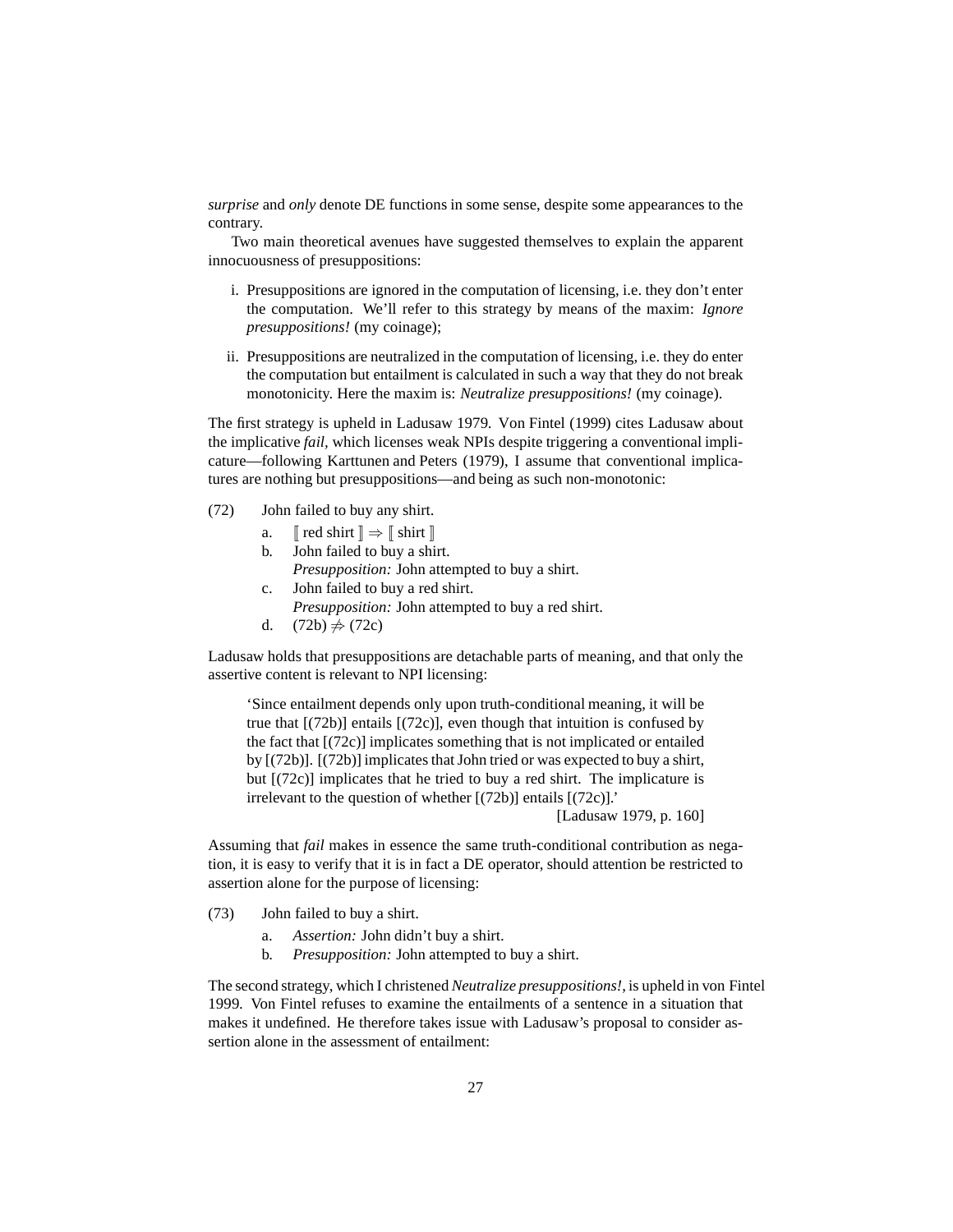*surprise* and *only* denote DE functions in some sense, despite some appearances to the contrary.

Two main theoretical avenues have suggested themselves to explain the apparent innocuousness of presuppositions:

- i. Presuppositions are ignored in the computation of licensing, i.e. they don't enter the computation. We'll refer to this strategy by means of the maxim: *Ignore presuppositions!* (my coinage);
- ii. Presuppositions are neutralized in the computation of licensing, i.e. they do enter the computation but entailment is calculated in such a way that they do not break monotonicity. Here the maxim is: *Neutralize presuppositions!* (my coinage).

The first strategy is upheld in [Ladusaw 1979.](#page-59-0) [Von Fintel \(1999\)](#page-58-2) cites Ladusaw about the implicative *fail,* which licenses weak NPIs despite triggering a conventional implicature—following [Karttunen and Peters \(1979\)](#page-59-11), I assume that conventional implicatures are nothing but presuppositions—and being as such non-monotonic:

<span id="page-26-1"></span><span id="page-26-0"></span>(72) John failed to buy any shirt.

- a.  $\lceil \cdot \rceil$  red shirt  $\rceil \Rightarrow \lceil \cdot \rceil$  shirt  $\rceil$ 
	- b. John failed to buy a shirt. *Presupposition:* John attempted to buy a shirt. c. John failed to buy a red shirt.
		- *Presupposition:* John attempted to buy a red shirt.
	- d.  $(72b) \neq (72c)$  $(72b) \neq (72c)$

Ladusaw holds that presuppositions are detachable parts of meaning, and that only the assertive content is relevant to NPI licensing:

'Since entailment depends only upon truth-conditional meaning, it will be true that  $[(72b)]$  entails  $[(72c)]$ , even though that intuition is confused by the fact that [\[\(72c\)\]](#page-26-1) implicates something that is not implicated or entailed by [\[\(72b\)\]](#page-26-0). [\[\(72b\)\]](#page-26-0) implicates that John tried or was expected to buy a shirt, but [\[\(72c\)\]](#page-26-1) implicates that he tried to buy a red shirt. The implicature is irrelevant to the question of whether [\[\(72b\)\]](#page-26-0) entails [\[\(72c\)\]](#page-26-1).'

[\[Ladusaw 1979,](#page-59-0) p. 160]

Assuming that *fail* makes in essence the same truth-conditional contribution as negation, it is easy to verify that it is in fact a DE operator, should attention be restricted to assertion alone for the purpose of licensing:

- (73) John failed to buy a shirt.
	- a. *Assertion:* John didn't buy a shirt.
	- b. *Presupposition:* John attempted to buy a shirt.

The second strategy, which I christened *Neutralize presuppositions!*, is upheld in [von Fintel](#page-58-2) [1999.](#page-58-2) Von Fintel refuses to examine the entailments of a sentence in a situation that makes it undefined. He therefore takes issue with Ladusaw's proposal to consider assertion alone in the assessment of entailment: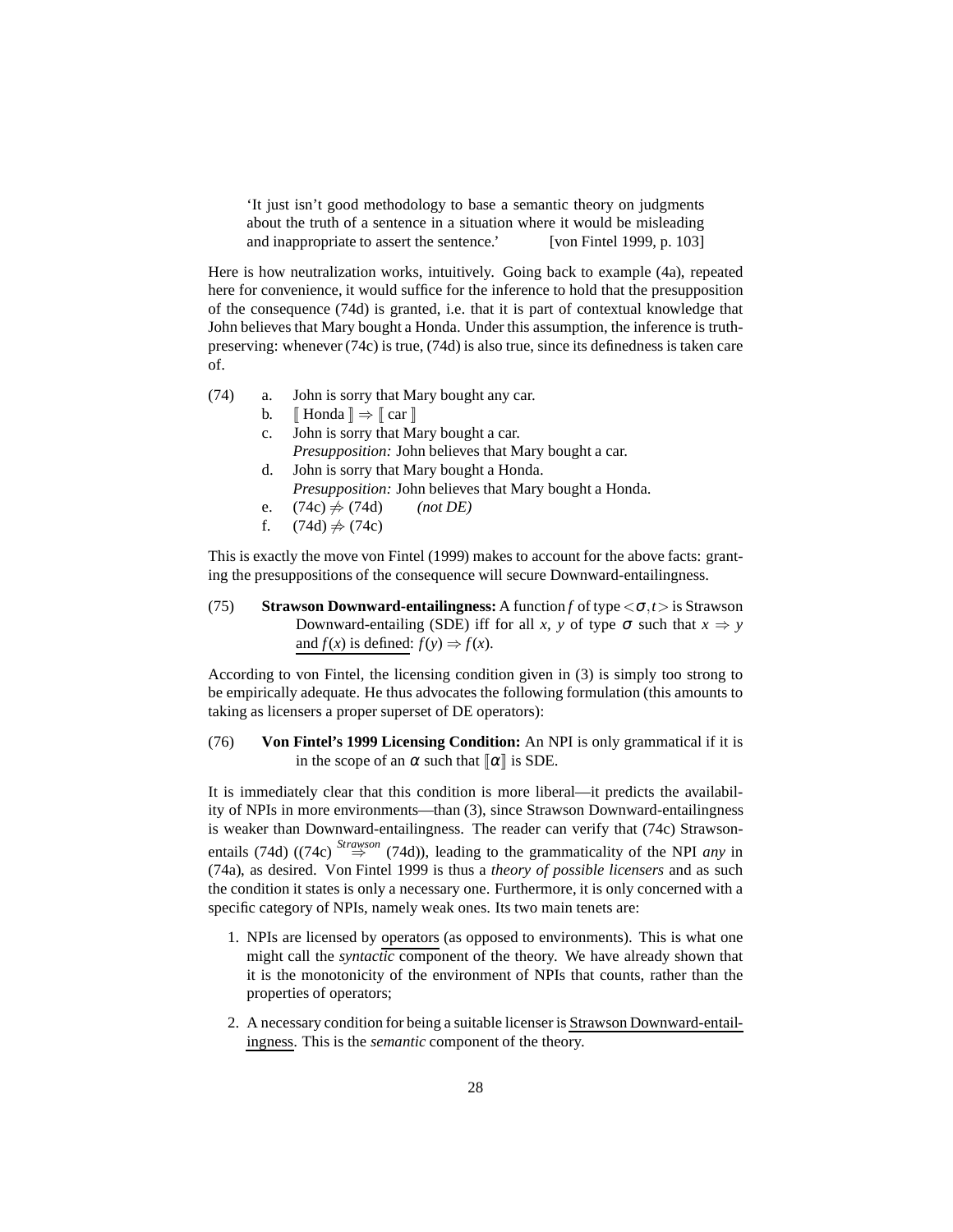'It just isn't good methodology to base a semantic theory on judgments about the truth of a sentence in a situation where it would be misleading and inappropriate to assert the sentence.' [\[von Fintel 1999,](#page-58-2) p. 103]

Here is how neutralization works, intuitively. Going back to example [\(4a\),](#page-3-0) repeated here for convenience, it would suffice for the inference to hold that the presupposition of the consequence [\(74d\)](#page-27-0) is granted, i.e. that it is part of contextual knowledge that John believes that Mary bought a Honda. Under this assumption, the inference is truthpreserving: whenever [\(74c\)](#page-27-1) is true, [\(74d\)](#page-27-0) is also true, since its definedness is taken care of.

- <span id="page-27-2"></span><span id="page-27-1"></span><span id="page-27-0"></span>(74) a. John is sorry that Mary bought any car.
	- b.  $\mathbb{I}$  Honda  $\mathbb{I} \Rightarrow \mathbb{I}$  car  $\mathbb{I}$
	- c. John is sorry that Mary bought a car. *Presupposition:* John believes that Mary bought a car.
	- d. John is sorry that Mary bought a Honda. *Presupposition:* John believes that Mary bought a Honda.
	- e.  $(74c) \neq (74d)$  $(74c) \neq (74d)$  *(not DE)*
	- f.  $(74d) \neq (74c)$  $(74d) \neq (74c)$

This is exactly the move [von Fintel](#page-58-2) [\(1999\)](#page-58-2) makes to account for the above facts: granting the presuppositions of the consequence will secure Downward-entailingness.

(75) **Strawson Downward-entailingness:** A function *f* of type  $\langle \sigma, t \rangle$  is Strawson Downward-entailing (SDE) iff for all *x*, *y* of type  $\sigma$  such that  $x \Rightarrow y$ and  $f(x)$  is defined:  $f(y) \Rightarrow f(x)$ .

According to von Fintel, the licensing condition given in [\(3\)](#page-2-3) is simply too strong to be empirically adequate. He thus advocates the following formulation (this amounts to taking as licensers a proper superset of DE operators):

## (76) **[Von Fintel](#page-58-2)'s [1999](#page-58-2) Licensing Condition:** An NPI is only grammatical if it is in the scope of an  $\alpha$  such that  $\alpha$  is SDE.

It is immediately clear that this condition is more liberal—it predicts the availability of NPIs in more environments—than [\(3\),](#page-2-3) since Strawson Downward-entailingness is weaker than Downward-entailingness. The reader can verify that [\(74c\)](#page-27-1) Strawson-entails [\(74d\)](#page-27-0) [\(\(74c\)](#page-27-1)  $\stackrel{Stransson}{\Rightarrow}$  [\(74d\)\)](#page-27-0), leading to the grammaticality of the NPI *any* in [\(74a\),](#page-27-2) as desired. [Von Fintel 1999](#page-58-2) is thus a *theory of possible licensers* and as such the condition it states is only a necessary one. Furthermore, it is only concerned with a specific category of NPIs, namely weak ones. Its two main tenets are:

- 1. NPIs are licensed by operators (as opposed to environments). This is what one might call the *syntactic* component of the theory. We have already shown that it is the monotonicity of the environment of NPIs that counts, rather than the properties of operators;
- 2. A necessary condition for being a suitable licenser is Strawson Downward-entailingness. This is the *semantic* component of the theory.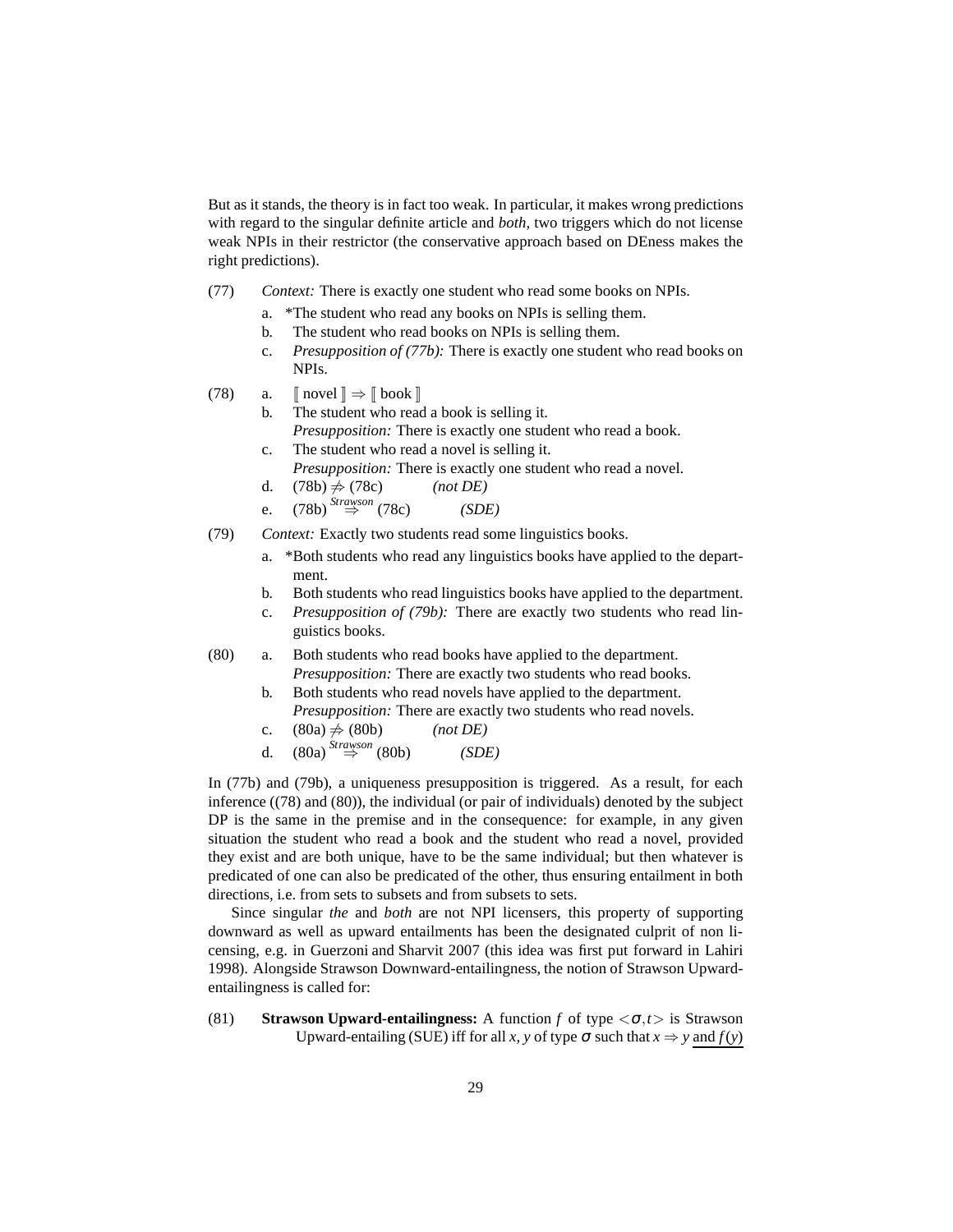But as it stands, the theory is in fact too weak. In particular, it makes wrong predictions with regard to the singular definite article and *both,* two triggers which do not license weak NPIs in their restrictor (the conservative approach based on DEness makes the right predictions).

- <span id="page-28-0"></span>(77) *Context:* There is exactly one student who read some books on NPIs.
	- a. \*The student who read any books on NPIs is selling them.
	- b. The student who read books on NPIs is selling them.
	- c. *Presupposition of [\(77b\):](#page-28-0)* There is exactly one student who read books on NPIs.
- <span id="page-28-6"></span><span id="page-28-2"></span><span id="page-28-1"></span>(78) a.  $\lceil \text{novel} \rceil \Rightarrow \lceil \text{book} \rceil$ 
	- b. The student who read a book is selling it.
		- *Presupposition:* There is exactly one student who read a book.
	- c. The student who read a novel is selling it.
		- *Presupposition:* There is exactly one student who read a novel.
	- d.  $(78b) \neq (78c)$  $(78b) \neq (78c)$  *(not DE)*
	- e. [\(78b\)](#page-28-1) *Strawson* ⇒ [\(78c\)](#page-28-2) *(SDE)*
- <span id="page-28-3"></span>(79) *Context:* Exactly two students read some linguistics books.
	- a. \*Both students who read any linguistics books have applied to the department.
	- b. Both students who read linguistics books have applied to the department.
	- c. *Presupposition of [\(79b\):](#page-28-3)* There are exactly two students who read linguistics books.
- <span id="page-28-7"></span><span id="page-28-5"></span><span id="page-28-4"></span>(80) a. Both students who read books have applied to the department. *Presupposition:* There are exactly two students who read books.
	- b. Both students who read novels have applied to the department. *Presupposition:* There are exactly two students who read novels.
	- c.  $(80a) \neq (80b)$  $(80a) \neq (80b)$  *(not DE)*
	- d. [\(80a\)](#page-28-4) *Strawson* ⇒ [\(80b\)](#page-28-5) *(SDE)*

In [\(77b\)](#page-28-0) and [\(79b\),](#page-28-3) a uniqueness presupposition is triggered. As a result, for each inference [\(\(78\)](#page-28-6) and [\(80\)\)](#page-28-7), the individual (or pair of individuals) denoted by the subject DP is the same in the premise and in the consequence: for example, in any given situation the student who read a book and the student who read a novel, provided they exist and are both unique, have to be the same individual; but then whatever is predicated of one can also be predicated of the other, thus ensuring entailment in both directions, i.e. from sets to subsets and from subsets to sets.

Since singular *the* and *both* are not NPI licensers, this property of supporting downward as well as upward entailments has been the designated culprit of non licensing, e.g. in [Guerzoni and Sharvit 2007](#page-58-5) (this idea was first put forward in [Lahiri](#page-59-12) [1998\)](#page-59-12). Alongside Strawson Downward-entailingness, the notion of Strawson Upwardentailingness is called for:

<span id="page-28-8"></span>(81) **Strawson Upward-entailingness:** A function *f* of type  $\langle \sigma, t \rangle$  is Strawson Upward-entailing (SUE) iff for all *x*, *y* of type  $\sigma$  such that  $x \Rightarrow y$  and  $f(y)$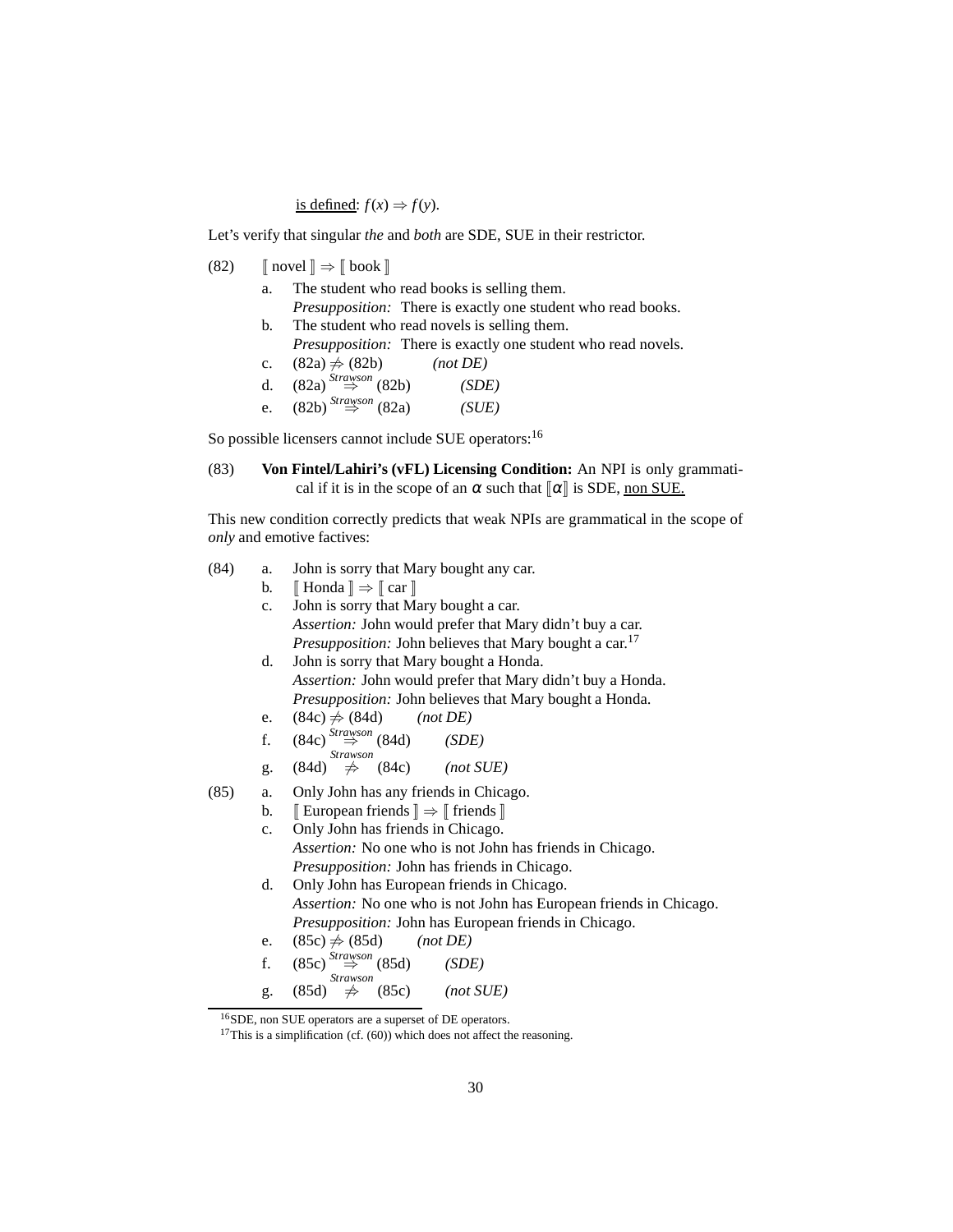is defined:  $f(x) \Rightarrow f(y)$ .

Let's verify that singular *the* and *both* are SDE, SUE in their restrictor.

- <span id="page-29-1"></span><span id="page-29-0"></span>(82)  $\lceil \text{novel} \rceil \Rightarrow \lceil \text{book} \rceil$ 
	- a. The student who read books is selling them. *Presupposition:* There is exactly one student who read books.
	- b. The student who read novels is selling them. *Presupposition:* There is exactly one student who read novels.
	- c.  $(82a) \neq (82b)$  $(82a) \neq (82b)$  *(not DE)*

| d. | $(82a)$ <sup>Strawson</sup> (82b)    | (SDE) |
|----|--------------------------------------|-------|
|    | e. $(82b)$ <sup>Strawson</sup> (82a) | (SUE) |

So possible licensers cannot include SUE operators:<sup>[16](#page-29-2)</sup>

(83) **Von Fintel/Lahiri's (vFL) Licensing Condition:** An NPI is only grammatical if it is in the scope of an  $\alpha$  such that  $\alpha$  is SDE, non SUE.

This new condition correctly predicts that weak NPIs are grammatical in the scope of *only* and emotive factives:

- <span id="page-29-5"></span><span id="page-29-4"></span>(84) a. John is sorry that Mary bought any car.
	- b.  $\llbracket$  Honda  $\rrbracket \Rightarrow \llbracket$  car  $\rrbracket$
	- c. John is sorry that Mary bought a car. *Assertion:* John would prefer that Mary didn't buy a car. *Presupposition:* John believes that Mary bought a car.<sup>[17](#page-29-3)</sup> d. John is sorry that Mary bought a Honda. *Assertion:* John would prefer that Mary didn't buy a Honda. *Presupposition:* John believes that Mary bought a Honda.
		- e.  $(84c) \neq (84d)$  $(84c) \neq (84d)$  *(not DE)*
		- f. [\(84c\)](#page-29-4) *Strawson* ⇒ [\(84d\)](#page-29-5) *(SDE)*
	- g.  $(84d) \neq$ *Strawson*<br> $\Rightarrow$  (84c) 6⇒ [\(84c\)](#page-29-4) *(not SUE)*
- <span id="page-29-7"></span><span id="page-29-6"></span>(85) a. Only John has any friends in Chicago.
	- b.  $\mathbb{I}$  European friends  $\mathbb{I} \Rightarrow \mathbb{I}$  friends  $\mathbb{I}$ 
		- c. Only John has friends in Chicago. *Assertion:* No one who is not John has friends in Chicago. *Presupposition:* John has friends in Chicago.
		- d. Only John has European friends in Chicago. *Assertion:* No one who is not John has European friends in Chicago. *Presupposition:* John has European friends in Chicago.
		- e.  $(85c) \neq (85d)$  $(85c) \neq (85d)$  *(not DE)*
		- f. [\(85c\)](#page-29-6) *Strawson* ⇒ [\(85d\)](#page-29-7) *(SDE)* g. [\(85d\)](#page-29-7) *Strawson* 6⇒ [\(85c\)](#page-29-6) *(not SUE)*

<span id="page-29-3"></span><span id="page-29-2"></span><sup>16</sup>SDE, non SUE operators are a superset of DE operators.

<sup>&</sup>lt;sup>17</sup>This is a simplification (cf.  $(60)$ ) which does not affect the reasoning.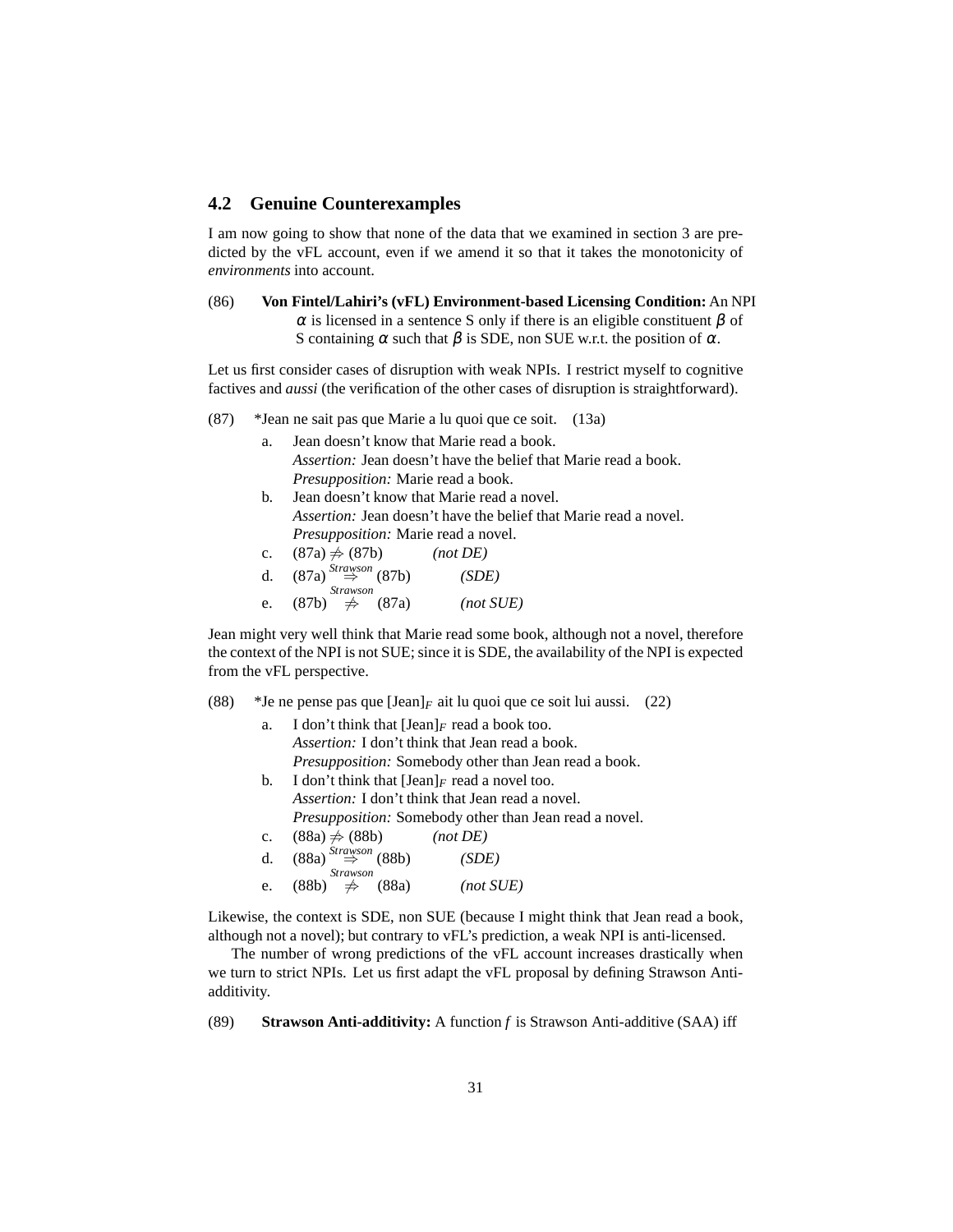# <span id="page-30-0"></span>**4.2 Genuine Counterexamples**

I am now going to show that none of the data that we examined in section [3](#page-4-0) are predicted by the vFL account, even if we amend it so that it takes the monotonicity of *environments* into account.

(86) **Von Fintel/Lahiri's (vFL) Environment-based Licensing Condition:** An NPI  $\alpha$  is licensed in a sentence S only if there is an eligible constituent β of S containing  $\alpha$  such that  $\beta$  is SDE, non SUE w.r.t. the position of  $\alpha$ .

Let us first consider cases of disruption with weak NPIs. I restrict myself to cognitive factives and *aussi* (the verification of the other cases of disruption is straightforward).

- <span id="page-30-2"></span><span id="page-30-1"></span>(87) \*Jean ne sait pas que Marie a lu quoi que ce soit. [\(13a\)](#page-6-6)
	- a. Jean doesn't know that Marie read a book. *Assertion:* Jean doesn't have the belief that Marie read a book. *Presupposition:* Marie read a book.
	- b. Jean doesn't know that Marie read a novel. *Assertion:* Jean doesn't have the belief that Marie read a novel. *Presupposition:* Marie read a novel.
	- c.  $(87a) \neq (87b)$  $(87a) \neq (87b)$  *(not DE)*

| d. | $(87a) \stackrel{Strawson}{\Rightarrow} (87b)$ | (SDE)     |
|----|------------------------------------------------|-----------|
|    | <i>Strawson</i>                                |           |
| e. | (87b)<br>$\Rightarrow$ (87a)                   | (not SUE) |

Jean might very well think that Marie read some book, although not a novel, therefore the context of the NPI is not SUE; since it is SDE, the availability of the NPI is expected from the vFL perspective.

<span id="page-30-4"></span><span id="page-30-3"></span>(88) \*Je ne pense pas que  $\text{[Jean]}_F$  ait lu quoi que ce soit lui aussi. [\(22\)](#page-10-4)

| a.             | I don't think that $[Jean]_F$ read a book too.               |
|----------------|--------------------------------------------------------------|
|                | Assertion: I don't think that Jean read a book.              |
|                | <i>Presupposition:</i> Somebody other than Jean read a book. |
| b.             | I don't think that $[Jean]_F$ read a novel too.              |
|                | <i>Assertion:</i> I don't think that Jean read a novel.      |
|                | Presupposition: Somebody other than Jean read a novel.       |
| $\mathbf{c}$ . | $(88a) \neq (88b)$<br>(not DE)                               |
| $d_{\cdot}$    | $(88a) \stackrel{Strawson}{\Rightarrow} (88b)$<br>(SDE)      |
|                | <b>Strawson</b>                                              |
| e.             | $(88b) \Rightarrow (88a)$<br>(not SUE)                       |

Likewise, the context is SDE, non SUE (because I might think that Jean read a book, although not a novel); but contrary to vFL's prediction, a weak NPI is anti-licensed.

The number of wrong predictions of the vFL account increases drastically when we turn to strict NPIs. Let us first adapt the vFL proposal by defining Strawson Antiadditivity.

(89) **Strawson Anti-additivity:** A function *f* is Strawson Anti-additive (SAA) iff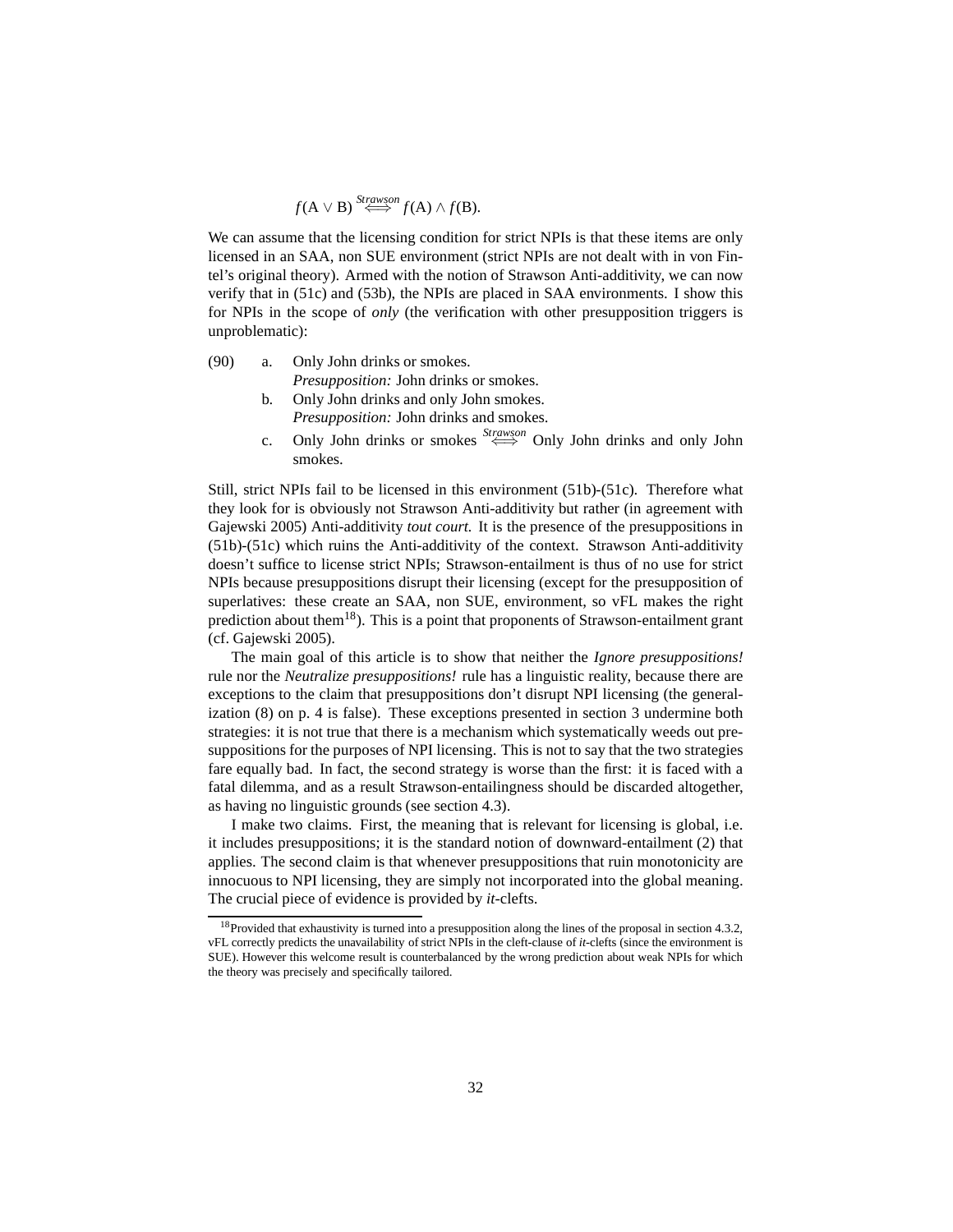$f(A \vee B) \stackrel{Strawson}{\iff} f(A) \wedge f(B).$ 

We can assume that the licensing condition for strict NPIs is that these items are only licensed in an SAA, non SUE environment (strict NPIs are not dealt with in von Fintel's original theory). Armed with the notion of Strawson Anti-additivity, we can now verify that in [\(51c\)](#page-18-1) and [\(53b\),](#page-19-2) the NPIs are placed in SAA environments. I show this for NPIs in the scope of *only* (the verification with other presupposition triggers is unproblematic):

- <span id="page-31-1"></span>(90) a. Only John drinks or smokes. *Presupposition:* John drinks or smokes.
	- b. Only John drinks and only John smokes. *Presupposition:* John drinks and smokes.
	- c. Only John drinks or smokes <sup>Strawson</sup> Only John drinks and only John smokes.

Still, strict NPIs fail to be licensed in this environment [\(51b\)](#page-18-2)[-\(51c\).](#page-18-1) Therefore what they look for is obviously not Strawson Anti-additivity but rather (in agreement with [Gajewski 2005\)](#page-58-6) Anti-additivity *tout court.* It is the presence of the presuppositions in [\(51b\)](#page-18-2)[-\(51c\)](#page-18-1) which ruins the Anti-additivity of the context. Strawson Anti-additivity doesn't suffice to license strict NPIs; Strawson-entailment is thus of no use for strict NPIs because presuppositions disrupt their licensing (except for the presupposition of superlatives: these create an SAA, non SUE, environment, so vFL makes the right prediction about them<sup>[18](#page-31-0)</sup>). This is a point that proponents of Strawson-entailment grant (cf. [Gajewski 2005\)](#page-58-6).

The main goal of this article is to show that neither the *Ignore presuppositions!* rule nor the *Neutralize presuppositions!* rule has a linguistic reality, because there are exceptions to the claim that presuppositions don't disrupt NPI licensing (the generalization [\(8\)](#page-3-5) on p. [4](#page-3-5) is false). These exceptions presented in section [3](#page-4-0) undermine both strategies: it is not true that there is a mechanism which systematically weeds out presuppositions for the purposes of NPI licensing. This is not to say that the two strategies fare equally bad. In fact, the second strategy is worse than the first: it is faced with a fatal dilemma, and as a result Strawson-entailingness should be discarded altogether, as having no linguistic grounds (see section [4.3\)](#page-32-0).

I make two claims. First, the meaning that is relevant for licensing is global, i.e. it includes presuppositions; it is the standard notion of downward-entailment [\(2\)](#page-2-4) that applies. The second claim is that whenever presuppositions that ruin monotonicity are innocuous to NPI licensing, they are simply not incorporated into the global meaning. The crucial piece of evidence is provided by *it-*clefts.

<span id="page-31-0"></span><sup>&</sup>lt;sup>18</sup>Provided that exhaustivity is turned into a presupposition along the lines of the proposal in section [4.3.2,](#page-34-0) vFL correctly predicts the unavailability of strict NPIs in the cleft-clause of *it-*clefts (since the environment is SUE). However this welcome result is counterbalanced by the wrong prediction about weak NPIs for which the theory was precisely and specifically tailored.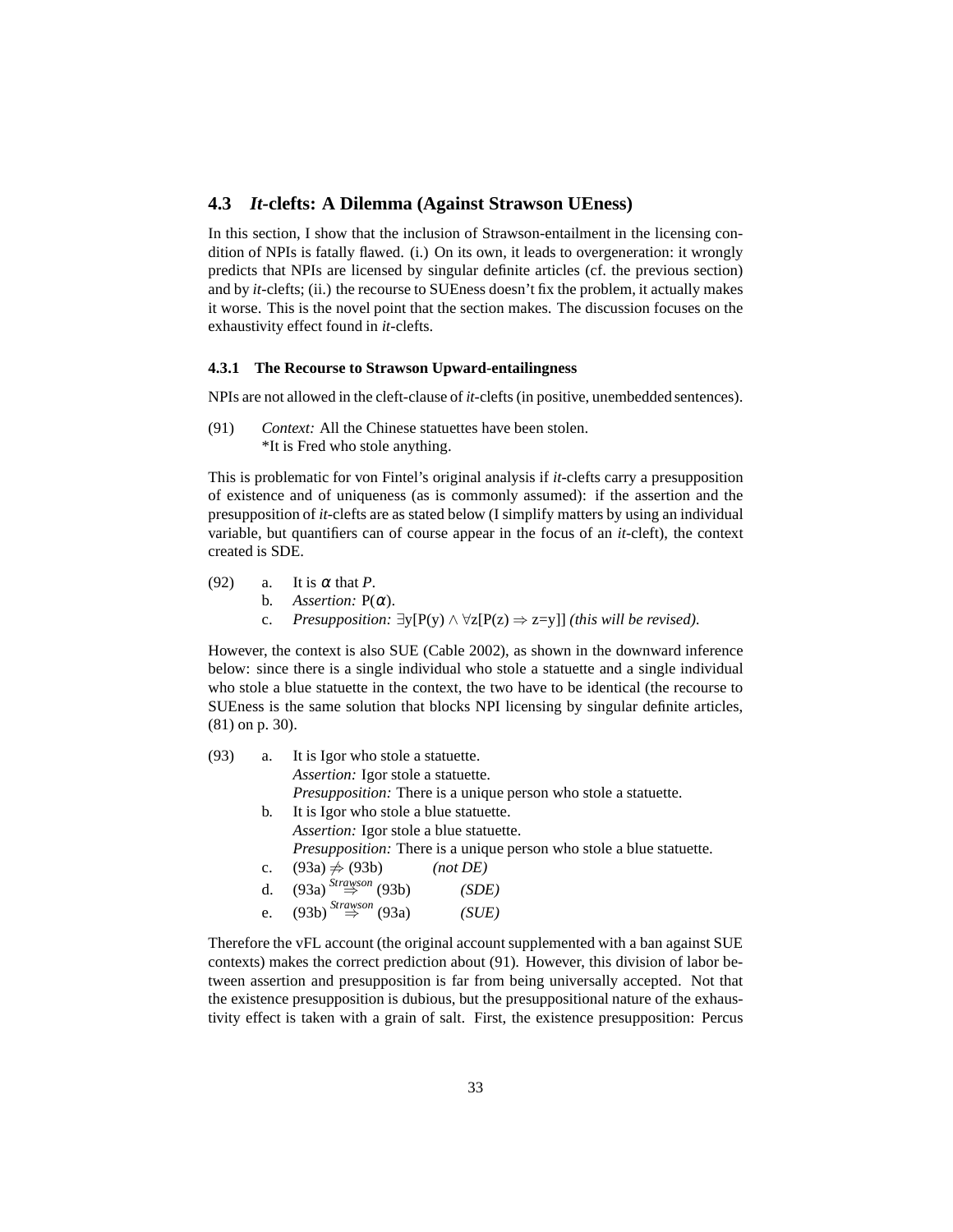# <span id="page-32-0"></span>**4.3** *It-***clefts: A Dilemma (Against Strawson UEness)**

In this section, I show that the inclusion of Strawson-entailment in the licensing condition of NPIs is fatally flawed. (i.) On its own, it leads to overgeneration: it wrongly predicts that NPIs are licensed by singular definite articles (cf. the previous section) and by *it*-clefts; (ii.) the recourse to SUEness doesn't fix the problem, it actually makes it worse. This is the novel point that the section makes. The discussion focuses on the exhaustivity effect found in *it*-clefts.

#### <span id="page-32-1"></span>**4.3.1 The Recourse to Strawson Upward-entailingness**

<span id="page-32-4"></span>NPIs are not allowed in the cleft-clause of *it-*clefts (in positive, unembedded sentences).

(91) *Context:* All the Chinese statuettes have been stolen. \*It is Fred who stole anything.

This is problematic for von Fintel's original analysis if *it-*clefts carry a presupposition of existence and of uniqueness (as is commonly assumed): if the assertion and the presupposition of *it-*clefts are as stated below (I simplify matters by using an individual variable, but quantifiers can of course appear in the focus of an *it-*cleft), the context created is SDE.

- (92) a. It is  $\alpha$  that *P*.
	- b. *Assertion:*  $P(\alpha)$ .
		- c. *Presupposition:*  $∃y[P(y) ∧ ∀z[P(z) ⇒ z= y]]$  *(this will be revised).*

However, the context is also SUE [\(Cable 2002\)](#page-57-2), as shown in the downward inference below: since there is a single individual who stole a statuette and a single individual who stole a blue statuette in the context, the two have to be identical (the recourse to SUEness is the same solution that blocks NPI licensing by singular definite articles, [\(81\)](#page-28-8) on p. [30\)](#page-28-8).

<span id="page-32-3"></span><span id="page-32-2"></span>

| (93) | a.          | It is Igor who stole a statuette.                                           |  |  |  |  |
|------|-------------|-----------------------------------------------------------------------------|--|--|--|--|
|      |             | Assertion: Igor stole a statuette.                                          |  |  |  |  |
|      |             | Presupposition: There is a unique person who stole a statuette.             |  |  |  |  |
|      | b.          | It is Igor who stole a blue statuette.                                      |  |  |  |  |
|      |             | Assertion: Igor stole a blue statuette.                                     |  |  |  |  |
|      |             | <i>Presupposition:</i> There is a unique person who stole a blue statuette. |  |  |  |  |
|      | $c_{\cdot}$ | $(93a) \neq (93b)$<br>(not DE)                                              |  |  |  |  |
|      | $d_{\cdot}$ | $(93a)$ <sup>Strawson</sup> (93b)<br>(SDE)                                  |  |  |  |  |
|      | e.          | $(93b)$ <sup>Strawson</sup> (93a)<br>(SUE)                                  |  |  |  |  |

Therefore the vFL account (the original account supplemented with a ban against SUE contexts) makes the correct prediction about [\(91\).](#page-32-4) However, this division of labor between assertion and presupposition is far from being universally accepted. Not that the existence presupposition is dubious, but the presuppositional nature of the exhaustivity effect is taken with a grain of salt. First, the existence presupposition: [Percus](#page-60-4)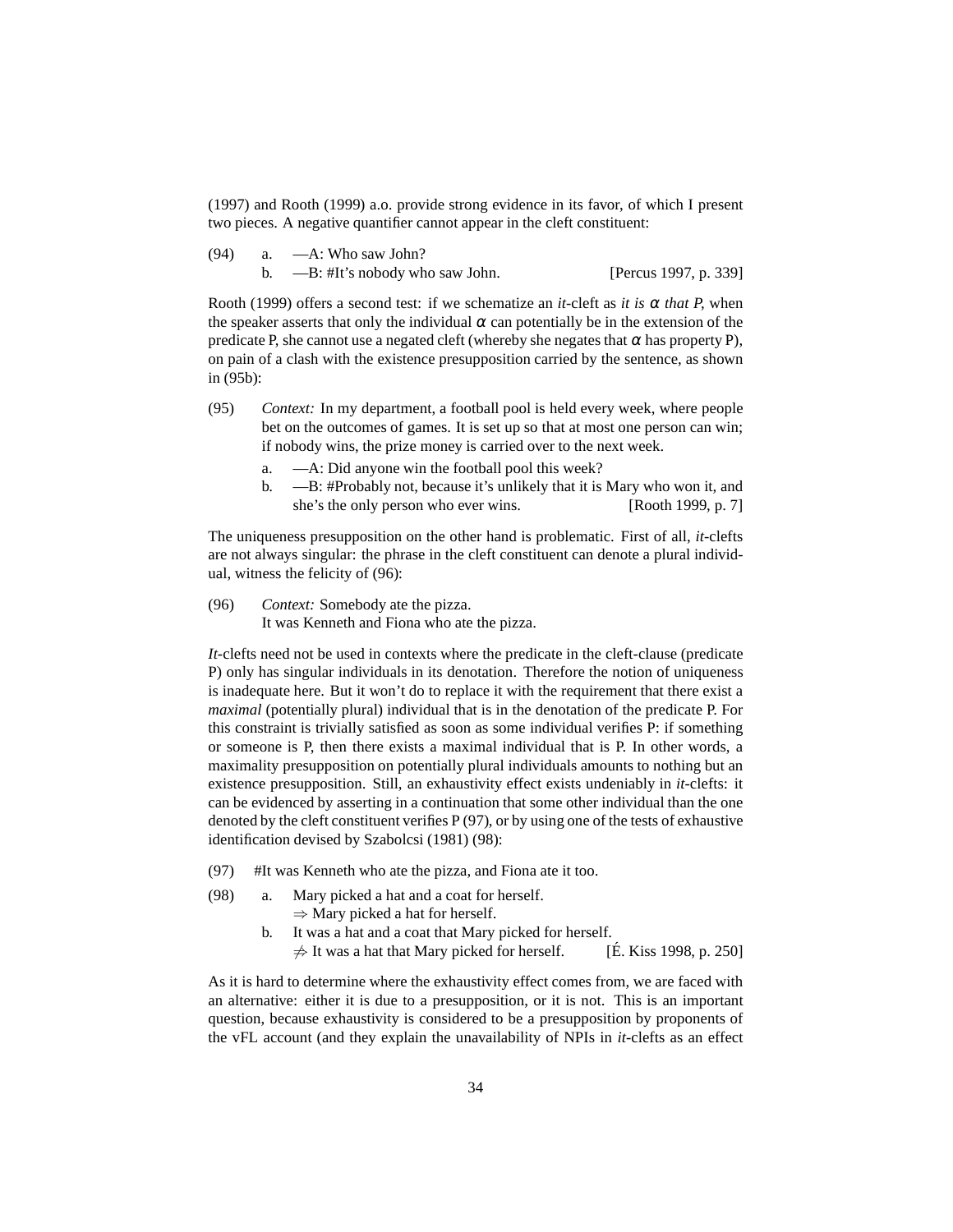[\(1997\)](#page-60-4) and [Rooth](#page-60-5) [\(1999\)](#page-60-5) a.o. provide strong evidence in its favor, of which I present two pieces. A negative quantifier cannot appear in the cleft constituent:

| (94) | a. — A: Who saw John?          |                       |
|------|--------------------------------|-----------------------|
|      | —B: #It's nobody who saw John. | [Percus 1997, p. 339] |

[Rooth \(1999\)](#page-60-5) offers a second test: if we schematize an *it*-cleft as *it is*  $\alpha$  *that* P, when the speaker asserts that only the individual  $\alpha$  can potentially be in the extension of the predicate P, she cannot use a negated cleft (whereby she negates that  $\alpha$  has property P), on pain of a clash with the existence presupposition carried by the sentence, as shown in [\(95b\):](#page-33-0)

- <span id="page-33-4"></span><span id="page-33-0"></span>(95) *Context:* In my department, a football pool is held every week, where people bet on the outcomes of games. It is set up so that at most one person can win; if nobody wins, the prize money is carried over to the next week.
	- a. —A: Did anyone win the football pool this week?
	- b. —B: #Probably not, because it's unlikely that it is Mary who won it, and she's the only person who ever wins. [\[Rooth 1999](#page-60-5), p. 7]

The uniqueness presupposition on the other hand is problematic. First of all, *it-*clefts are not always singular: the phrase in the cleft constituent can denote a plural individual, witness the felicity of [\(96\):](#page-33-1)

<span id="page-33-1"></span>(96) *Context:* Somebody ate the pizza. It was Kenneth and Fiona who ate the pizza.

*It-*clefts need not be used in contexts where the predicate in the cleft-clause (predicate P) only has singular individuals in its denotation. Therefore the notion of uniqueness is inadequate here. But it won't do to replace it with the requirement that there exist a *maximal* (potentially plural) individual that is in the denotation of the predicate P. For this constraint is trivially satisfied as soon as some individual verifies P: if something or someone is P, then there exists a maximal individual that is P. In other words, a maximality presupposition on potentially plural individuals amounts to nothing but an existence presupposition. Still, an exhaustivity effect exists undeniably in *it-*clefts: it can be evidenced by asserting in a continuation that some other individual than the one denoted by the cleft constituent verifies P [\(97\),](#page-33-2) or by using one of the tests of exhaustive identification devised by [Szabolcsi \(1981\)](#page-60-6) [\(98\):](#page-33-3)

- <span id="page-33-3"></span><span id="page-33-2"></span>(97) #It was Kenneth who ate the pizza, and Fiona ate it too.
- (98) a. Mary picked a hat and a coat for herself.  $\Rightarrow$  Mary picked a hat for herself.
	- b. It was a hat and a coat that Mary picked for herself.  $\neq$  It was a hat that Mary picked for herself. [\[E. Kiss 1998](#page-58-11), p. 250]

As it is hard to determine where the exhaustivity effect comes from, we are faced with an alternative: either it is due to a presupposition, or it is not. This is an important question, because exhaustivity is considered to be a presupposition by proponents of the vFL account (and they explain the unavailability of NPIs in *it-*clefts as an effect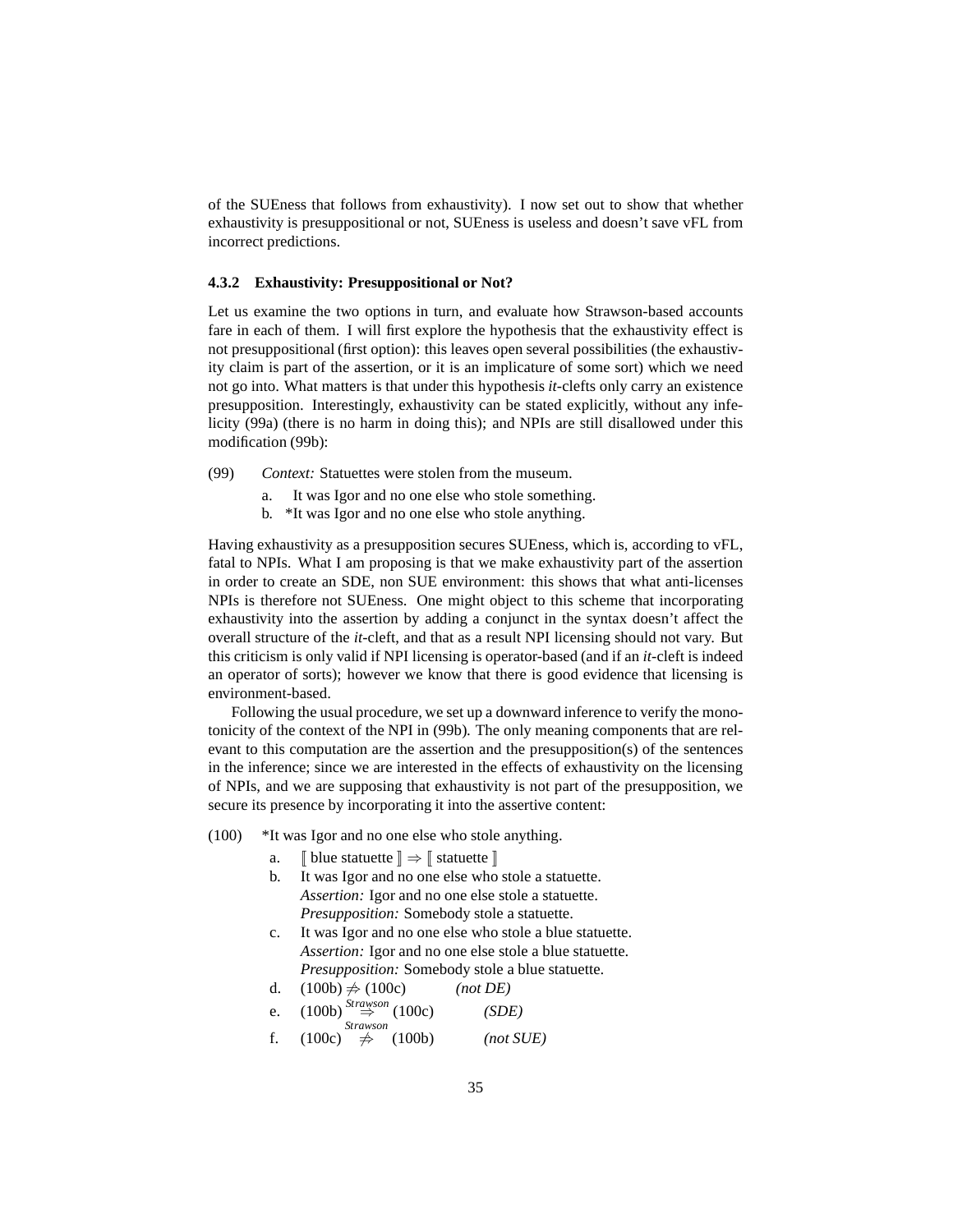of the SUEness that follows from exhaustivity). I now set out to show that whether exhaustivity is presuppositional or not, SUEness is useless and doesn't save vFL from incorrect predictions.

#### <span id="page-34-0"></span>**4.3.2 Exhaustivity: Presuppositional or Not?**

Let us examine the two options in turn, and evaluate how Strawson-based accounts fare in each of them. I will first explore the hypothesis that the exhaustivity effect is not presuppositional (first option): this leaves open several possibilities (the exhaustivity claim is part of the assertion, or it is an implicature of some sort) which we need not go into. What matters is that under this hypothesis *it-*clefts only carry an existence presupposition. Interestingly, exhaustivity can be stated explicitly, without any infelicity [\(99a\)](#page-34-1) (there is no harm in doing this); and NPIs are still disallowed under this modification [\(99b\):](#page-34-2)

- <span id="page-34-2"></span><span id="page-34-1"></span>(99) *Context:* Statuettes were stolen from the museum.
	- a. It was Igor and no one else who stole something.
	- b. \*It was Igor and no one else who stole anything.

Having exhaustivity as a presupposition secures SUEness, which is, according to vFL, fatal to NPIs. What I am proposing is that we make exhaustivity part of the assertion in order to create an SDE, non SUE environment: this shows that what anti-licenses NPIs is therefore not SUEness. One might object to this scheme that incorporating exhaustivity into the assertion by adding a conjunct in the syntax doesn't affect the overall structure of the *it-*cleft, and that as a result NPI licensing should not vary. But this criticism is only valid if NPI licensing is operator-based (and if an *it-*cleft is indeed an operator of sorts); however we know that there is good evidence that licensing is environment-based.

Following the usual procedure, we set up a downward inference to verify the monotonicity of the context of the NPI in [\(99b\).](#page-34-2) The only meaning components that are relevant to this computation are the assertion and the presupposition(s) of the sentences in the inference; since we are interested in the effects of exhaustivity on the licensing of NPIs, and we are supposing that exhaustivity is not part of the presupposition, we secure its presence by incorporating it into the assertive content:

- <span id="page-34-4"></span><span id="page-34-3"></span>(100) \*It was Igor and no one else who stole anything.
	- a.  $\Box$  blue statuette  $\Box \Rightarrow \Box$  statuette  $\Box$
	- b. It was Igor and no one else who stole a statuette. *Assertion:* Igor and no one else stole a statuette. *Presupposition:* Somebody stole a statuette.
	- c. It was Igor and no one else who stole a blue statuette. *Assertion:* Igor and no one else stole a blue statuette. *Presupposition:* Somebody stole a blue statuette.

d. 
$$
(100b) \neq (100c)
$$
 (not DE)

e. 
$$
(100b) \stackrel{Strawson}{\Rightarrow} (100c)
$$
 (SDE)

f. [\(100c\)](#page-34-4) *Strawson* 6⇒ [\(100b\)](#page-34-3) *(not SUE)*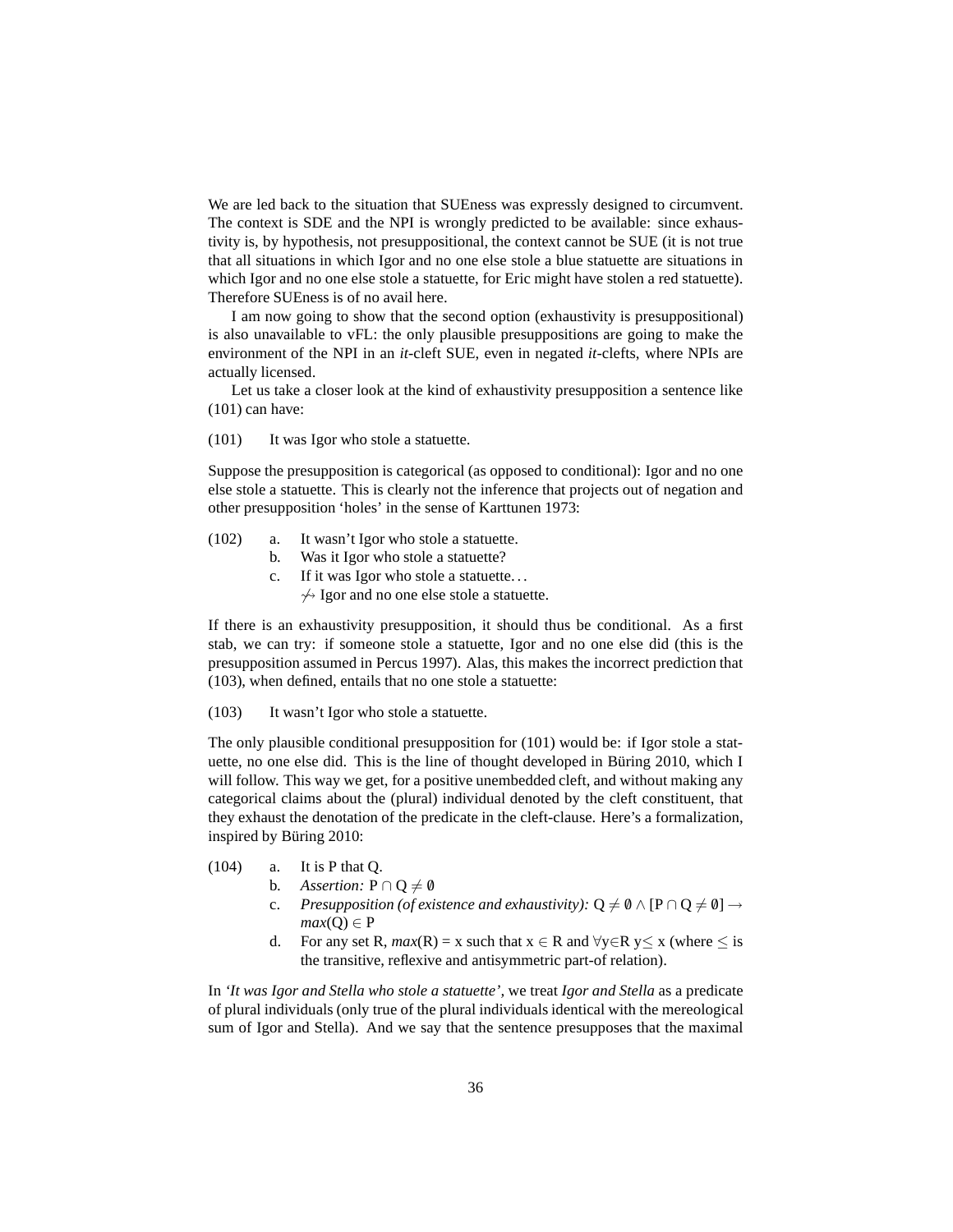We are led back to the situation that SUEness was expressly designed to circumvent. The context is SDE and the NPI is wrongly predicted to be available: since exhaustivity is, by hypothesis, not presuppositional, the context cannot be SUE (it is not true that all situations in which Igor and no one else stole a blue statuette are situations in which Igor and no one else stole a statuette, for Eric might have stolen a red statuette). Therefore SUEness is of no avail here.

I am now going to show that the second option (exhaustivity is presuppositional) is also unavailable to vFL: the only plausible presuppositions are going to make the environment of the NPI in an *it-*cleft SUE, even in negated *it*-clefts, where NPIs are actually licensed.

<span id="page-35-0"></span>Let us take a closer look at the kind of exhaustivity presupposition a sentence like [\(101\)](#page-35-0) can have:

(101) It was Igor who stole a statuette.

Suppose the presupposition is categorical (as opposed to conditional): Igor and no one else stole a statuette. This is clearly not the inference that projects out of negation and other presupposition 'holes' in the sense of [Karttunen 1973](#page-59-13):

- (102) a. It wasn't Igor who stole a statuette.
	- b. Was it Igor who stole a statuette?
	- c. If it was Igor who stole a statuette. . .  $\leftrightarrow$  Igor and no one else stole a statuette.

If there is an exhaustivity presupposition, it should thus be conditional. As a first stab, we can try: if someone stole a statuette, Igor and no one else did (this is the presupposition assumed in [Percus 1997\)](#page-60-4). Alas, this makes the incorrect prediction that [\(103\),](#page-35-1) when defined, entails that no one stole a statuette:

<span id="page-35-1"></span>(103) It wasn't Igor who stole a statuette.

The only plausible conditional presupposition for [\(101\)](#page-35-0) would be: if Igor stole a statuette, no one else did. This is the line of thought developed in Büring 2010, which I will follow. This way we get, for a positive unembedded cleft, and without making any categorical claims about the (plural) individual denoted by the cleft constituent, that they exhaust the denotation of the predicate in the cleft-clause. Here's a formalization, inspired by Büring 2010:

- (104) a. It is P that Q.
	- b. *Assertion:*  $P \cap Q \neq \emptyset$
	- c. *Presupposition (of existence and exhaustivity):*  $Q \neq \emptyset \wedge [P \cap Q \neq \emptyset] \rightarrow$  $max(O) \in P$
	- d. For any set R,  $max(R) = x$  such that  $x \in R$  and  $\forall y \in R$   $y \le x$  (where  $\le$  is the transitive, reflexive and antisymmetric part-of relation).

In *'It was Igor and Stella who stole a statuette',* we treat *Igor and Stella* as a predicate of plural individuals (only true of the plural individuals identical with the mereological sum of Igor and Stella). And we say that the sentence presupposes that the maximal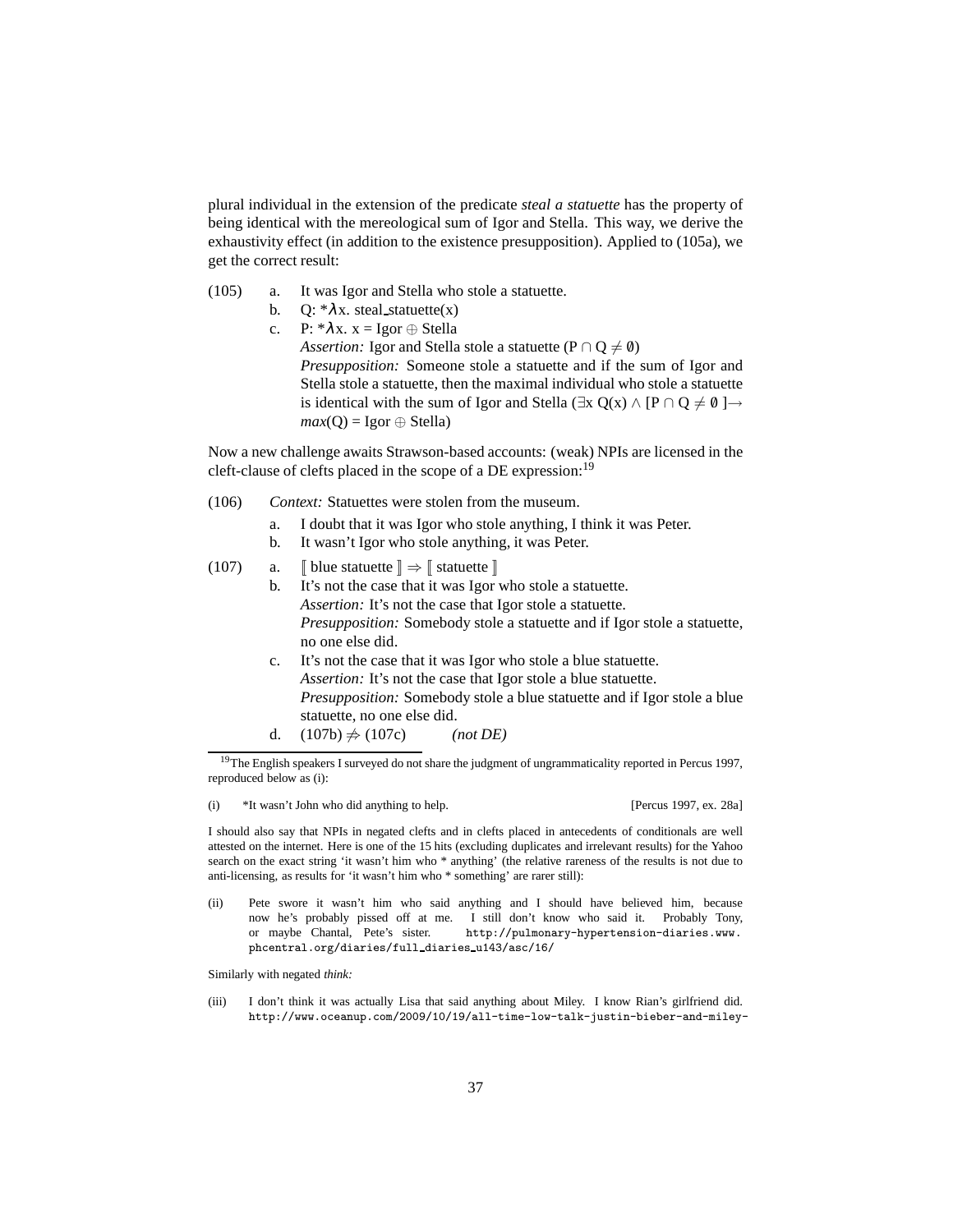plural individual in the extension of the predicate *steal a statuette* has the property of being identical with the mereological sum of Igor and Stella. This way, we derive the exhaustivity effect (in addition to the existence presupposition). Applied to [\(105a\),](#page-36-0) we get the correct result:

- <span id="page-36-0"></span>(105) a. It was Igor and Stella who stole a statuette.
	- b.  $Q: \mathcal{X} \times \mathcal{X}$ . steal\_statuette(x)
	- c. P:  $*\lambda x$ .  $x = \text{Igor} \oplus \text{Stella}$ *Assertion:* Igor and Stella stole a statuette ( $P \cap Q \neq \emptyset$ ) *Presupposition:* Someone stole a statuette and if the sum of Igor and Stella stole a statuette, then the maximal individual who stole a statuette is identical with the sum of Igor and Stella ( $\exists x Q(x) \land [P \cap Q \neq \emptyset] \rightarrow$  $max(Q) = Igor \oplus Stella)$

<span id="page-36-4"></span>Now a new challenge awaits Strawson-based accounts: (weak) NPIs are licensed in the cleft-clause of clefts placed in the scope of a DE expression:<sup>[19](#page-36-1)</sup>

- (106) *Context:* Statuettes were stolen from the museum.
	- a. I doubt that it was Igor who stole anything, I think it was Peter.
	- b. It wasn't Igor who stole anything, it was Peter.
- <span id="page-36-3"></span><span id="page-36-2"></span>(107) a.  $\lceil \text{blue} \times \rceil \Rightarrow \lceil \text{statuette} \rceil$ 
	- b. It's not the case that it was Igor who stole a statuette. *Assertion:* It's not the case that Igor stole a statuette. *Presupposition:* Somebody stole a statuette and if Igor stole a statuette, no one else did.
		- c. It's not the case that it was Igor who stole a blue statuette. *Assertion:* It's not the case that Igor stole a blue statuette. *Presupposition:* Somebody stole a blue statuette and if Igor stole a blue statuette, no one else did.
		- d.  $(107b) \neq (107c)$  $(107b) \neq (107c)$  *(not DE)*

(i) \*It wasn't John who did anything to help. [\[Percus 1997](#page-60-4), ex. 28a]

I should also say that NPIs in negated clefts and in clefts placed in antecedents of conditionals are well attested on the internet. Here is one of the 15 hits (excluding duplicates and irrelevant results) for the Yahoo search on the exact string 'it wasn't him who \* anything' (the relative rareness of the results is not due to anti-licensing, as results for 'it wasn't him who \* something' are rarer still):

(ii) Pete swore it wasn't him who said anything and I should have believed him, because now he's probably pissed off at me. I still don't know who said it. Probably Tony, or maybe Chantal, Pete's sister. http://pulmonary-hypertension-diaries.www. phcentral.org/diaries/full diaries u143/asc/16/

Similarly with negated *think:*

(iii) I don't think it was actually Lisa that said anything about Miley. I know Rian's girlfriend did. http://www.oceanup.com/2009/10/19/all-time-low-talk-justin-bieber-and-miley-

<span id="page-36-1"></span><sup>&</sup>lt;sup>19</sup>The English speakers I surveyed do not share the judgment of ungrammaticality reported in [Percus 1997](#page-60-4), reproduced below as [\(i\):](#page-55-1)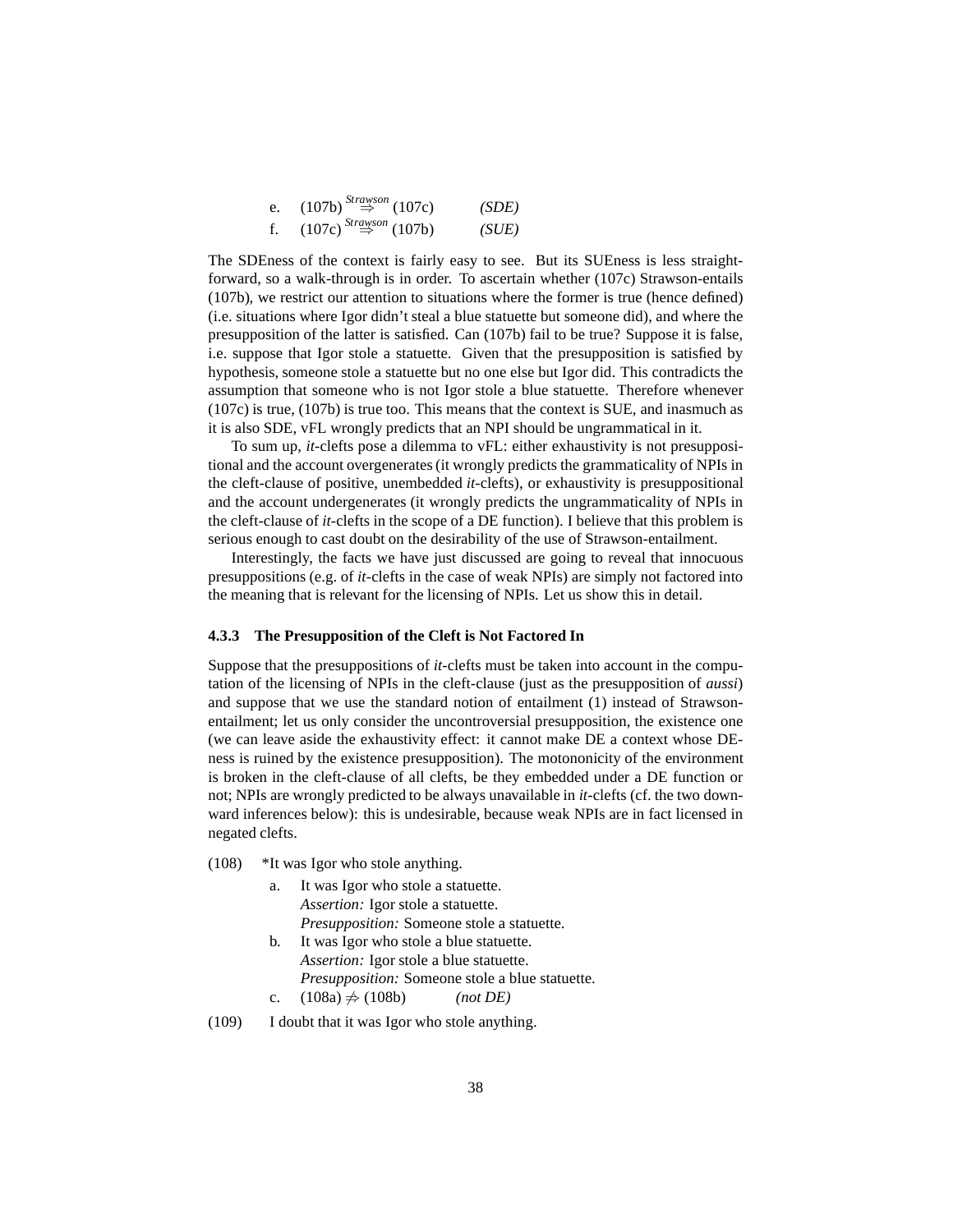e. 
$$
(107b) \stackrel{Strawson}{\Rightarrow} (107c)
$$
 (SDE)  
f.  $(107c) \stackrel{Strawson}{\Rightarrow} (107b)$  (SUE)

The SDEness of the context is fairly easy to see. But its SUEness is less straightforward, so a walk-through is in order. To ascertain whether [\(107c\)](#page-36-3) Strawson-entails [\(107b\),](#page-36-2) we restrict our attention to situations where the former is true (hence defined) (i.e. situations where Igor didn't steal a blue statuette but someone did), and where the presupposition of the latter is satisfied. Can [\(107b\)](#page-36-2) fail to be true? Suppose it is false, i.e. suppose that Igor stole a statuette. Given that the presupposition is satisfied by hypothesis, someone stole a statuette but no one else but Igor did. This contradicts the assumption that someone who is not Igor stole a blue statuette. Therefore whenever [\(107c\)](#page-36-3) is true, [\(107b\)](#page-36-2) is true too. This means that the context is SUE, and inasmuch as it is also SDE, vFL wrongly predicts that an NPI should be ungrammatical in it.

To sum up, *it-*clefts pose a dilemma to vFL: either exhaustivity is not presuppositional and the account overgenerates (it wrongly predicts the grammaticality of NPIs in the cleft-clause of positive, unembedded *it-*clefts), or exhaustivity is presuppositional and the account undergenerates (it wrongly predicts the ungrammaticality of NPIs in the cleft-clause of *it-*clefts in the scope of a DE function). I believe that this problem is serious enough to cast doubt on the desirability of the use of Strawson-entailment.

Interestingly, the facts we have just discussed are going to reveal that innocuous presuppositions (e.g. of *it*-clefts in the case of weak NPIs) are simply not factored into the meaning that is relevant for the licensing of NPIs. Let us show this in detail.

#### <span id="page-37-0"></span>**4.3.3 The Presupposition of the Cleft is Not Factored In**

Suppose that the presuppositions of *it-*clefts must be taken into account in the computation of the licensing of NPIs in the cleft-clause (just as the presupposition of *aussi*) and suppose that we use the standard notion of entailment [\(1\)](#page-2-1) instead of Strawsonentailment; let us only consider the uncontroversial presupposition, the existence one (we can leave aside the exhaustivity effect: it cannot make DE a context whose DEness is ruined by the existence presupposition). The motononicity of the environment is broken in the cleft-clause of all clefts, be they embedded under a DE function or not; NPIs are wrongly predicted to be always unavailable in *it*-clefts (cf. the two downward inferences below): this is undesirable, because weak NPIs are in fact licensed in negated clefts.

- <span id="page-37-3"></span><span id="page-37-2"></span><span id="page-37-1"></span>(108) \*It was Igor who stole anything.
	- a. It was Igor who stole a statuette. *Assertion:* Igor stole a statuette. *Presupposition:* Someone stole a statuette.
	- b. It was Igor who stole a blue statuette. *Assertion:* Igor stole a blue statuette. *Presupposition:* Someone stole a blue statuette. c.  $(108a)$   $\neq$   $(108b)$  *(not DE)*

<span id="page-37-4"></span>(109) I doubt that it was Igor who stole anything.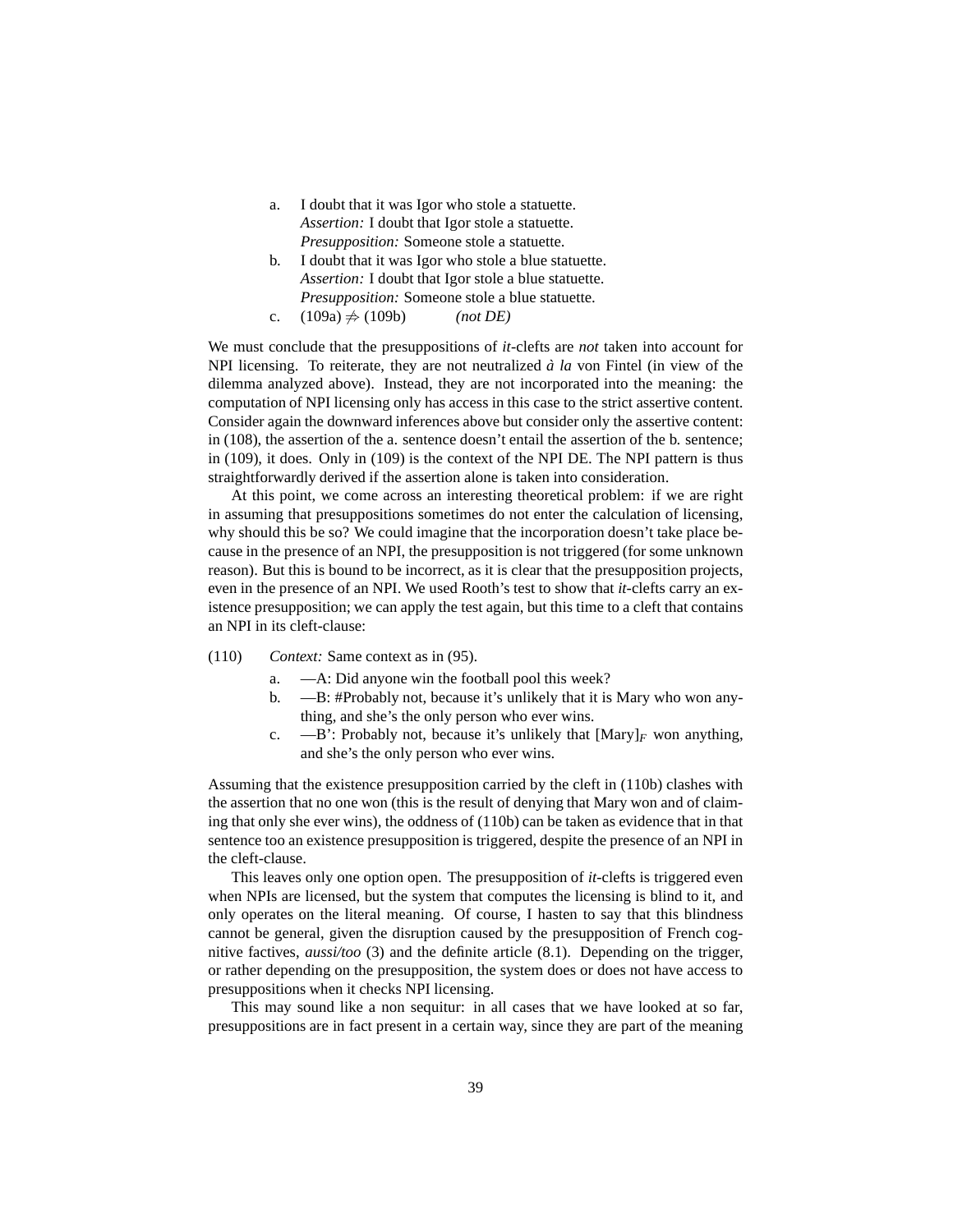- <span id="page-38-0"></span>a. I doubt that it was Igor who stole a statuette. *Assertion:* I doubt that Igor stole a statuette. *Presupposition:* Someone stole a statuette.
- b. I doubt that it was Igor who stole a blue statuette. *Assertion:* I doubt that Igor stole a blue statuette. *Presupposition:* Someone stole a blue statuette.
- c.  $(109a) \neq (109b)$  $(109a) \neq (109b)$  *(not DE)*

<span id="page-38-1"></span>We must conclude that the presuppositions of *it*-clefts are *not* taken into account for NPI licensing. To reiterate, they are not neutralized  $\dot{a}$  *la* von Fintel (in view of the dilemma analyzed above). Instead, they are not incorporated into the meaning: the computation of NPI licensing only has access in this case to the strict assertive content. Consider again the downward inferences above but consider only the assertive content: in [\(108\),](#page-37-3) the assertion of the a. sentence doesn't entail the assertion of the b. sentence; in [\(109\),](#page-37-4) it does. Only in [\(109\)](#page-37-4) is the context of the NPI DE. The NPI pattern is thus straightforwardly derived if the assertion alone is taken into consideration.

At this point, we come across an interesting theoretical problem: if we are right in assuming that presuppositions sometimes do not enter the calculation of licensing, why should this be so? We could imagine that the incorporation doesn't take place because in the presence of an NPI, the presupposition is not triggered (for some unknown reason). But this is bound to be incorrect, as it is clear that the presupposition projects, even in the presence of an NPI. We used Rooth's test to show that *it-*clefts carry an existence presupposition; we can apply the test again, but this time to a cleft that contains an NPI in its cleft-clause:

- <span id="page-38-2"></span>(110) *Context:* Same context as in [\(95\).](#page-33-4)
	- a. —A: Did anyone win the football pool this week?
	- b. —B: #Probably not, because it's unlikely that it is Mary who won anything, and she's the only person who ever wins.
	- c.  $\quad -B'$ : Probably not, because it's unlikely that  $[Mary]_F$  won anything, and she's the only person who ever wins.

Assuming that the existence presupposition carried by the cleft in [\(110b\)](#page-38-2) clashes with the assertion that no one won (this is the result of denying that Mary won and of claiming that only she ever wins), the oddness of [\(110b\)](#page-38-2) can be taken as evidence that in that sentence too an existence presupposition is triggered, despite the presence of an NPI in the cleft-clause.

This leaves only one option open. The presupposition of *it-*clefts is triggered even when NPIs are licensed, but the system that computes the licensing is blind to it, and only operates on the literal meaning. Of course, I hasten to say that this blindness cannot be general, given the disruption caused by the presupposition of French cognitive factives, *aussi/too* [\(3\)](#page-4-0) and the definite article [\(8.1\)](#page-47-2). Depending on the trigger, or rather depending on the presupposition, the system does or does not have access to presuppositions when it checks NPI licensing.

This may sound like a non sequitur: in all cases that we have looked at so far, presuppositions are in fact present in a certain way, since they are part of the meaning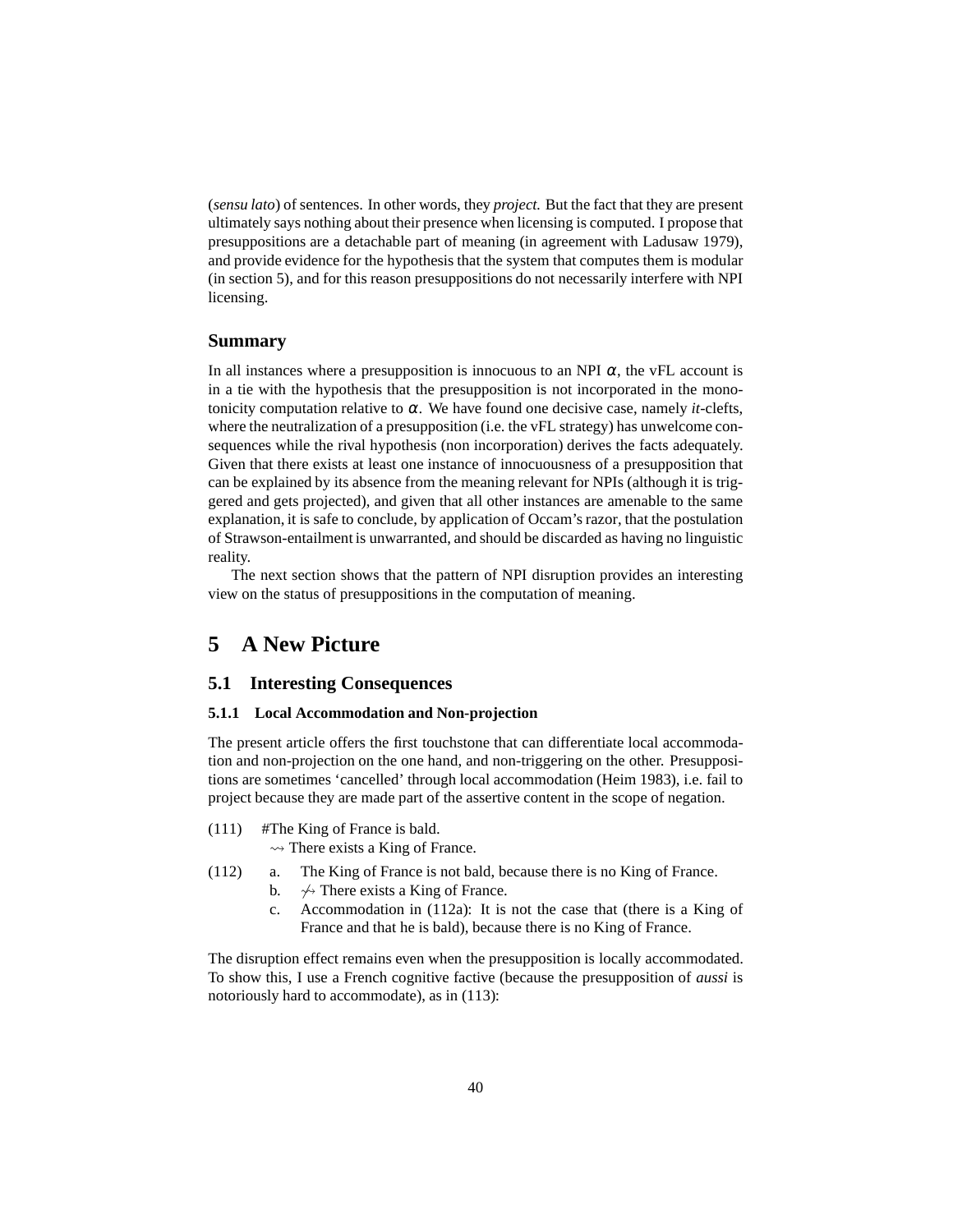(*sensu lato*) of sentences. In other words, they *project.* But the fact that they are present ultimately says nothing about their presence when licensing is computed. I propose that presuppositions are a detachable part of meaning (in agreement with [Ladusaw 1979\)](#page-59-0), and provide evidence for the hypothesis that the system that computes them is modular (in section [5\)](#page-39-0), and for this reason presuppositions do not necessarily interfere with NPI licensing.

## <span id="page-39-5"></span>**Summary**

In all instances where a presupposition is innocuous to an NPI  $\alpha$ , the vFL account is in a tie with the hypothesis that the presupposition is not incorporated in the monotonicity computation relative to  $\alpha$ . We have found one decisive case, namely *it*-clefts, where the neutralization of a presupposition (i.e. the vFL strategy) has unwelcome consequences while the rival hypothesis (non incorporation) derives the facts adequately. Given that there exists at least one instance of innocuousness of a presupposition that can be explained by its absence from the meaning relevant for NPIs (although it is triggered and gets projected), and given that all other instances are amenable to the same explanation, it is safe to conclude, by application of Occam's razor, that the postulation of Strawson-entailment is unwarranted, and should be discarded as having no linguistic reality.

The next section shows that the pattern of NPI disruption provides an interesting view on the status of presuppositions in the computation of meaning.

# <span id="page-39-1"></span><span id="page-39-0"></span>**5 A New Picture**

## <span id="page-39-2"></span>**5.1 Interesting Consequences**

#### **5.1.1 Local Accommodation and Non-projection**

The present article offers the first touchstone that can differentiate local accommodation and non-projection on the one hand, and non-triggering on the other. Presuppositions are sometimes 'cancelled' through local accommodation [\(Heim 1983](#page-58-12)), i.e. fail to project because they are made part of the assertive content in the scope of negation.

(111) #The King of France is bald.

 $\rightsquigarrow$  There exists a King of France.

- <span id="page-39-3"></span>(112) a. The King of France is not bald, because there is no King of France.
	- b.  $\leftrightarrow$  There exists a King of France.
	- c. Accommodation in [\(112a\):](#page-39-3) It is not the case that (there is a King of France and that he is bald), because there is no King of France.

<span id="page-39-4"></span>The disruption effect remains even when the presupposition is locally accommodated. To show this, I use a French cognitive factive (because the presupposition of *aussi* is notoriously hard to accommodate), as in [\(113\):](#page-39-4)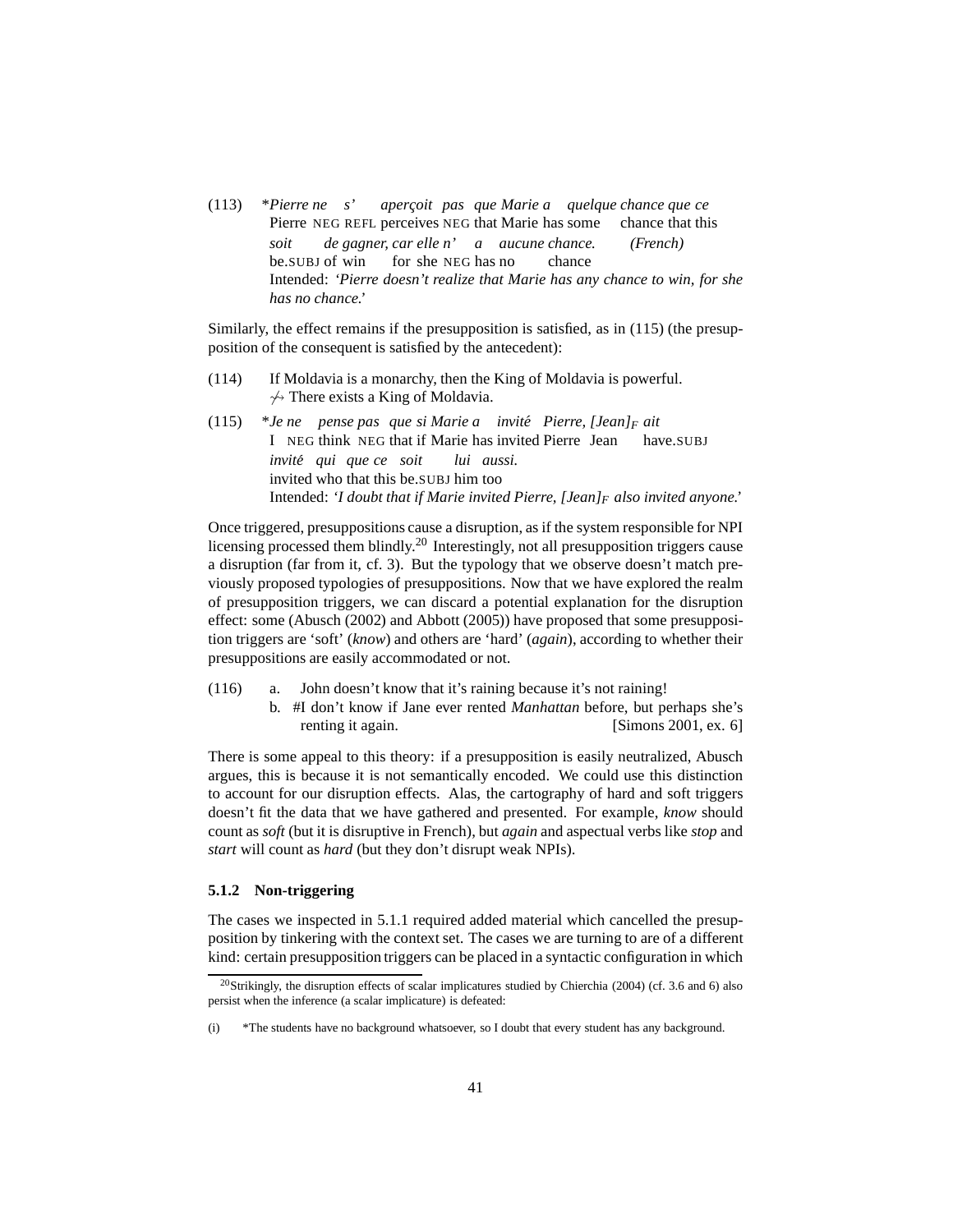(113) \**Pierre ne s'* Pierre NEG REFL perceives NEG that Marie has some *aperc¸oit pas que Marie a quelque chance que ce* chance that this *soit* be.SUBJ of win *de gagner, car elle n' a aucune chance. (French)* for she NEG has no chance Intended: *'Pierre doesn't realize that Marie has any chance to win, for she has no chance.'*

Similarly, the effect remains if the presupposition is satisfied, as in [\(115\)](#page-40-1) (the presupposition of the consequent is satisfied by the antecedent):

- <span id="page-40-1"></span>(114) If Moldavia is a monarchy, then the King of Moldavia is powerful.  $\leftrightarrow$  There exists a King of Moldavia.
- $(115)$ I NEG think NEG that if Marie has invited Pierre Jean *ne pense pas que si Marie a invite´ Pierre, [Jean]<sup>F</sup> ait* have.SUBJ *invite´ qui que ce soit* invited who that this be.SUBJ him too *lui aussi.* Intended: *'I doubt that if Marie invited Pierre, [Jean]<sup>F</sup> also invited anyone.'*

Once triggered, presuppositions cause a disruption, as if the system responsible for NPI licensing processed them blindly.<sup>[20](#page-40-2)</sup> Interestingly, not all presupposition triggers cause a disruption (far from it, cf. [3\)](#page-4-0). But the typology that we observe doesn't match previously proposed typologies of presuppositions. Now that we have explored the realm of presupposition triggers, we can discard a potential explanation for the disruption effect: some [\(Abusch \(2002\)](#page-57-4) and [Abbott \(2005\)](#page-57-5)) have proposed that some presupposition triggers are 'soft' (*know*) and others are 'hard' (*again*), according to whether their presuppositions are easily accommodated or not.

- (116) a. John doesn't know that it's raining because it's not raining! b. #I don't know if Jane ever rented *Manhattan* before, but perhaps she's
	- renting it again. [\[Simons 2001,](#page-60-7) ex. 6]

There is some appeal to this theory: if a presupposition is easily neutralized, Abusch argues, this is because it is not semantically encoded. We could use this distinction to account for our disruption effects. Alas, the cartography of hard and soft triggers doesn't fit the data that we have gathered and presented. For example, *know* should count as *soft* (but it is disruptive in French), but *again* and aspectual verbs like *stop* and *start* will count as *hard* (but they don't disrupt weak NPIs).

#### <span id="page-40-0"></span>**5.1.2 Non-triggering**

The cases we inspected in [5.1.1](#page-39-2) required added material which cancelled the presupposition by tinkering with the context set. The cases we are turning to are of a different kind: certain presupposition triggers can be placed in a syntactic configuration in which

<span id="page-40-2"></span><sup>&</sup>lt;sup>20</sup>Strikingly, the disruption effects of scalar implicatures studied by [Chierchia \(2004\)](#page-58-10) (cf. [3.6](#page-23-0) and [6\)](#page-44-0) also persist when the inference (a scalar implicature) is defeated:

<sup>(</sup>i) \*The students have no background whatsoever, so I doubt that every student has any background.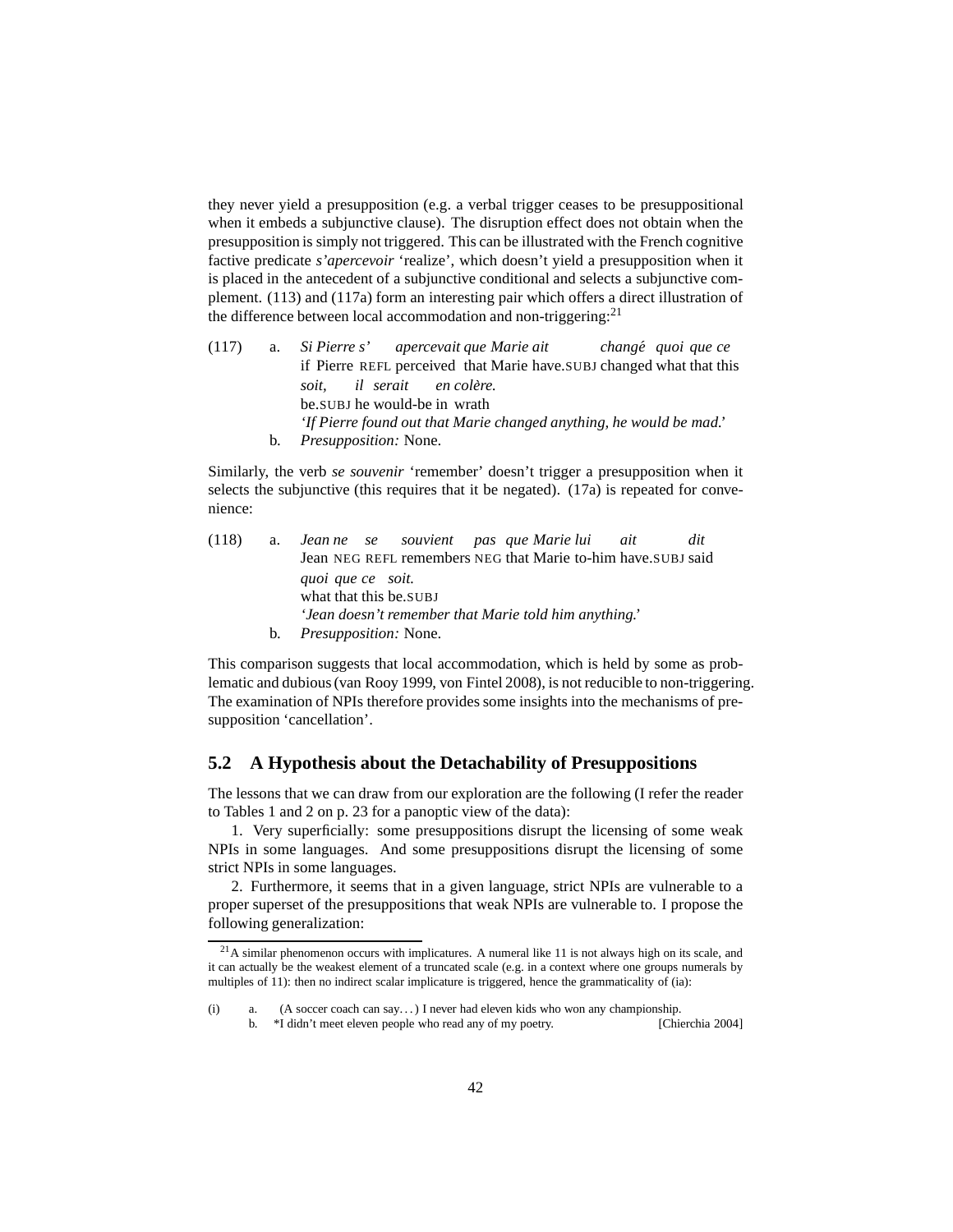they never yield a presupposition (e.g. a verbal trigger ceases to be presuppositional when it embeds a subjunctive clause). The disruption effect does not obtain when the presupposition is simply not triggered. This can be illustrated with the French cognitive factive predicate *s'apercevoir* 'realize', which doesn't yield a presupposition when it is placed in the antecedent of a subjunctive conditional and selects a subjunctive complement. [\(113\)](#page-39-4) and [\(117a\)](#page-41-1) form an interesting pair which offers a direct illustration of the difference between local accommodation and non-triggering: $^{21}$  $^{21}$  $^{21}$ 

<span id="page-41-1"></span> $(117)$  a. if Pierre REFL perceived that Marie have.SUBJ changed what that this *Pierre s' apercevait que Marie ait change´ quoi que ce soit,* be.SUBJ he would-be in wrath *il serait en colere. ` 'If Pierre found out that Marie changed anything, he would be mad.'* b. *Presupposition:* None.

Similarly, the verb *se souvenir* 'remember' doesn't trigger a presupposition when it selects the subjunctive (this requires that it be negated). [\(17a\)](#page-7-5) is repeated for convenience:

 $(118)$  a. Jean NEG REFL remembers NEG that Marie to-him have.SUBJ said *ne se souvient pas que Marie lui ait dit quoi que ce soit.* what that this be.SUBJ *'Jean doesn't remember that Marie told him anything.'* b. *Presupposition:* None.

This comparison suggests that local accommodation, which is held by some as problematic and dubious [\(van Rooy 1999,](#page-60-8) [von Fintel 2008\)](#page-58-13), is not reducible to non-triggering. The examination of NPIs therefore provides some insights into the mechanisms of presupposition 'cancellation'.

#### <span id="page-41-0"></span>**5.2 A Hypothesis about the Detachability of Presuppositions**

The lessons that we can draw from our exploration are the following (I refer the reader to Tables [1](#page-22-5) and [2](#page-23-1) on p. [23](#page-22-5) for a panoptic view of the data):

1. Very superficially: some presuppositions disrupt the licensing of some weak NPIs in some languages. And some presuppositions disrupt the licensing of some strict NPIs in some languages.

2. Furthermore, it seems that in a given language, strict NPIs are vulnerable to a proper superset of the presuppositions that weak NPIs are vulnerable to. I propose the following generalization:

b. \*I didn't meet eleven people who read any of my poetry. [\[Chierchia 2004\]](#page-58-10)

<span id="page-41-4"></span><span id="page-41-2"></span> $21A$  similar phenomenon occurs with implicatures. A numeral like 11 is not always high on its scale, and it can actually be the weakest element of a truncated scale (e.g. in a context where one groups numerals by multiples of 11): then no indirect scalar implicature is triggered, hence the grammaticality of [\(ia\):](#page-41-3)

<span id="page-41-3"></span><sup>(</sup>i) a. (A soccer coach can say. . . ) I never had eleven kids who won any championship.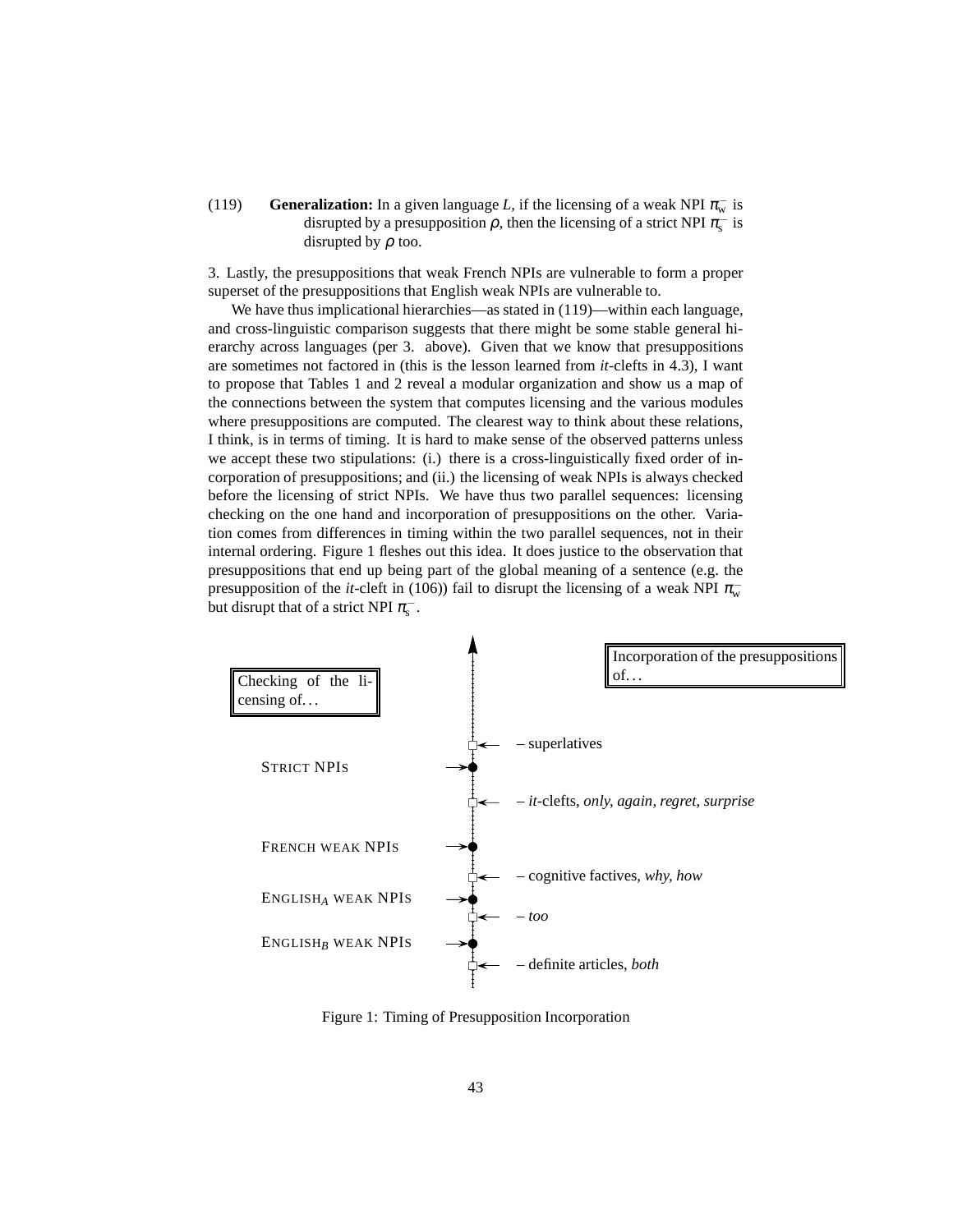(119) **Generalization:** In a given language *L*, if the licensing of a weak NPI  $\pi_{w}^{-}$  is disrupted by a presupposition  $\rho$ , then the licensing of a strict NPI  $\pi_{\rm s}^-$  is disrupted by  $\rho$  too.

3. Lastly, the presuppositions that weak French NPIs are vulnerable to form a proper superset of the presuppositions that English weak NPIs are vulnerable to.

We have thus implicational hierarchies—as stated in  $(119)$ —within each language, and cross-linguistic comparison suggests that there might be some stable general hierarchy across languages (per 3. above). Given that we know that presuppositions are sometimes not factored in (this is the lesson learned from *it*-clefts in [4.3\)](#page-32-0), I want to propose that Tables [1](#page-22-5) and [2](#page-23-1) reveal a modular organization and show us a map of the connections between the system that computes licensing and the various modules where presuppositions are computed. The clearest way to think about these relations, I think, is in terms of timing. It is hard to make sense of the observed patterns unless we accept these two stipulations: (i.) there is a cross-linguistically fixed order of incorporation of presuppositions; and (ii.) the licensing of weak NPIs is always checked before the licensing of strict NPIs. We have thus two parallel sequences: licensing checking on the one hand and incorporation of presuppositions on the other. Variation comes from differences in timing within the two parallel sequences, not in their internal ordering. Figure [1](#page-42-0) fleshes out this idea. It does justice to the observation that presuppositions that end up being part of the global meaning of a sentence (e.g. the presupposition of the *it*-cleft in [\(106\)\)](#page-36-4) fail to disrupt the licensing of a weak NPI  $\pi_{w}^{-}$ but disrupt that of a strict NPI  $\pi_{\rm s}^{-}$ .



<span id="page-42-0"></span>Figure 1: Timing of Presupposition Incorporation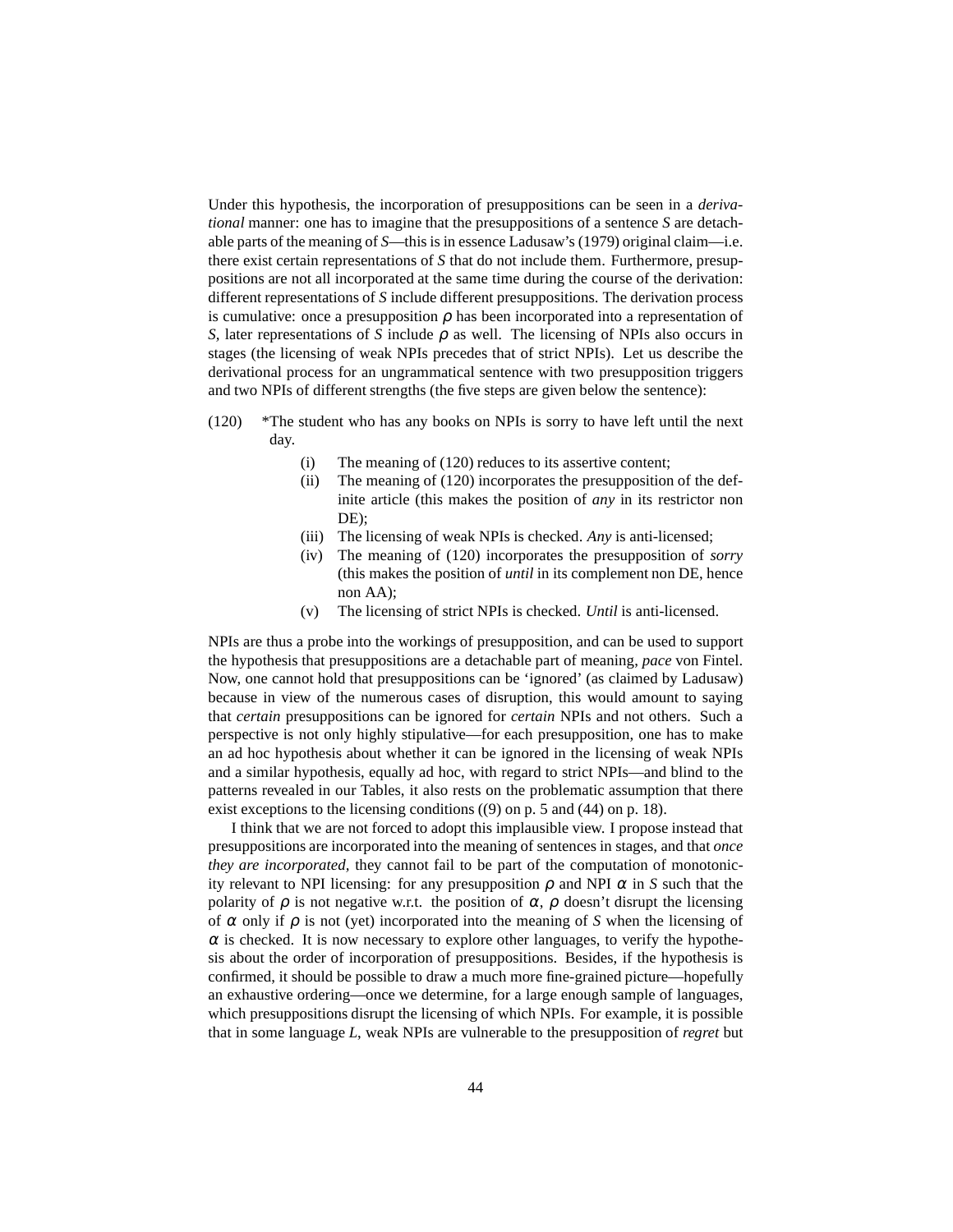Under this hypothesis, the incorporation of presuppositions can be seen in a *derivational* manner: one has to imagine that the presuppositions of a sentence *S* are detachable parts of the meaning of *S*—this is in essence [Ladusaw'](#page-59-0)s [\(1979\)](#page-59-0) original claim—i.e. there exist certain representations of *S* that do not include them. Furthermore, presuppositions are not all incorporated at the same time during the course of the derivation: different representations of *S* include different presuppositions. The derivation process is cumulative: once a presupposition  $\rho$  has been incorporated into a representation of *S*, later representations of *S* include  $\rho$  as well. The licensing of NPIs also occurs in stages (the licensing of weak NPIs precedes that of strict NPIs). Let us describe the derivational process for an ungrammatical sentence with two presupposition triggers and two NPIs of different strengths (the five steps are given below the sentence):

- <span id="page-43-0"></span>(120) \*The student who has any books on NPIs is sorry to have left until the next day.
	- (i) The meaning of [\(120\)](#page-43-0) reduces to its assertive content;
	- (ii) The meaning of [\(120\)](#page-43-0) incorporates the presupposition of the definite article (this makes the position of *any* in its restrictor non DE);
	- (iii) The licensing of weak NPIs is checked. *Any* is anti-licensed;
	- (iv) The meaning of [\(120\)](#page-43-0) incorporates the presupposition of *sorry* (this makes the position of *until* in its complement non DE, hence non AA);
	- (v) The licensing of strict NPIs is checked. *Until* is anti-licensed.

NPIs are thus a probe into the workings of presupposition, and can be used to support the hypothesis that presuppositions are a detachable part of meaning, *pace* von Fintel. Now, one cannot hold that presuppositions can be 'ignored' (as claimed by Ladusaw) because in view of the numerous cases of disruption, this would amount to saying that *certain* presuppositions can be ignored for *certain* NPIs and not others. Such a perspective is not only highly stipulative—for each presupposition, one has to make an ad hoc hypothesis about whether it can be ignored in the licensing of weak NPIs and a similar hypothesis, equally ad hoc, with regard to strict NPIs—and blind to the patterns revealed in our Tables, it also rests on the problematic assumption that there exist exceptions to the licensing conditions [\(\(9\)](#page-4-3) on p. [5](#page-4-3) and [\(44\)](#page-17-2) on p. [18\)](#page-17-2).

I think that we are not forced to adopt this implausible view. I propose instead that presuppositions are incorporated into the meaning of sentences in stages, and that *once they are incorporated,* they cannot fail to be part of the computation of monotonicity relevant to NPI licensing: for any presupposition  $\rho$  and NPI  $\alpha$  in *S* such that the polarity of  $\rho$  is not negative w.r.t. the position of  $\alpha$ ,  $\rho$  doesn't disrupt the licensing of  $\alpha$  only if  $\rho$  is not (yet) incorporated into the meaning of *S* when the licensing of  $\alpha$  is checked. It is now necessary to explore other languages, to verify the hypothesis about the order of incorporation of presuppositions. Besides, if the hypothesis is confirmed, it should be possible to draw a much more fine-grained picture—hopefully an exhaustive ordering—once we determine, for a large enough sample of languages, which presuppositions disrupt the licensing of which NPIs. For example, it is possible that in some language *L*, weak NPIs are vulnerable to the presupposition of *regret* but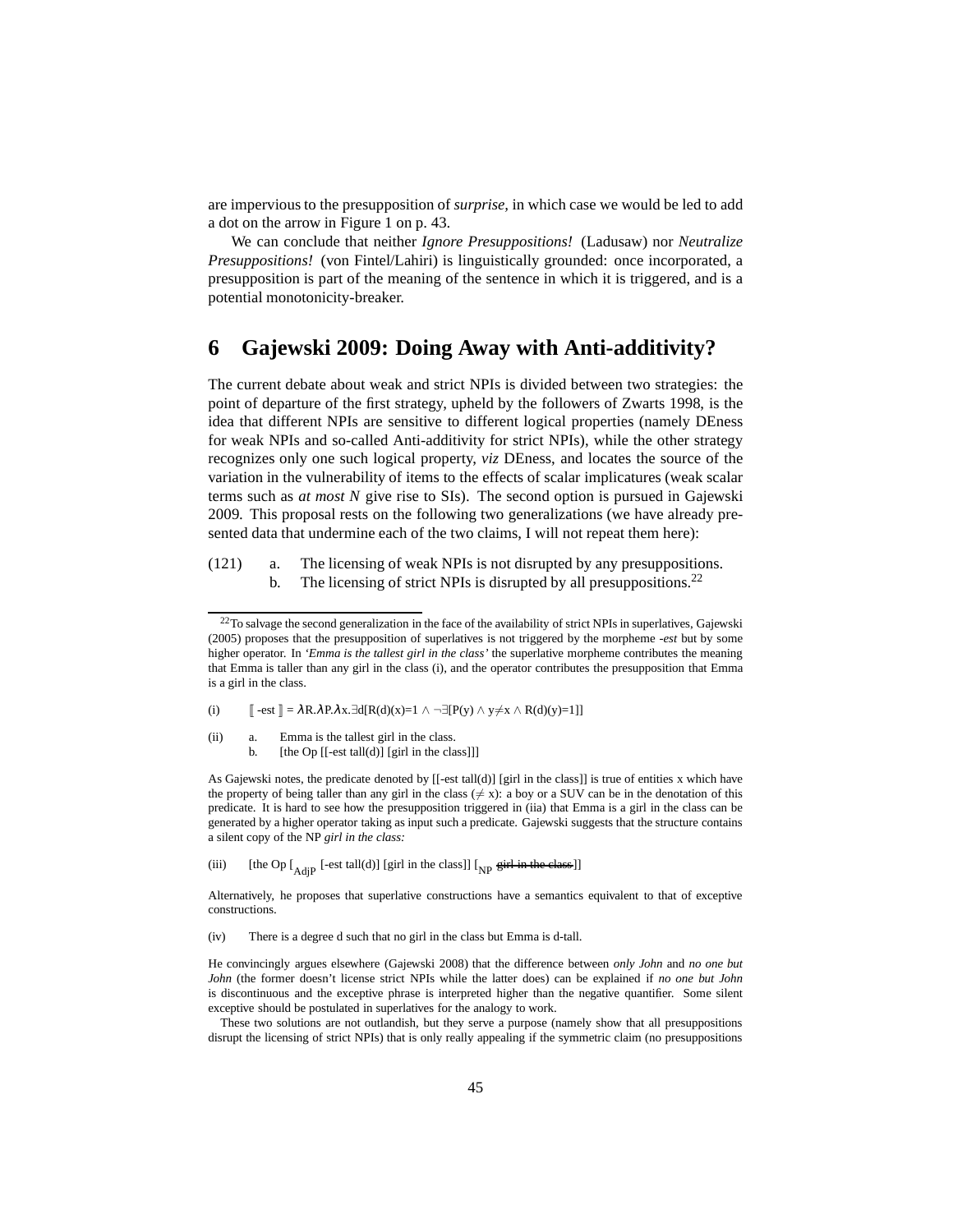are impervious to the presupposition of *surprise,* in which case we would be led to add a dot on the arrow in Figure [1](#page-42-0) on p. [43.](#page-42-0)

We can conclude that neither *Ignore Presuppositions!* (Ladusaw) nor *Neutralize Presuppositions!* (von Fintel/Lahiri) is linguistically grounded: once incorporated, a presupposition is part of the meaning of the sentence in which it is triggered, and is a potential monotonicity-breaker.

# <span id="page-44-0"></span>**6 Gajewski 2009: Doing Away with Anti-additivity?**

The current debate about weak and strict NPIs is divided between two strategies: the point of departure of the first strategy, upheld by the followers of [Zwarts 1998](#page-60-3), is the idea that different NPIs are sensitive to different logical properties (namely DEness for weak NPIs and so-called Anti-additivity for strict NPIs), while the other strategy recognizes only one such logical property, *viz* DEness, and locates the source of the variation in the vulnerability of items to the effects of scalar implicatures (weak scalar terms such as *at most N* give rise to SIs). The second option is pursued in [Gajewski](#page-58-3) [2009.](#page-58-3) This proposal rests on the following two generalizations (we have already presented data that undermine each of the two claims, I will not repeat them here):

(121) a. The licensing of weak NPIs is not disrupted by any presuppositions. b. The licensing of strict NPIs is disrupted by all presuppositions.<sup>[22](#page-44-1)</sup>

(i)  $\[\ \ ] = \lambda R . \lambda P . \lambda x. \exists d[R(d)(x)=1 \land \neg \exists [P(y) \land y \neq x \land R(d)(y)=1]]\]$ 

- <span id="page-44-2"></span>(ii) a. Emma is the tallest girl in the class.
	- b. [the Op [[-est tall(d)] [girl in the class]]]

As Gajewski notes, the predicate denoted by [[-est tall(d)] [girl in the class]] is true of entities x which have the property of being taller than any girl in the class ( $\neq$  x): a boy or a SUV can be in the denotation of this predicate. It is hard to see how the presupposition triggered in [\(iia\)](#page-44-2) that Emma is a girl in the class can be generated by a higher operator taking as input such a predicate. Gajewski suggests that the structure contains a silent copy of the NP *girl in the class:*

(iii) [the Op  $\left[\begin{array}{cc} 1 & 0 \end{array} \right]$  [est tall(d)] [girl in the class]]  $\left[\begin{array}{cc} 0 & \text{if } 0 \end{array} \right]$ 

Alternatively, he proposes that superlative constructions have a semantics equivalent to that of exceptive constructions.

(iv) There is a degree d such that no girl in the class but Emma is d-tall.

He convincingly argues elsewhere [\(Gajewski 2008](#page-58-14)) that the difference between *only John* and *no one but John* (the former doesn't license strict NPIs while the latter does) can be explained if *no one but John* is discontinuous and the exceptive phrase is interpreted higher than the negative quantifier. Some silent exceptive should be postulated in superlatives for the analogy to work.

These two solutions are not outlandish, but they serve a purpose (namely show that all presuppositions disrupt the licensing of strict NPIs) that is only really appealing if the symmetric claim (no presuppositions

<span id="page-44-1"></span> $^{22}$ To salvage the second generalization in the face of the availability of strict NPIs in superlatives, [Gajewski](#page-58-6) [\(2005](#page-58-6)) proposes that the presupposition of superlatives is not triggered by the morpheme *-est* but by some higher operator. In *'Emma is the tallest girl in the class'* the superlative morpheme contributes the meaning that Emma is taller than any girl in the class [\(i\),](#page-55-1) and the operator contributes the presupposition that Emma is a girl in the class.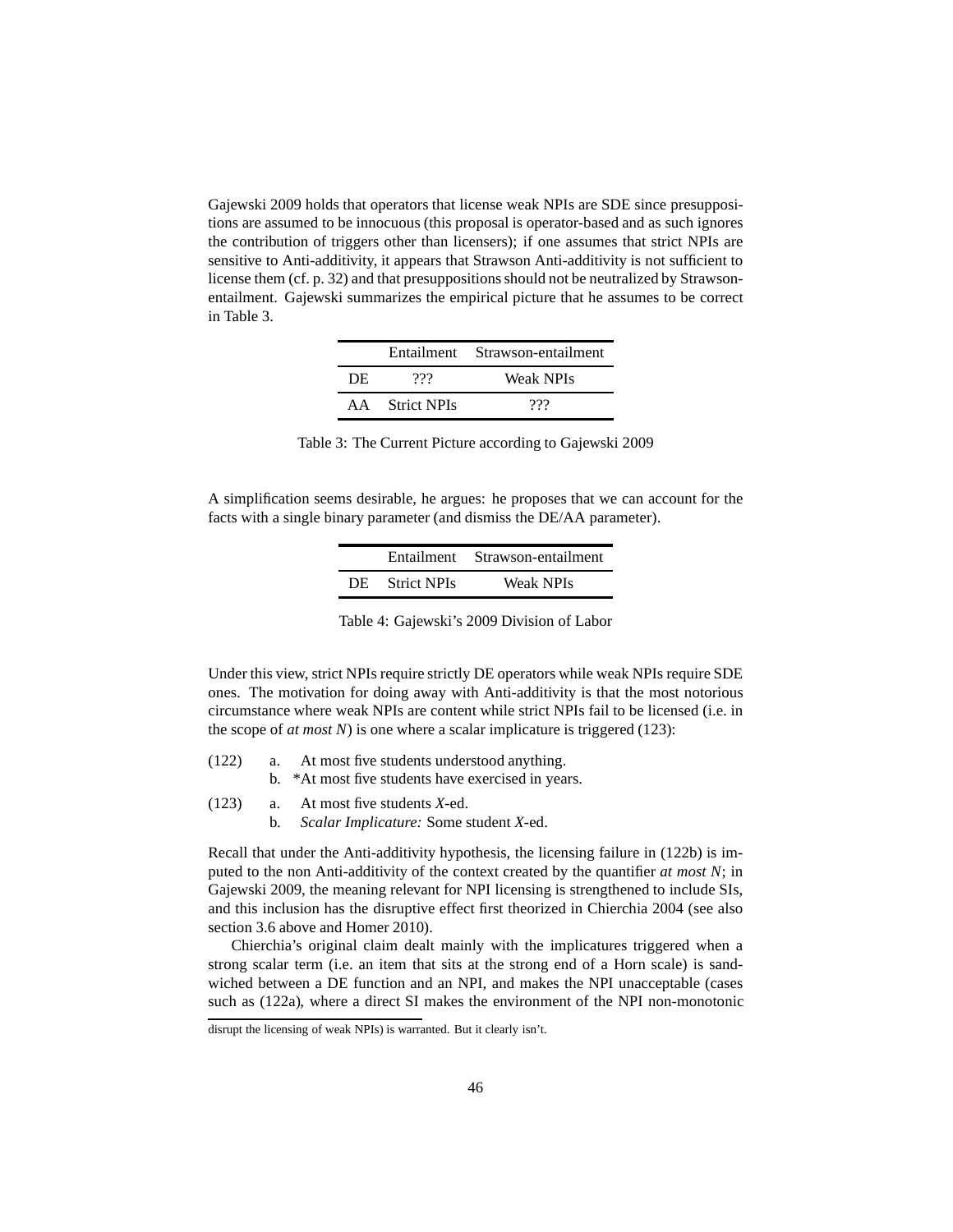[Gajewski 2009](#page-58-3) holds that operators that license weak NPIs are SDE since presuppositions are assumed to be innocuous (this proposal is operator-based and as such ignores the contribution of triggers other than licensers); if one assumes that strict NPIs are sensitive to Anti-additivity, it appears that Strawson Anti-additivity is not sufficient to license them (cf. p. [32\)](#page-31-1) and that presuppositions should not be neutralized by Strawsonentailment. Gajewski summarizes the empirical picture that he assumes to be correct in Table [3.](#page-45-0)

|     |                | Entailment Strawson-entailment |  |  |
|-----|----------------|--------------------------------|--|--|
| DE. | 999            | Weak NPIs                      |  |  |
|     | AA Strict NPIs | ???                            |  |  |

Table 3: The Current Picture according to Gajewski 2009

<span id="page-45-0"></span>A simplification seems desirable, he argues: he proposes that we can account for the facts with a single binary parameter (and dismiss the DE/AA parameter).

|                | Entailment Strawson-entailment |  |  |
|----------------|--------------------------------|--|--|
| DE Strict NPIs | Weak NPIs                      |  |  |

| Table 4: Gajewski's 2009 Division of Labor |  |  |
|--------------------------------------------|--|--|
|                                            |  |  |

Under this view, strict NPIs require strictly DE operators while weak NPIs require SDE ones. The motivation for doing away with Anti-additivity is that the most notorious circumstance where weak NPIs are content while strict NPIs fail to be licensed (i.e. in the scope of *at most N*) is one where a scalar implicature is triggered [\(123\):](#page-45-1)

- <span id="page-45-3"></span><span id="page-45-2"></span><span id="page-45-1"></span>(122) a. At most five students understood anything.
	- b. \*At most five students have exercised in years.
- (123) a. At most five students *X-*ed.
	- b. *Scalar Implicature:* Some student *X-*ed.

Recall that under the Anti-additivity hypothesis, the licensing failure in [\(122b\)](#page-45-2) is imputed to the non Anti-additivity of the context created by the quantifier *at most N*; in [Gajewski 2009,](#page-58-3) the meaning relevant for NPI licensing is strengthened to include SIs, and this inclusion has the disruptive effect first theorized in [Chierchia 2004](#page-58-10) (see also section [3.6](#page-23-0) above and [Homer 2010\)](#page-59-1).

Chierchia's original claim dealt mainly with the implicatures triggered when a strong scalar term (i.e. an item that sits at the strong end of a Horn scale) is sandwiched between a DE function and an NPI, and makes the NPI unacceptable (cases such as [\(122a\),](#page-45-3) where a direct SI makes the environment of the NPI non-monotonic

disrupt the licensing of weak NPIs) is warranted. But it clearly isn't.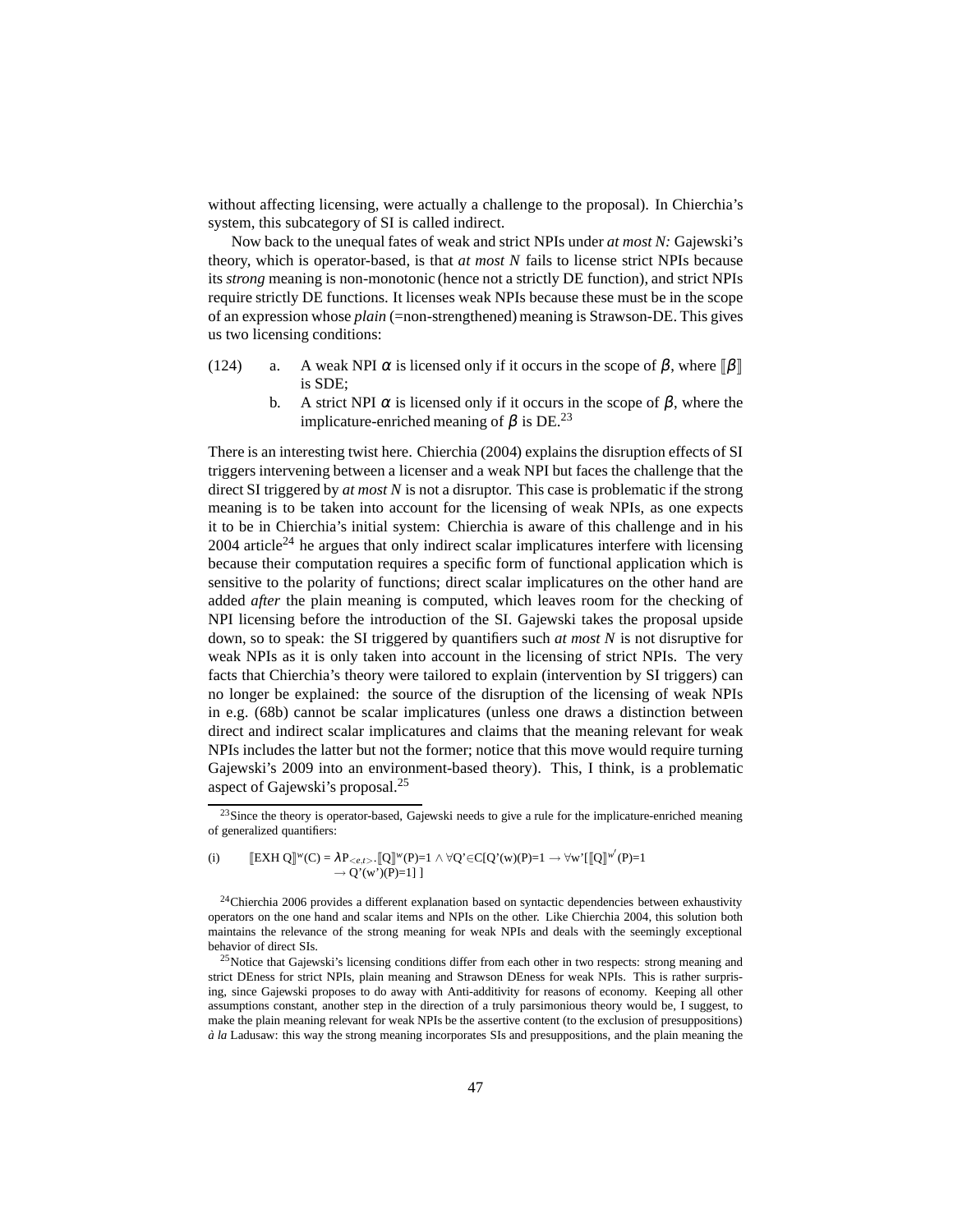without affecting licensing, were actually a challenge to the proposal). In Chierchia's system, this subcategory of SI is called indirect.

Now back to the unequal fates of weak and strict NPIs under *at most N:* Gajewski's theory, which is operator-based, is that *at most N* fails to license strict NPIs because its *strong* meaning is non-monotonic (hence not a strictly DE function), and strict NPIs require strictly DE functions. It licenses weak NPIs because these must be in the scope of an expression whose *plain* (=non-strengthened) meaning is Strawson-DE. This gives us two licensing conditions:

- (124) a. A weak NPI  $\alpha$  is licensed only if it occurs in the scope of  $\beta$ , where  $\|\beta\|$ is SDE;
	- b. A strict NPI  $\alpha$  is licensed only if it occurs in the scope of  $\beta$ , where the implicature-enriched meaning of  $β$  is DE.<sup>[23](#page-46-0)</sup>

There is an interesting twist here. [Chierchia \(2004](#page-58-10)) explains the disruption effects of SI triggers intervening between a licenser and a weak NPI but faces the challenge that the direct SI triggered by *at most N* is not a disruptor. This case is problematic if the strong meaning is to be taken into account for the licensing of weak NPIs, as one expects it to be in Chierchia's initial system: Chierchia is aware of this challenge and in his  $2004$  article<sup>[24](#page-46-1)</sup> he argues that only indirect scalar implicatures interfere with licensing because their computation requires a specific form of functional application which is sensitive to the polarity of functions; direct scalar implicatures on the other hand are added *after* the plain meaning is computed, which leaves room for the checking of NPI licensing before the introduction of the SI. Gajewski takes the proposal upside down, so to speak: the SI triggered by quantifiers such *at most N* is not disruptive for weak NPIs as it is only taken into account in the licensing of strict NPIs. The very facts that Chierchia's theory were tailored to explain (intervention by SI triggers) can no longer be explained: the source of the disruption of the licensing of weak NPIs in e.g. [\(68b\)](#page-23-3) cannot be scalar implicatures (unless one draws a distinction between direct and indirect scalar implicatures and claims that the meaning relevant for weak NPIs includes the latter but not the former; notice that this move would require turning [Gajewski](#page-58-3)'s [2009](#page-58-3) into an environment-based theory). This, I think, is a problematic aspect of Gajewski's proposal.[25](#page-46-2)

<span id="page-46-0"></span> $23$ Since the theory is operator-based, Gajewski needs to give a rule for the implicature-enriched meaning of generalized quantifiers:

<sup>(</sup>i)  $\llbracket \text{EXH Q} \rrbracket^w(C) = \lambda P_{< e, t>} \cdot \llbracket Q \rrbracket^w(P) = 1 \wedge \forall Q \in C[Q'(w)(P) = 1 \rightarrow \forall w' [\llbracket Q \rrbracket^{w'}(P) = 1$  $\rightarrow Q'(w')(P)=1]$ ]

<span id="page-46-1"></span><sup>&</sup>lt;sup>24</sup>[Chierchia 2006](#page-58-15) provides a different explanation based on syntactic dependencies between exhaustivity operators on the one hand and scalar items and NPIs on the other. Like [Chierchia 2004,](#page-58-10) this solution both maintains the relevance of the strong meaning for weak NPIs and deals with the seemingly exceptional behavior of direct SIs.

<span id="page-46-2"></span> $25$ Notice that Gajewski's licensing conditions differ from each other in two respects: strong meaning and strict DEness for strict NPIs, plain meaning and Strawson DEness for weak NPIs. This is rather surprising, since Gajewski proposes to do away with Anti-additivity for reasons of economy. Keeping all other assumptions constant, another step in the direction of a truly parsimonious theory would be, I suggest, to make the plain meaning relevant for weak NPIs be the assertive content (to the exclusion of presuppositions) *`a la* Ladusaw: this way the strong meaning incorporates SIs and presuppositions, and the plain meaning the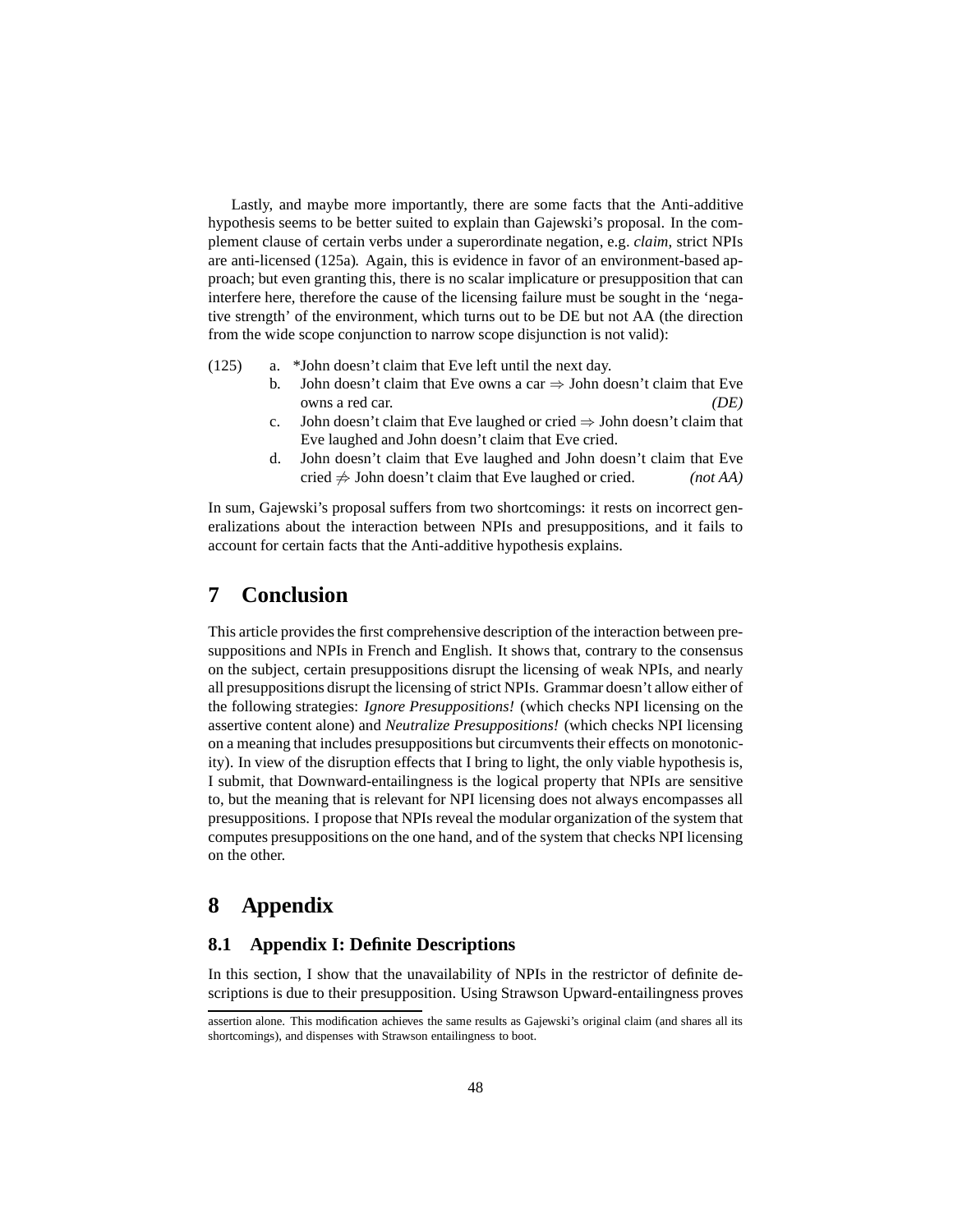Lastly, and maybe more importantly, there are some facts that the Anti-additive hypothesis seems to be better suited to explain than Gajewski's proposal. In the complement clause of certain verbs under a superordinate negation, e.g. *claim*, strict NPIs are anti-licensed [\(125a\).](#page-47-3) Again, this is evidence in favor of an environment-based approach; but even granting this, there is no scalar implicature or presupposition that can interfere here, therefore the cause of the licensing failure must be sought in the 'negative strength' of the environment, which turns out to be DE but not AA (the direction from the wide scope conjunction to narrow scope disjunction is not valid):

- <span id="page-47-3"></span>(125) a. \*John doesn't claim that Eve left until the next day.
	- b. John doesn't claim that Eve owns a car  $\Rightarrow$  John doesn't claim that Eve owns a red car. *(DE)*
	- c. John doesn't claim that Eve laughed or cried  $\Rightarrow$  John doesn't claim that Eve laughed and John doesn't claim that Eve cried.
	- d. John doesn't claim that Eve laughed and John doesn't claim that Eve cried 6⇒ John doesn't claim that Eve laughed or cried. *(not AA)*

In sum, Gajewski's proposal suffers from two shortcomings: it rests on incorrect generalizations about the interaction between NPIs and presuppositions, and it fails to account for certain facts that the Anti-additive hypothesis explains.

# <span id="page-47-0"></span>**7 Conclusion**

This article provides the first comprehensive description of the interaction between presuppositions and NPIs in French and English. It shows that, contrary to the consensus on the subject, certain presuppositions disrupt the licensing of weak NPIs, and nearly all presuppositions disrupt the licensing of strict NPIs. Grammar doesn't allow either of the following strategies: *Ignore Presuppositions!* (which checks NPI licensing on the assertive content alone) and *Neutralize Presuppositions!* (which checks NPI licensing on a meaning that includes presuppositions but circumvents their effects on monotonicity). In view of the disruption effects that I bring to light, the only viable hypothesis is, I submit, that Downward-entailingness is the logical property that NPIs are sensitive to, but the meaning that is relevant for NPI licensing does not always encompasses all presuppositions. I propose that NPIs reveal the modular organization of the system that computes presuppositions on the one hand, and of the system that checks NPI licensing on the other.

# <span id="page-47-1"></span>**8 Appendix**

## <span id="page-47-2"></span>**8.1 Appendix I: Definite Descriptions**

In this section, I show that the unavailability of NPIs in the restrictor of definite descriptions is due to their presupposition. Using Strawson Upward-entailingness proves

assertion alone. This modification achieves the same results as Gajewski's original claim (and shares all its shortcomings), and dispenses with Strawson entailingness to boot.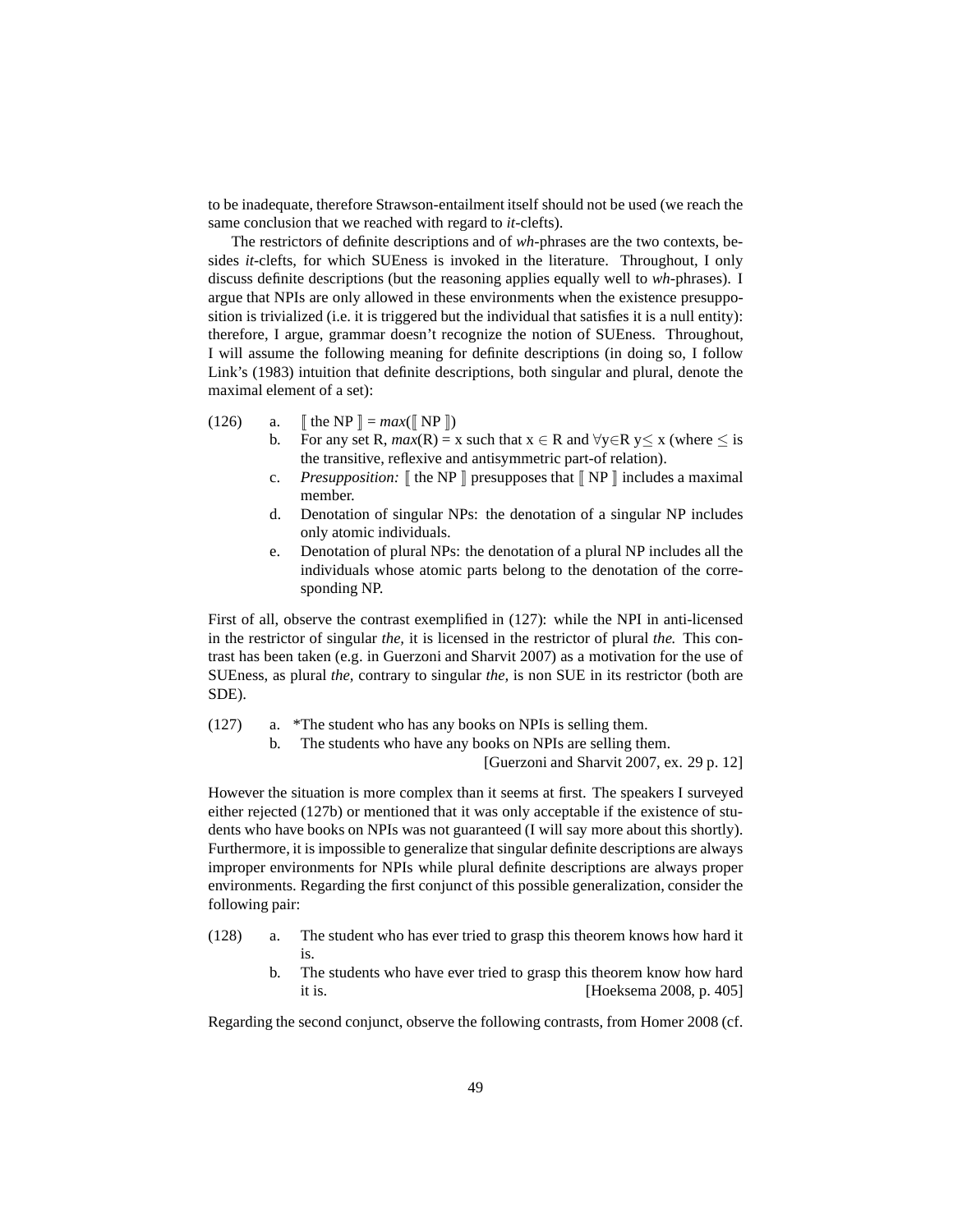to be inadequate, therefore Strawson-entailment itself should not be used (we reach the same conclusion that we reached with regard to *it*-clefts).

The restrictors of definite descriptions and of *wh-*phrases are the two contexts, besides *it-*clefts, for which SUEness is invoked in the literature. Throughout, I only discuss definite descriptions (but the reasoning applies equally well to *wh-*phrases). I argue that NPIs are only allowed in these environments when the existence presupposition is trivialized (i.e. it is triggered but the individual that satisfies it is a null entity): therefore, I argue, grammar doesn't recognize the notion of SUEness. Throughout, I will assume the following meaning for definite descriptions (in doing so, I follow [Link'](#page-59-14)s [\(1983\)](#page-59-14) intuition that definite descriptions, both singular and plural, denote the maximal element of a set):

- <span id="page-48-5"></span>(126) a.  $\[\n\[\n\[\n\]\n\] = \max(\[\n\]\n\]\nN^p\]\n)$ 
	- b. For any set R,  $max(R) = x$  such that  $x \in R$  and  $\forall y \in R$   $y \le x$  (where  $\le$  is the transitive, reflexive and antisymmetric part-of relation).
	- c. *Presupposition:*  $\lceil \ln NP \rceil$  presupposes that  $\lceil NP \rceil$  includes a maximal member.
	- d. Denotation of singular NPs: the denotation of a singular NP includes only atomic individuals.
	- e. Denotation of plural NPs: the denotation of a plural NP includes all the individuals whose atomic parts belong to the denotation of the corresponding NP.

First of all, observe the contrast exemplified in [\(127\):](#page-48-0) while the NPI in anti-licensed in the restrictor of singular *the,* it is licensed in the restrictor of plural *the.* This contrast has been taken (e.g. in [Guerzoni and Sharvit 2007](#page-58-5)) as a motivation for the use of SUEness, as plural *the,* contrary to singular *the,* is non SUE in its restrictor (both are SDE).

- <span id="page-48-3"></span><span id="page-48-1"></span><span id="page-48-0"></span>(127) a. \*The student who has any books on NPIs is selling them.
	- b. The students who have any books on NPIs are selling them.

[\[Guerzoni and Sharvit 2007,](#page-58-5) ex. 29 p. 12]

However the situation is more complex than it seems at first. The speakers I surveyed either rejected [\(127b\)](#page-48-1) or mentioned that it was only acceptable if the existence of students who have books on NPIs was not guaranteed (I will say more about this shortly). Furthermore, it is impossible to generalize that singular definite descriptions are always improper environments for NPIs while plural definite descriptions are always proper environments. Regarding the first conjunct of this possible generalization, consider the following pair:

- <span id="page-48-4"></span><span id="page-48-2"></span>(128) a. The student who has ever tried to grasp this theorem knows how hard it is.
	- b. The students who have ever tried to grasp this theorem know how hard it is. [\[Hoeksema 2008](#page-59-15), p. 405]

Regarding the second conjunct, observe the following contrasts, from [Homer 2008](#page-59-16) (cf.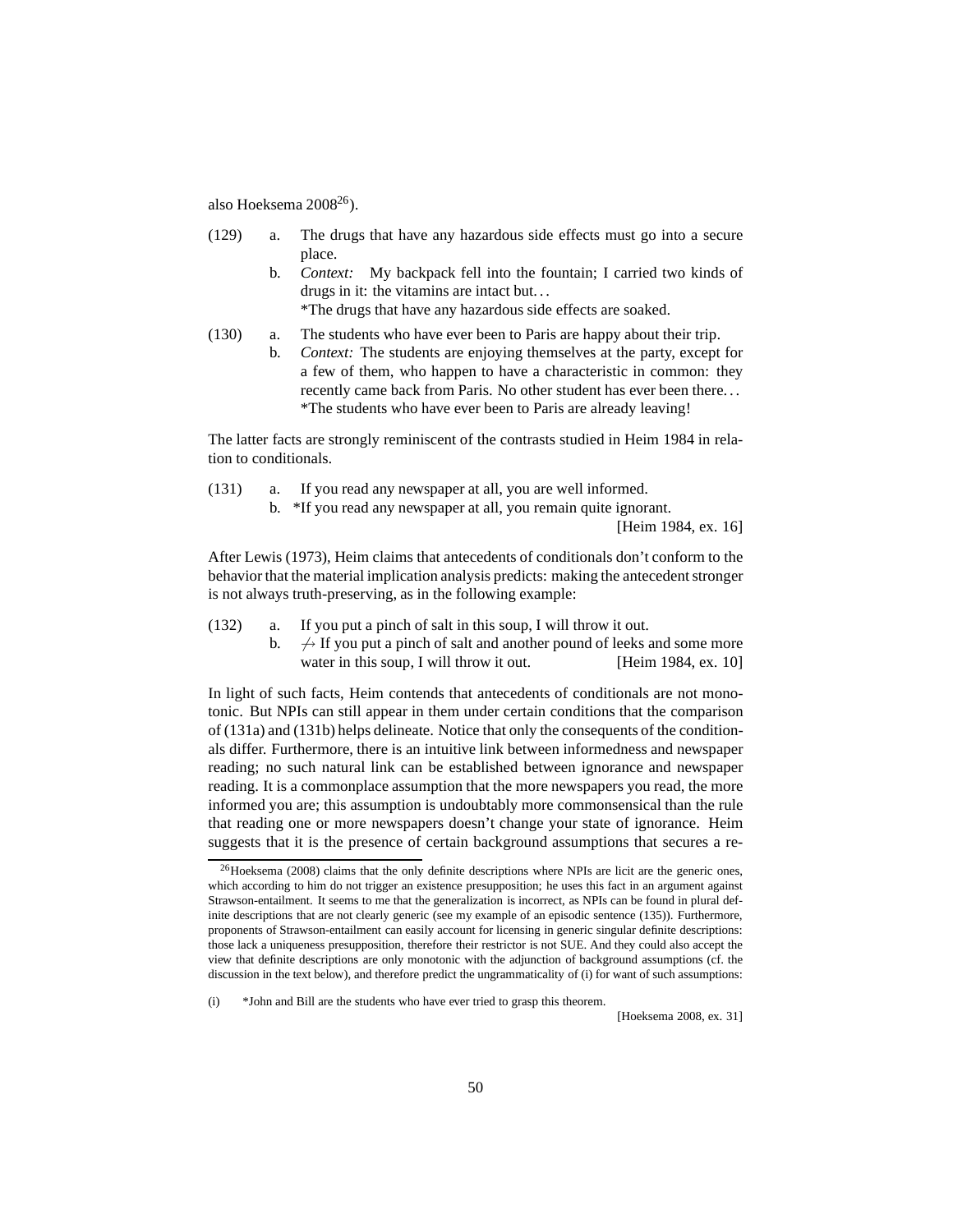also [Hoeksema 2008](#page-59-15)[26](#page-49-0)).

- <span id="page-49-3"></span>(129) a. The drugs that have any hazardous side effects must go into a secure place.
	- b. *Context:* My backpack fell into the fountain; I carried two kinds of drugs in it: the vitamins are intact but. . .

\*The drugs that have any hazardous side effects are soaked.

- <span id="page-49-4"></span>(130) a. The students who have ever been to Paris are happy about their trip.
	- b. *Context:* The students are enjoying themselves at the party, except for a few of them, who happen to have a characteristic in common: they recently came back from Paris. No other student has ever been there. . . \*The students who have ever been to Paris are already leaving!

The latter facts are strongly reminiscent of the contrasts studied in [Heim 1984](#page-59-5) in relation to conditionals.

<span id="page-49-2"></span><span id="page-49-1"></span>(131) a. If you read any newspaper at all, you are well informed. b. \*If you read any newspaper at all, you remain quite ignorant.

[\[Heim 1984,](#page-59-5) ex. 16]

After [Lewis \(1973\)](#page-59-17), Heim claims that antecedents of conditionals don't conform to the behavior that the material implication analysis predicts: making the antecedent stronger is not always truth-preserving, as in the following example:

- (132) a. If you put a pinch of salt in this soup, I will throw it out.
	- b.  $\rightarrow$  If you put a pinch of salt and another pound of leeks and some more water in this soup, I will throw it out. [\[Heim 1984,](#page-59-5) ex. 10]

In light of such facts, Heim contends that antecedents of conditionals are not monotonic. But NPIs can still appear in them under certain conditions that the comparison of [\(131a\)](#page-49-1) and [\(131b\)](#page-49-2) helps delineate. Notice that only the consequents of the conditionals differ. Furthermore, there is an intuitive link between informedness and newspaper reading; no such natural link can be established between ignorance and newspaper reading. It is a commonplace assumption that the more newspapers you read, the more informed you are; this assumption is undoubtably more commonsensical than the rule that reading one or more newspapers doesn't change your state of ignorance. Heim suggests that it is the presence of certain background assumptions that secures a re-

(i) \*John and Bill are the students who have ever tried to grasp this theorem.

<span id="page-49-0"></span> $^{26}$ [Hoeksema \(2008\)](#page-59-15) claims that the only definite descriptions where NPIs are licit are the generic ones, which according to him do not trigger an existence presupposition; he uses this fact in an argument against Strawson-entailment. It seems to me that the generalization is incorrect, as NPIs can be found in plural definite descriptions that are not clearly generic (see my example of an episodic sentence [\(135\)\)](#page-52-1). Furthermore, proponents of Strawson-entailment can easily account for licensing in generic singular definite descriptions: those lack a uniqueness presupposition, therefore their restrictor is not SUE. And they could also accept the view that definite descriptions are only monotonic with the adjunction of background assumptions (cf. the discussion in the text below), and therefore predict the ungrammaticality of [\(i\)](#page-55-1) for want of such assumptions: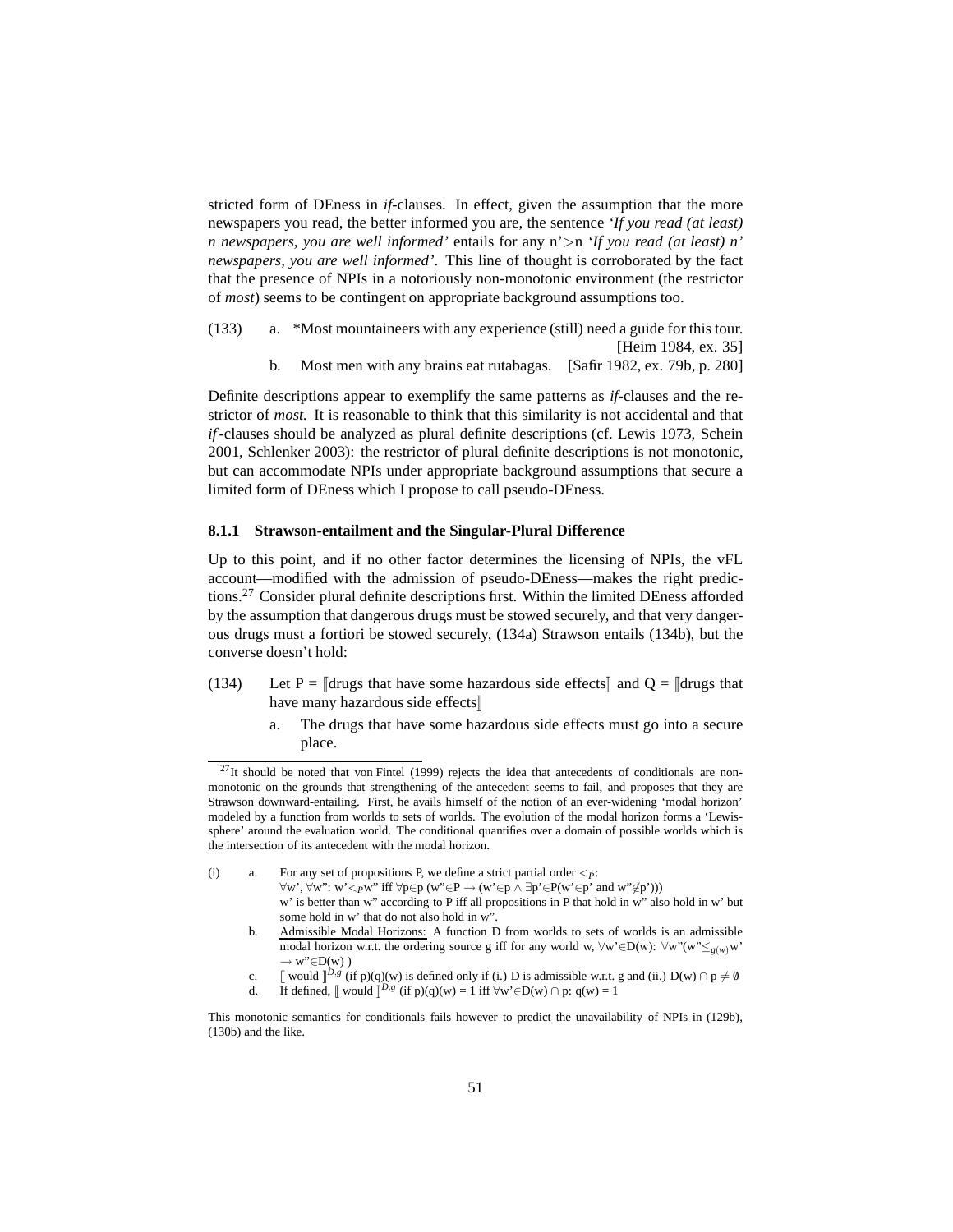stricted form of DEness in *if-*clauses. In effect, given the assumption that the more newspapers you read, the better informed you are, the sentence *'If you read (at least) n newspapers, you are well informed'* entails for any n'>n *'If you read (at least) n' newspapers, you are well informed'*. This line of thought is corroborated by the fact that the presence of NPIs in a notoriously non-monotonic environment (the restrictor of *most*) seems to be contingent on appropriate background assumptions too.

- (133) a. \*Most mountaineers with any experience (still) need a guide for this tour. [\[Heim 1984,](#page-59-5) ex. 35]
	- b. Most men with any brains eat rutabagas. [\[Safir 1982,](#page-60-9) ex. 79b, p. 280]

Definite descriptions appear to exemplify the same patterns as *if-*clauses and the restrictor of *most.* It is reasonable to think that this similarity is not accidental and that *if*-clauses should be analyzed as plural definite descriptions (cf. [Lewis 1973,](#page-59-17) [Schein](#page-60-10) [2001,](#page-60-10) [Schlenker 2003\)](#page-60-11): the restrictor of plural definite descriptions is not monotonic, but can accommodate NPIs under appropriate background assumptions that secure a limited form of DEness which I propose to call pseudo-DEness.

## <span id="page-50-0"></span>**8.1.1 Strawson-entailment and the Singular-Plural Difference**

Up to this point, and if no other factor determines the licensing of NPIs, the vFL account—modified with the admission of pseudo-DEness—makes the right predictions.[27](#page-50-1) Consider plural definite descriptions first. Within the limited DEness afforded by the assumption that dangerous drugs must be stowed securely, and that very dangerous drugs must a fortiori be stowed securely, [\(134a\)](#page-50-2) Strawson entails [\(134b\),](#page-51-0) but the converse doesn't hold:

- <span id="page-50-2"></span>(134) Let P =  $\Vert$ drugs that have some hazardous side effects $\Vert$  and Q =  $\Vert$ drugs that have many hazardous side effects
	- a. The drugs that have some hazardous side effects must go into a secure place.

- (i) a. For any set of propositions P, we define a strict partial order  $\lt_{P}$ :
	- $\forall w', \forall w'': w' <_{P}w''$  iff  $\forall p \in p$  (w"∈P  $\rightarrow$  (w'∈p  $\land \exists p' \in P(w' \in p'$  and w"∉p')))
	- w' is better than w" according to P iff all propositions in P that hold in w" also hold in w' but some hold in w' that do not also hold in w".
	- b. Admissible Modal Horizons: A function D from worlds to sets of worlds is an admissible modal horizon w.r.t. the ordering source g iff for any world w, ∀w'∈D(w): ∀w"(w"≤*g*(*w*)w'  $\rightarrow$  w"∈D(w))
	- c.  $\llbracket$  would  $\rrbracket^{D,g}$  (if p)(q)(w) is defined only if (i.) D is admissible w.r.t. g and (ii.) D(w)  $\cap$  p  $\neq \emptyset$
	- d. If defined,  $\llbracket$  would  $\rrbracket^{D,g}$  (if  $p)(q)(w) = 1$  iff  $\forall w' \in D(w) \cap p: q(w) = 1$

<span id="page-50-1"></span> $^{27}$ It should be noted that [von Fintel \(1999](#page-58-2)) rejects the idea that antecedents of conditionals are nonmonotonic on the grounds that strengthening of the antecedent seems to fail, and proposes that they are Strawson downward-entailing. First, he avails himself of the notion of an ever-widening 'modal horizon' modeled by a function from worlds to sets of worlds. The evolution of the modal horizon forms a 'Lewissphere' around the evaluation world. The conditional quantifies over a domain of possible worlds which is the intersection of its antecedent with the modal horizon.

This monotonic semantics for conditionals fails however to predict the unavailability of NPIs in [\(129b\),](#page-49-3) [\(130b\)](#page-49-4) and the like.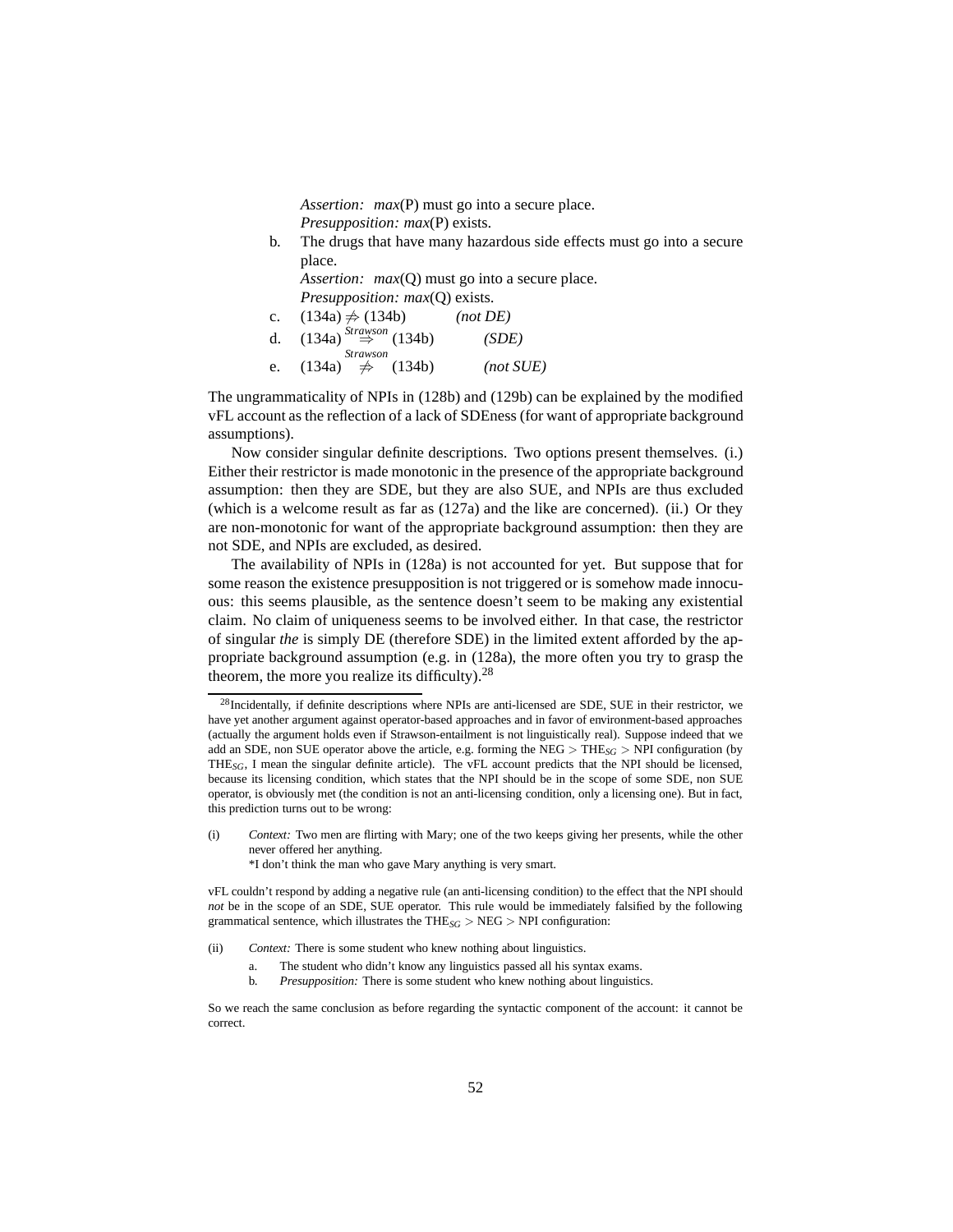*Assertion: max*(P) must go into a secure place. *Presupposition: max*(P) exists.

<span id="page-51-0"></span>b. The drugs that have many hazardous side effects must go into a secure place.

*Assertion: max(Q)* must go into a secure place. *Presupposition: max*(Q) exists.

c.  $(134a) \neq (134b)$  $(134a) \neq (134b)$  *(not DE)* d. [\(134a\)](#page-50-2) *Strawson* ⇒ [\(134b\)](#page-51-0) *(SDE)* e. [\(134a\)](#page-50-2) *Strawson* 6⇒ [\(134b\)](#page-51-0) *(not SUE)*

The ungrammaticality of NPIs in [\(128b\)](#page-48-2) and [\(129b\)](#page-49-3) can be explained by the modified vFL account as the reflection of a lack of SDEness (for want of appropriate background assumptions).

Now consider singular definite descriptions. Two options present themselves. (i.) Either their restrictor is made monotonic in the presence of the appropriate background assumption: then they are SDE, but they are also SUE, and NPIs are thus excluded (which is a welcome result as far as [\(127a\)](#page-48-3) and the like are concerned). (ii.) Or they are non-monotonic for want of the appropriate background assumption: then they are not SDE, and NPIs are excluded, as desired.

The availability of NPIs in [\(128a\)](#page-48-4) is not accounted for yet. But suppose that for some reason the existence presupposition is not triggered or is somehow made innocuous: this seems plausible, as the sentence doesn't seem to be making any existential claim. No claim of uniqueness seems to be involved either. In that case, the restrictor of singular *the* is simply DE (therefore SDE) in the limited extent afforded by the appropriate background assumption (e.g. in [\(128a\),](#page-48-4) the more often you try to grasp the theorem, the more you realize its difficulty).<sup>[28](#page-51-1)</sup>

(i) *Context:* Two men are flirting with Mary; one of the two keeps giving her presents, while the other never offered her anything.

\*I don't think the man who gave Mary anything is very smart.

vFL couldn't respond by adding a negative rule (an anti-licensing condition) to the effect that the NPI should *not* be in the scope of an SDE, SUE operator. This rule would be immediately falsified by the following grammatical sentence, which illustrates the THE*SG* > NEG > NPI configuration:

(ii) *Context:* There is some student who knew nothing about linguistics.

- a. The student who didn't know any linguistics passed all his syntax exams.
- b. *Presupposition:* There is some student who knew nothing about linguistics.

<span id="page-51-1"></span> $^{28}$ Incidentally, if definite descriptions where NPIs are anti-licensed are SDE, SUE in their restrictor, we have yet another argument against operator-based approaches and in favor of environment-based approaches (actually the argument holds even if Strawson-entailment is not linguistically real). Suppose indeed that we add an SDE, non SUE operator above the article, e.g. forming the NEG > THE*SG* > NPI configuration (by THE*SG*, I mean the singular definite article). The vFL account predicts that the NPI should be licensed, because its licensing condition, which states that the NPI should be in the scope of some SDE, non SUE operator, is obviously met (the condition is not an anti-licensing condition, only a licensing one). But in fact, this prediction turns out to be wrong:

So we reach the same conclusion as before regarding the syntactic component of the account: it cannot be correct.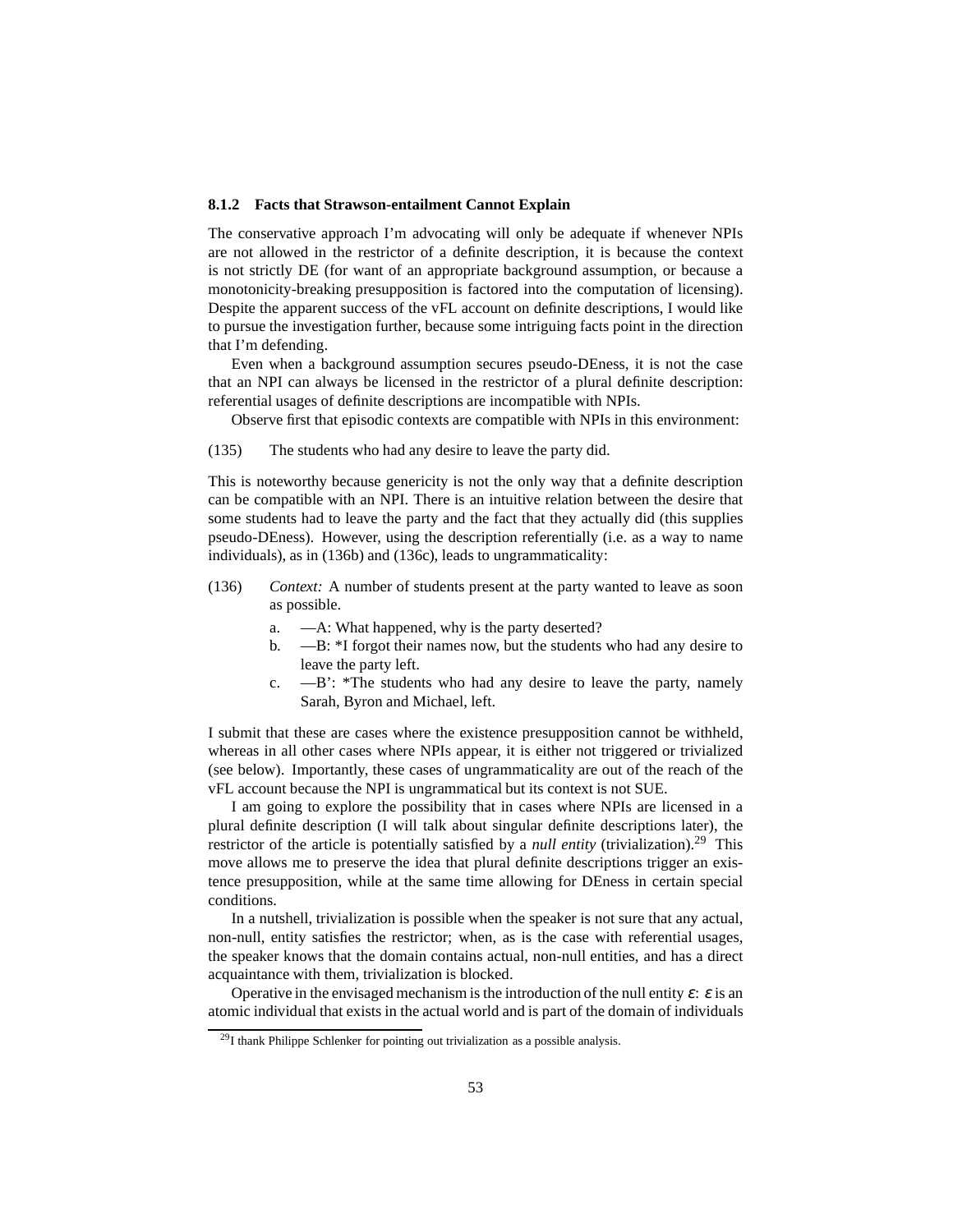#### <span id="page-52-0"></span>**8.1.2 Facts that Strawson-entailment Cannot Explain**

The conservative approach I'm advocating will only be adequate if whenever NPIs are not allowed in the restrictor of a definite description, it is because the context is not strictly DE (for want of an appropriate background assumption, or because a monotonicity-breaking presupposition is factored into the computation of licensing). Despite the apparent success of the vFL account on definite descriptions, I would like to pursue the investigation further, because some intriguing facts point in the direction that I'm defending.

Even when a background assumption secures pseudo-DEness, it is not the case that an NPI can always be licensed in the restrictor of a plural definite description: referential usages of definite descriptions are incompatible with NPIs.

Observe first that episodic contexts are compatible with NPIs in this environment:

<span id="page-52-1"></span>(135) The students who had any desire to leave the party did.

This is noteworthy because genericity is not the only way that a definite description can be compatible with an NPI. There is an intuitive relation between the desire that some students had to leave the party and the fact that they actually did (this supplies pseudo-DEness). However, using the description referentially (i.e. as a way to name individuals), as in [\(136b\)](#page-52-2) and [\(136c\),](#page-52-3) leads to ungrammaticality:

- <span id="page-52-2"></span>(136) *Context:* A number of students present at the party wanted to leave as soon as possible.
	- a. —A: What happened, why is the party deserted?
	- b. —B: \*I forgot their names now, but the students who had any desire to leave the party left.
	- c. —B': \*The students who had any desire to leave the party, namely Sarah, Byron and Michael, left.

<span id="page-52-3"></span>I submit that these are cases where the existence presupposition cannot be withheld, whereas in all other cases where NPIs appear, it is either not triggered or trivialized (see below). Importantly, these cases of ungrammaticality are out of the reach of the vFL account because the NPI is ungrammatical but its context is not SUE.

I am going to explore the possibility that in cases where NPIs are licensed in a plural definite description (I will talk about singular definite descriptions later), the restrictor of the article is potentially satisfied by a *null entity* (trivialization).<sup>[29](#page-52-4)</sup> This move allows me to preserve the idea that plural definite descriptions trigger an existence presupposition, while at the same time allowing for DEness in certain special conditions.

In a nutshell, trivialization is possible when the speaker is not sure that any actual, non-null, entity satisfies the restrictor; when, as is the case with referential usages, the speaker knows that the domain contains actual, non-null entities, and has a direct acquaintance with them, trivialization is blocked.

Operative in the envisaged mechanism is the introduction of the null entity  $\varepsilon$ :  $\varepsilon$  is an atomic individual that exists in the actual world and is part of the domain of individuals

<span id="page-52-4"></span><sup>29</sup>I thank Philippe Schlenker for pointing out trivialization as a possible analysis.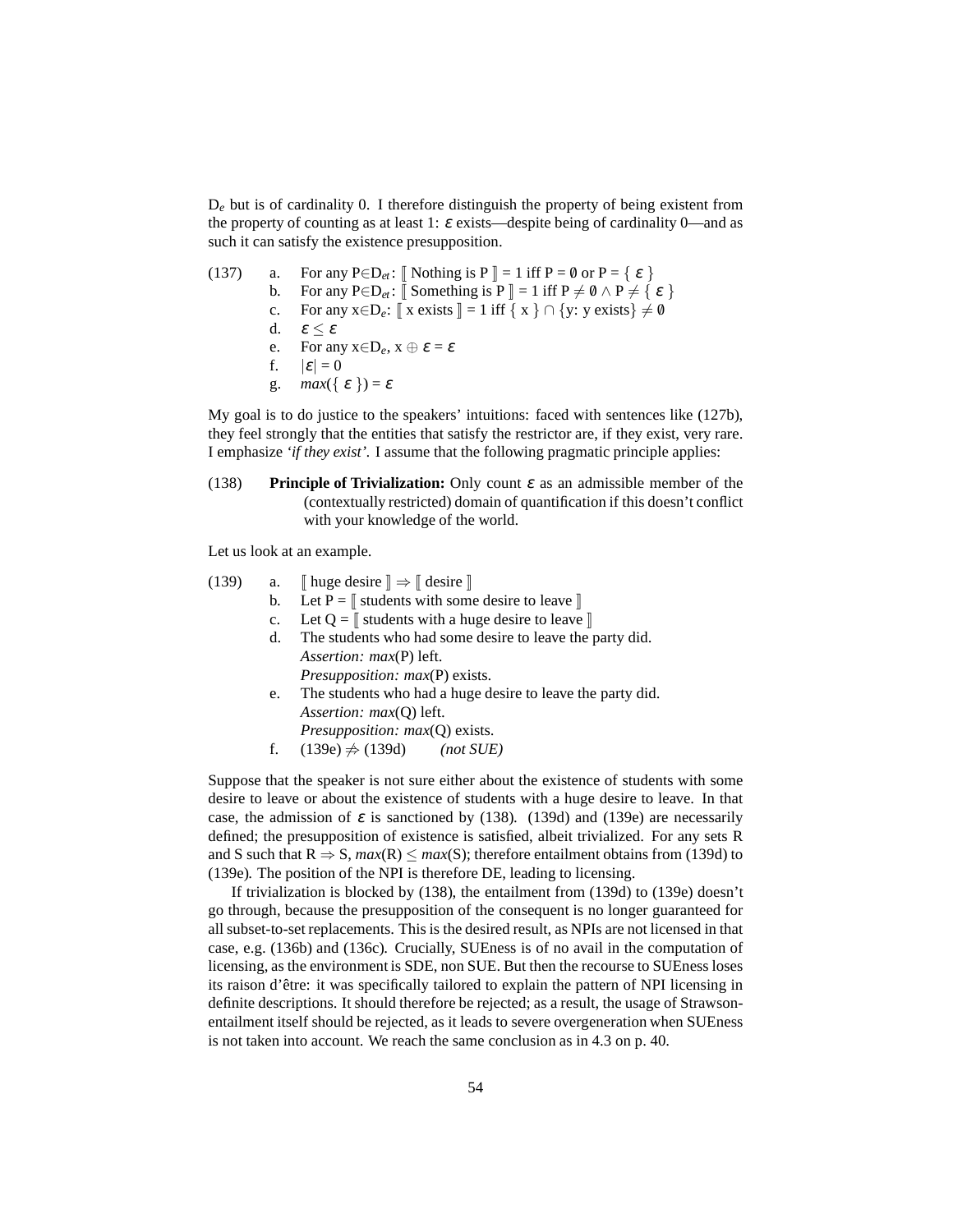D*<sup>e</sup>* but is of cardinality 0. I therefore distinguish the property of being existent from the property of counting as at least 1:  $\varepsilon$  exists—despite being of cardinality 0—and as such it can satisfy the existence presupposition.

(137) a. For any 
$$
P \in D_{et}
$$
:  $[\text{ Nothing is } P] = 1 \text{ iff } P = \emptyset \text{ or } P = \{ \varepsilon \}$   
\nb. For any  $P \in D_{et}$ :  $[\text{ Something is } P] = 1 \text{ iff } P \neq \emptyset \land P \neq \{ \varepsilon \}$   
\nc. For any  $x \in D_e$ :  $[\![ x \text{ exists } ]] = 1 \text{ iff } \{ x \} \cap \{ y : y \text{ exists } \} \neq \emptyset$   
\nd.  $\varepsilon \leq \varepsilon$   
\ne. For any  $x \in D_e$ ,  $x \oplus \varepsilon = \varepsilon$   
\nf.  $|\varepsilon| = 0$   
\ng.  $\max(\{\varepsilon\}) = \varepsilon$ 

My goal is to do justice to the speakers' intuitions: faced with sentences like [\(127b\),](#page-48-1) they feel strongly that the entities that satisfy the restrictor are, if they exist, very rare. I emphasize *'if they exist'.* I assume that the following pragmatic principle applies:

<span id="page-53-2"></span>(138) **Principle of Trivialization:** Only count <sup>ε</sup> as an admissible member of the (contextually restricted) domain of quantification if this doesn't conflict with your knowledge of the world.

Let us look at an example.

<span id="page-53-1"></span><span id="page-53-0"></span>(139) a. 
$$
\llbracket
$$
 huge desire  $\rrbracket \Rightarrow \llbracket$  desire  $\rrbracket$ 

- b. Let  $P = \mathbb{I}$  students with some desire to leave  $\mathbb{I}$
- c. Let  $Q = \mathbb{I}$  students with a huge desire to leave  $\mathbb{I}$
- d. The students who had some desire to leave the party did. *Assertion: max*(P) left. *Presupposition: max*(P) exists.
- e. The students who had a huge desire to leave the party did. *Assertion: max*(Q) left. *Presupposition: max*(Q) exists.
- f.  $(139e)$   $\neq$   $(139d)$  *(not SUE)*

Suppose that the speaker is not sure either about the existence of students with some desire to leave or about the existence of students with a huge desire to leave. In that case, the admission of  $\varepsilon$  is sanctioned by [\(138\).](#page-53-2) [\(139d\)](#page-53-1) and [\(139e\)](#page-53-0) are necessarily defined; the presupposition of existence is satisfied, albeit trivialized. For any sets R and S such that  $R \Rightarrow S$ ,  $max(R) \le max(S)$ ; therefore entailment obtains from [\(139d\)](#page-53-1) to [\(139e\).](#page-53-0) The position of the NPI is therefore DE, leading to licensing.

If trivialization is blocked by [\(138\),](#page-53-2) the entailment from [\(139d\)](#page-53-1) to [\(139e\)](#page-53-0) doesn't go through, because the presupposition of the consequent is no longer guaranteed for all subset-to-set replacements. This is the desired result, as NPIs are not licensed in that case, e.g. [\(136b\)](#page-52-2) and [\(136c\).](#page-52-3) Crucially, SUEness is of no avail in the computation of licensing, as the environment is SDE, non SUE. But then the recourse to SUEness loses its raison d'être: it was specifically tailored to explain the pattern of NPI licensing in definite descriptions. It should therefore be rejected; as a result, the usage of Strawsonentailment itself should be rejected, as it leads to severe overgeneration when SUEness is not taken into account. We reach the same conclusion as in [4.3](#page-32-0) on p. [40.](#page-39-5)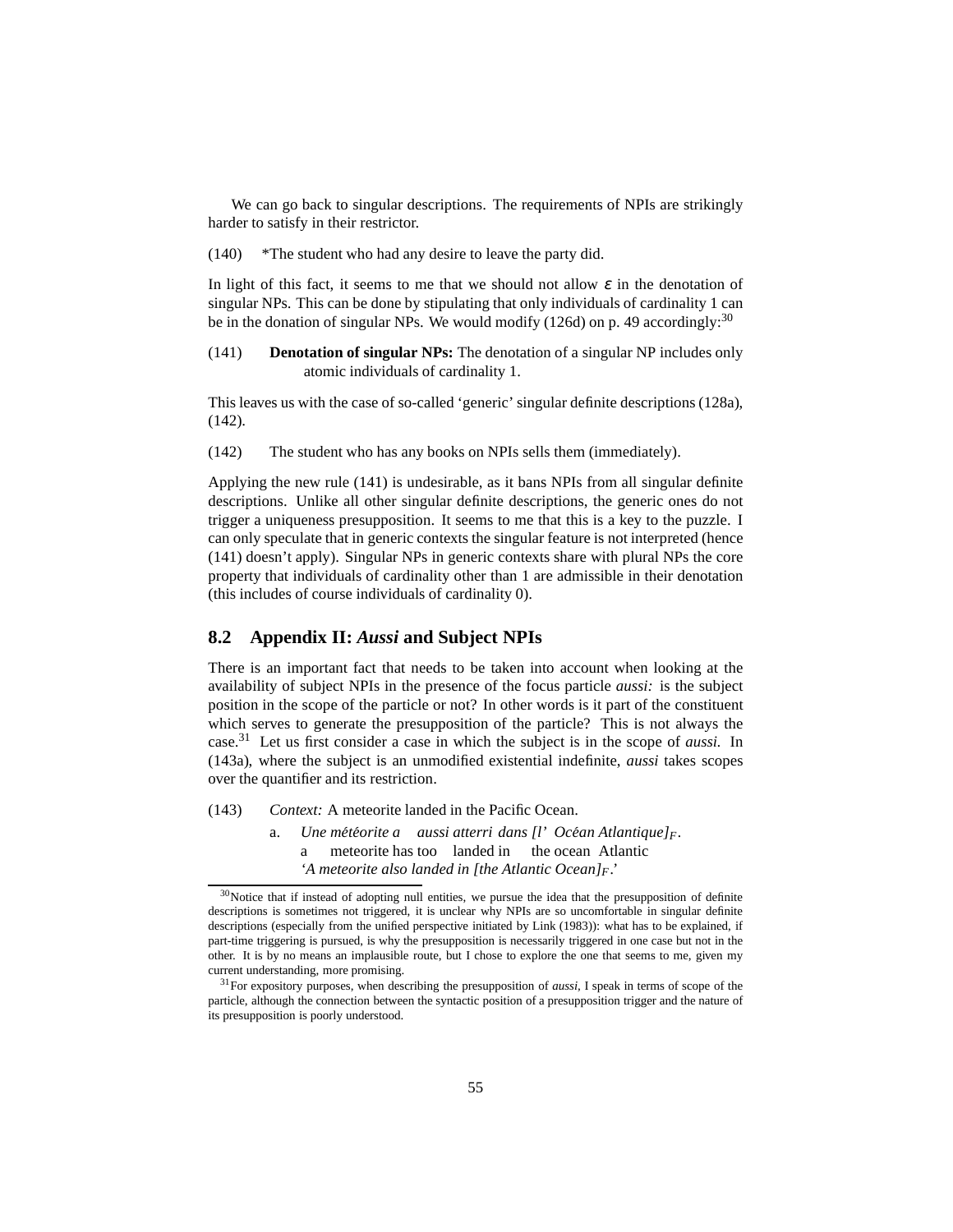We can go back to singular descriptions. The requirements of NPIs are strikingly harder to satisfy in their restrictor.

(140) \*The student who had any desire to leave the party did.

In light of this fact, it seems to me that we should not allow  $\varepsilon$  in the denotation of singular NPs. This can be done by stipulating that only individuals of cardinality 1 can be in the donation of singular NPs. We would modify [\(126d\)](#page-48-5) on p. [49](#page-48-5) accordingly:<sup>[30](#page-54-1)</sup>

<span id="page-54-3"></span>(141) **Denotation of singular NPs:** The denotation of a singular NP includes only atomic individuals of cardinality 1.

<span id="page-54-2"></span>This leaves us with the case of so-called 'generic' singular definite descriptions [\(128a\),](#page-48-4) [\(142\).](#page-54-2)

(142) The student who has any books on NPIs sells them (immediately).

Applying the new rule [\(141\)](#page-54-3) is undesirable, as it bans NPIs from all singular definite descriptions. Unlike all other singular definite descriptions, the generic ones do not trigger a uniqueness presupposition. It seems to me that this is a key to the puzzle. I can only speculate that in generic contexts the singular feature is not interpreted (hence [\(141\)](#page-54-3) doesn't apply). Singular NPs in generic contexts share with plural NPs the core property that individuals of cardinality other than 1 are admissible in their denotation (this includes of course individuals of cardinality 0).

## <span id="page-54-0"></span>**8.2 Appendix II:** *Aussi* **and Subject NPIs**

There is an important fact that needs to be taken into account when looking at the availability of subject NPIs in the presence of the focus particle *aussi:* is the subject position in the scope of the particle or not? In other words is it part of the constituent which serves to generate the presupposition of the particle? This is not always the case.[31](#page-54-4) Let us first consider a case in which the subject is in the scope of *aussi.* In [\(143a\),](#page-54-5) where the subject is an unmodified existential indefinite, *aussi* takes scopes over the quantifier and its restriction.

- <span id="page-54-5"></span>(143) *Context:* A meteorite landed in the Pacific Ocean.
	- a. *Une météorite a aussi atterri dans* [l'*Océan Atlantique]<sub>F</sub>.* a meteorite has too landed in the ocean Atlantic *'A meteorite also landed in [the Atlantic Ocean]F.'*

<span id="page-54-1"></span><sup>&</sup>lt;sup>30</sup>Notice that if instead of adopting null entities, we pursue the idea that the presupposition of definite descriptions is sometimes not triggered, it is unclear why NPIs are so uncomfortable in singular definite descriptions (especially from the unified perspective initiated by [Link \(1983](#page-59-14))): what has to be explained, if part-time triggering is pursued, is why the presupposition is necessarily triggered in one case but not in the other. It is by no means an implausible route, but I chose to explore the one that seems to me, given my current understanding, more promising.

<span id="page-54-4"></span><sup>31</sup>For expository purposes, when describing the presupposition of *aussi,* I speak in terms of scope of the particle, although the connection between the syntactic position of a presupposition trigger and the nature of its presupposition is poorly understood.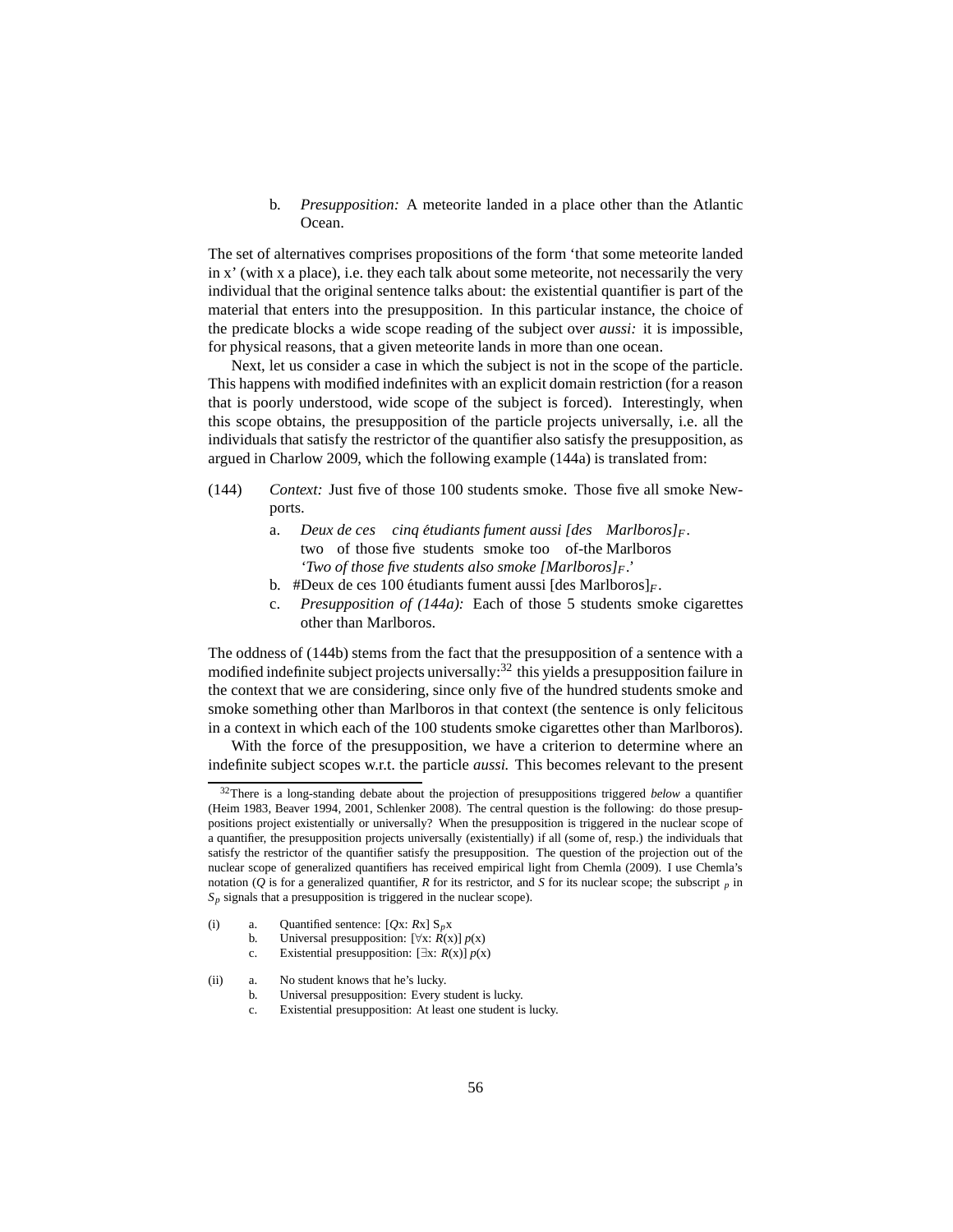b. *Presupposition:* A meteorite landed in a place other than the Atlantic Ocean.

The set of alternatives comprises propositions of the form 'that some meteorite landed in x' (with x a place), i.e. they each talk about some meteorite, not necessarily the very individual that the original sentence talks about: the existential quantifier is part of the material that enters into the presupposition. In this particular instance, the choice of the predicate blocks a wide scope reading of the subject over *aussi:* it is impossible, for physical reasons, that a given meteorite lands in more than one ocean.

Next, let us consider a case in which the subject is not in the scope of the particle. This happens with modified indefinites with an explicit domain restriction (for a reason that is poorly understood, wide scope of the subject is forced). Interestingly, when this scope obtains, the presupposition of the particle projects universally, i.e. all the individuals that satisfy the restrictor of the quantifier also satisfy the presupposition, as argued in [Charlow 2009,](#page-57-6) which the following example [\(144a\)](#page-55-2) is translated from:

- <span id="page-55-3"></span><span id="page-55-2"></span>(144) *Context:* Just five of those 100 students smoke. Those five all smoke Newports.
	- a. *Deux de ces cinq etudiants ´ fument aussi [des Marlboros]<sup>F</sup> .* two of those five students smoke too of-the Marlboros *'Two of those five students also smoke [Marlboros]<sup>F</sup> .'*
	- b. #Deux de ces 100 étudiants fument aussi  $[des \, MarIboros]_F$ .
	- c. *Presupposition of [\(144a\):](#page-55-2)* Each of those 5 students smoke cigarettes other than Marlboros.

The oddness of [\(144b\)](#page-55-3) stems from the fact that the presupposition of a sentence with a modified indefinite subject projects universally: $32$  this yields a presupposition failure in the context that we are considering, since only five of the hundred students smoke and smoke something other than Marlboros in that context (the sentence is only felicitous in a context in which each of the 100 students smoke cigarettes other than Marlboros).

With the force of the presupposition, we have a criterion to determine where an indefinite subject scopes w.r.t. the particle *aussi.* This becomes relevant to the present

<span id="page-55-4"></span><sup>32</sup>There is a long-standing debate about the projection of presuppositions triggered *below* a quantifier [\(Heim 1983](#page-58-12), [Beaver 1994](#page-57-7), [2001](#page-57-8), [Schlenker 2008](#page-60-12)). The central question is the following: do those presuppositions project existentially or universally? When the presupposition is triggered in the nuclear scope of a quantifier, the presupposition projects universally (existentially) if all (some of, resp.) the individuals that satisfy the restrictor of the quantifier satisfy the presupposition. The question of the projection out of the nuclear scope of generalized quantifiers has received empirical light from [Chemla](#page-58-16) [\(2009](#page-58-16)). I use Chemla's notation ( $Q$  is for a generalized quantifier,  $R$  for its restrictor, and  $S$  for its nuclear scope; the subscript  $p$  in  $S_p$  signals that a presupposition is triggered in the nuclear scope).

<span id="page-55-1"></span><sup>(</sup>i) a. Quantified sentence:  $[Qx:Rx] S_p x$ 

b. Universal presupposition:  $[\forall x: R(x)] p(x)$ 

c. Existential presupposition:  $[\exists x: R(x)] p(x)$ 

<span id="page-55-0"></span><sup>(</sup>ii) a. No student knows that he's lucky.

b. Universal presupposition: Every student is lucky.

c. Existential presupposition: At least one student is lucky.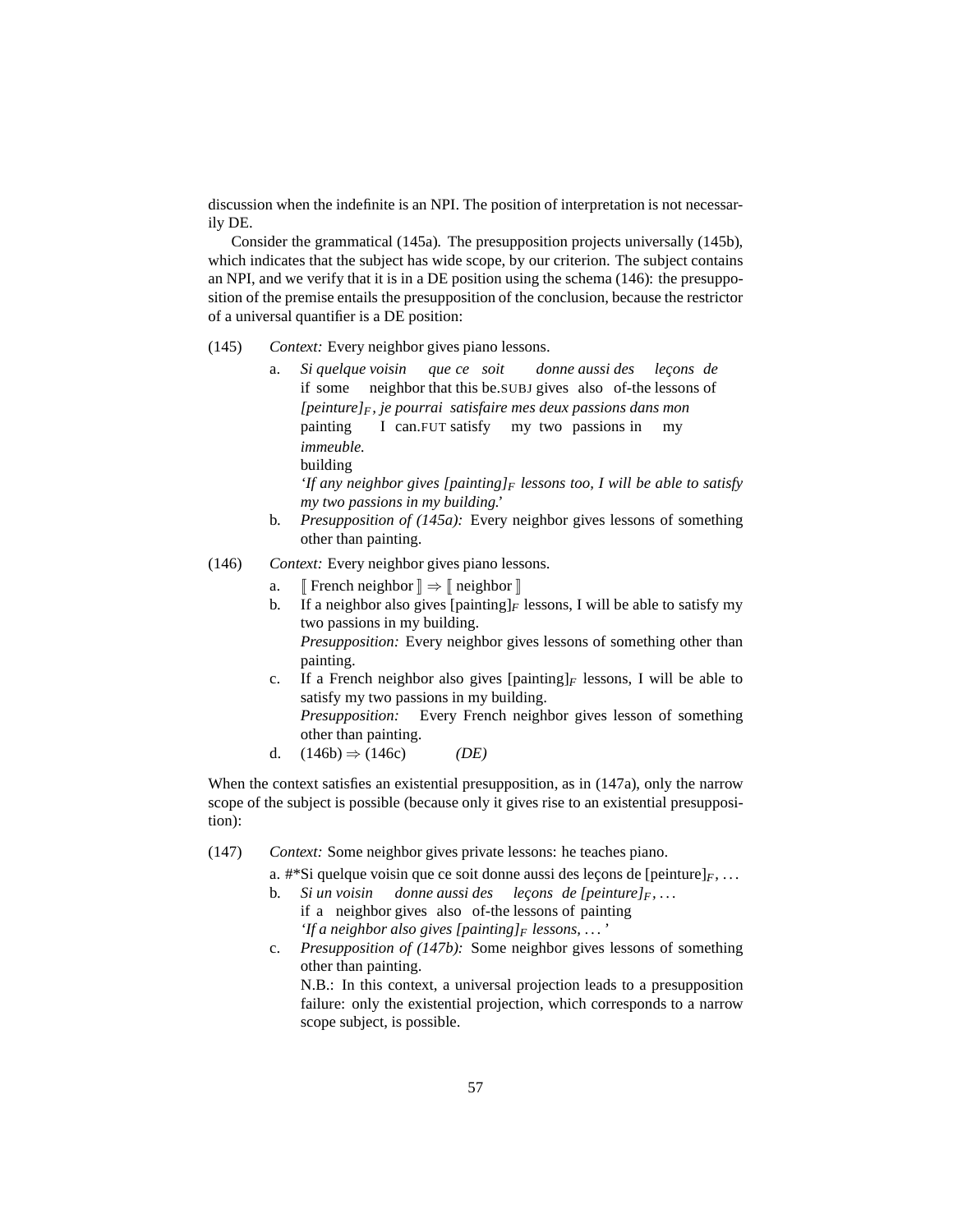discussion when the indefinite is an NPI. The position of interpretation is not necessarily DE.

Consider the grammatical [\(145a\).](#page-56-0) The presupposition projects universally [\(145b\),](#page-56-1) which indicates that the subject has wide scope, by our criterion. The subject contains an NPI, and we verify that it is in a DE position using the schema [\(146\):](#page-56-2) the presupposition of the premise entails the presupposition of the conclusion, because the restrictor of a universal quantifier is a DE position:

- <span id="page-56-0"></span>(145) *Context:* Every neighbor gives piano lessons.
	- a. *Si quelque voisin* if some neighbor that this be.SUBJ gives also of-the lessons of *que ce soit donne aussi des lec¸ons de [peinture]F, je pourrai satisfaire mes deux passions dans mon* painting I can.FUT satisfy my two passions in my *immeuble.* building

*'If any neighbor gives [painting]<sup>F</sup> lessons too, I will be able to satisfy my two passions in my building.'*

- b. *Presupposition of [\(145a\):](#page-56-0)* Every neighbor gives lessons of something other than painting.
- <span id="page-56-4"></span><span id="page-56-3"></span><span id="page-56-2"></span><span id="page-56-1"></span>(146) *Context:* Every neighbor gives piano lessons.
	- a.  $\mathbb{F}$  French neighbor  $\mathbb{I} \Rightarrow \mathbb{F}$  neighbor  $\mathbb{I}$
	- b. If a neighbor also gives  $[\text{painting}]_F$  lessons, I will be able to satisfy my two passions in my building. *Presupposition:* Every neighbor gives lessons of something other than

painting. c. If a French neighbor also gives [painting]*<sup>F</sup>* lessons, I will be able to

satisfy my two passions in my building.

*Presupposition:* Every French neighbor gives lesson of something other than painting.

d.  $(146b) \Rightarrow (146c)$  $(146b) \Rightarrow (146c)$  *(DE)* 

When the context satisfies an existential presupposition, as in  $(147a)$ , only the narrow scope of the subject is possible (because only it gives rise to an existential presupposition):

<span id="page-56-6"></span><span id="page-56-5"></span>(147) *Context:* Some neighbor gives private lessons: he teaches piano.

a.  $\#^*$ Si quelque voisin que ce soit donne aussi des leçons de [peinture] $_F$ , ...

- **b.** Si un voisin donne aussi des leçons de [peinture]<sub>F</sub>,... if a neighbor gives also of-the lessons of painting *'If a neighbor also gives [painting]<sup>F</sup> lessons, . . . '*
- c. *Presupposition of [\(147b\):](#page-56-6)* Some neighbor gives lessons of something other than painting.

N.B.: In this context, a universal projection leads to a presupposition failure: only the existential projection, which corresponds to a narrow scope subject, is possible.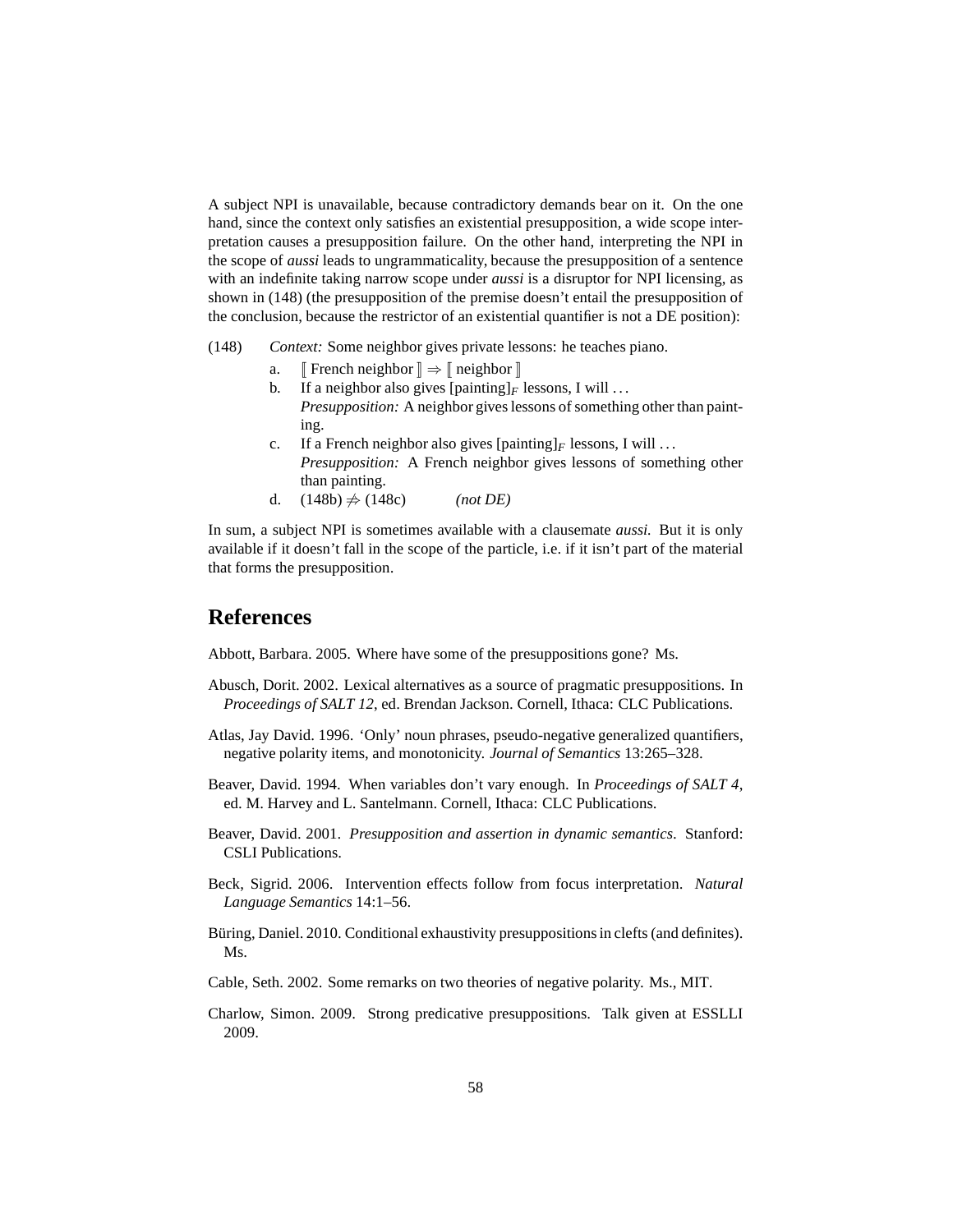A subject NPI is unavailable, because contradictory demands bear on it. On the one hand, since the context only satisfies an existential presupposition, a wide scope interpretation causes a presupposition failure. On the other hand, interpreting the NPI in the scope of *aussi* leads to ungrammaticality, because the presupposition of a sentence with an indefinite taking narrow scope under *aussi* is a disruptor for NPI licensing, as shown in [\(148\)](#page-57-9) (the presupposition of the premise doesn't entail the presupposition of the conclusion, because the restrictor of an existential quantifier is not a DE position):

- <span id="page-57-11"></span><span id="page-57-10"></span><span id="page-57-9"></span>(148) *Context:* Some neighbor gives private lessons: he teaches piano.
	- a.  $\mathbb{F}$  French neighbor  $\mathbb{R} \Rightarrow \mathbb{F}$  neighbor  $\mathbb{R}$
	- b. If a neighbor also gives  $[\text{painting}]_F$  lessons, I will ... *Presupposition:* A neighbor gives lessons of something other than painting.
	- c. If a French neighbor also gives  $[\text{painting}]_F$  lessons, I will ... *Presupposition:* A French neighbor gives lessons of something other than painting.
	- d.  $(148b) \neq (148c)$  $(148b) \neq (148c)$  *(not DE)*

In sum, a subject NPI is sometimes available with a clausemate *aussi.* But it is only available if it doesn't fall in the scope of the particle, i.e. if it isn't part of the material that forms the presupposition.

# **References**

<span id="page-57-5"></span>Abbott, Barbara. 2005. Where have some of the presuppositions gone? Ms.

- <span id="page-57-4"></span>Abusch, Dorit. 2002. Lexical alternatives as a source of pragmatic presuppositions. In *Proceedings of SALT 12*, ed. Brendan Jackson. Cornell, Ithaca: CLC Publications.
- <span id="page-57-1"></span>Atlas, Jay David. 1996. 'Only' noun phrases, pseudo-negative generalized quantifiers, negative polarity items, and monotonicity. *Journal of Semantics* 13:265–328.
- <span id="page-57-7"></span>Beaver, David. 1994. When variables don't vary enough. In *Proceedings of SALT 4*, ed. M. Harvey and L. Santelmann. Cornell, Ithaca: CLC Publications.
- <span id="page-57-8"></span>Beaver, David. 2001. *Presupposition and assertion in dynamic semantics*. Stanford: CSLI Publications.
- <span id="page-57-0"></span>Beck, Sigrid. 2006. Intervention effects follow from focus interpretation. *Natural Language Semantics* 14:1–56.
- <span id="page-57-3"></span>Büring, Daniel. 2010. Conditional exhaustivity presuppositions in clefts (and definites). Ms.
- <span id="page-57-2"></span>Cable, Seth. 2002. Some remarks on two theories of negative polarity. Ms., MIT.
- <span id="page-57-6"></span>Charlow, Simon. 2009. Strong predicative presuppositions. Talk given at ESSLLI 2009.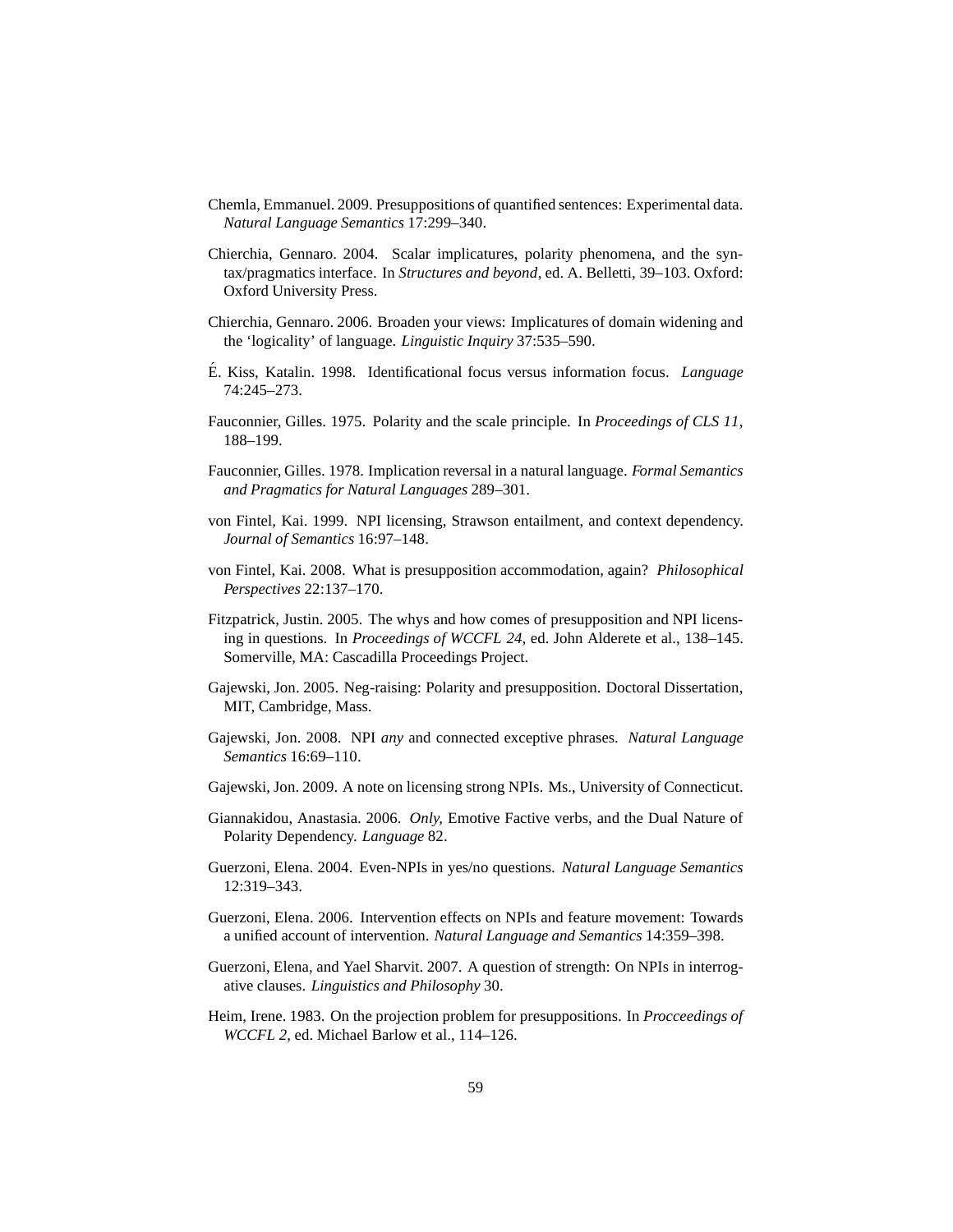- <span id="page-58-16"></span>Chemla, Emmanuel. 2009. Presuppositions of quantified sentences: Experimental data. *Natural Language Semantics* 17:299–340.
- <span id="page-58-10"></span>Chierchia, Gennaro. 2004. Scalar implicatures, polarity phenomena, and the syntax/pragmatics interface. In *Structures and beyond*, ed. A. Belletti, 39–103. Oxford: Oxford University Press.
- <span id="page-58-15"></span>Chierchia, Gennaro. 2006. Broaden your views: Implicatures of domain widening and the 'logicality' of language. *Linguistic Inquiry* 37:535–590.
- <span id="page-58-11"></span>É. Kiss, Katalin. 1998. Identificational focus versus information focus. *Language* 74:245–273.
- <span id="page-58-0"></span>Fauconnier, Gilles. 1975. Polarity and the scale principle. In *Proceedings of CLS 11*, 188–199.
- <span id="page-58-1"></span>Fauconnier, Gilles. 1978. Implication reversal in a natural language. *Formal Semantics and Pragmatics for Natural Languages* 289–301.
- <span id="page-58-2"></span>von Fintel, Kai. 1999. NPI licensing, Strawson entailment, and context dependency. *Journal of Semantics* 16:97–148.
- <span id="page-58-13"></span>von Fintel, Kai. 2008. What is presupposition accommodation, again? *Philosophical Perspectives* 22:137–170.
- <span id="page-58-7"></span>Fitzpatrick, Justin. 2005. The whys and how comes of presupposition and NPI licensing in questions. In *Proceedings of WCCFL 24*, ed. John Alderete et al., 138–145. Somerville, MA: Cascadilla Proceedings Project.
- <span id="page-58-6"></span>Gajewski, Jon. 2005. Neg-raising: Polarity and presupposition. Doctoral Dissertation, MIT, Cambridge, Mass.
- <span id="page-58-14"></span>Gajewski, Jon. 2008. NPI *any* and connected exceptive phrases. *Natural Language Semantics* 16:69–110.
- <span id="page-58-3"></span>Gajewski, Jon. 2009. A note on licensing strong NPIs. Ms., University of Connecticut.
- <span id="page-58-9"></span>Giannakidou, Anastasia. 2006. *Only,* Emotive Factive verbs, and the Dual Nature of Polarity Dependency. *Language* 82.
- <span id="page-58-8"></span>Guerzoni, Elena. 2004. Even-NPIs in yes/no questions. *Natural Language Semantics* 12:319–343.
- <span id="page-58-4"></span>Guerzoni, Elena. 2006. Intervention effects on NPIs and feature movement: Towards a unified account of intervention. *Natural Language and Semantics* 14:359–398.
- <span id="page-58-5"></span>Guerzoni, Elena, and Yael Sharvit. 2007. A question of strength: On NPIs in interrogative clauses. *Linguistics and Philosophy* 30.
- <span id="page-58-12"></span>Heim, Irene. 1983. On the projection problem for presuppositions. In *Procceedings of WCCFL 2*, ed. Michael Barlow et al., 114–126.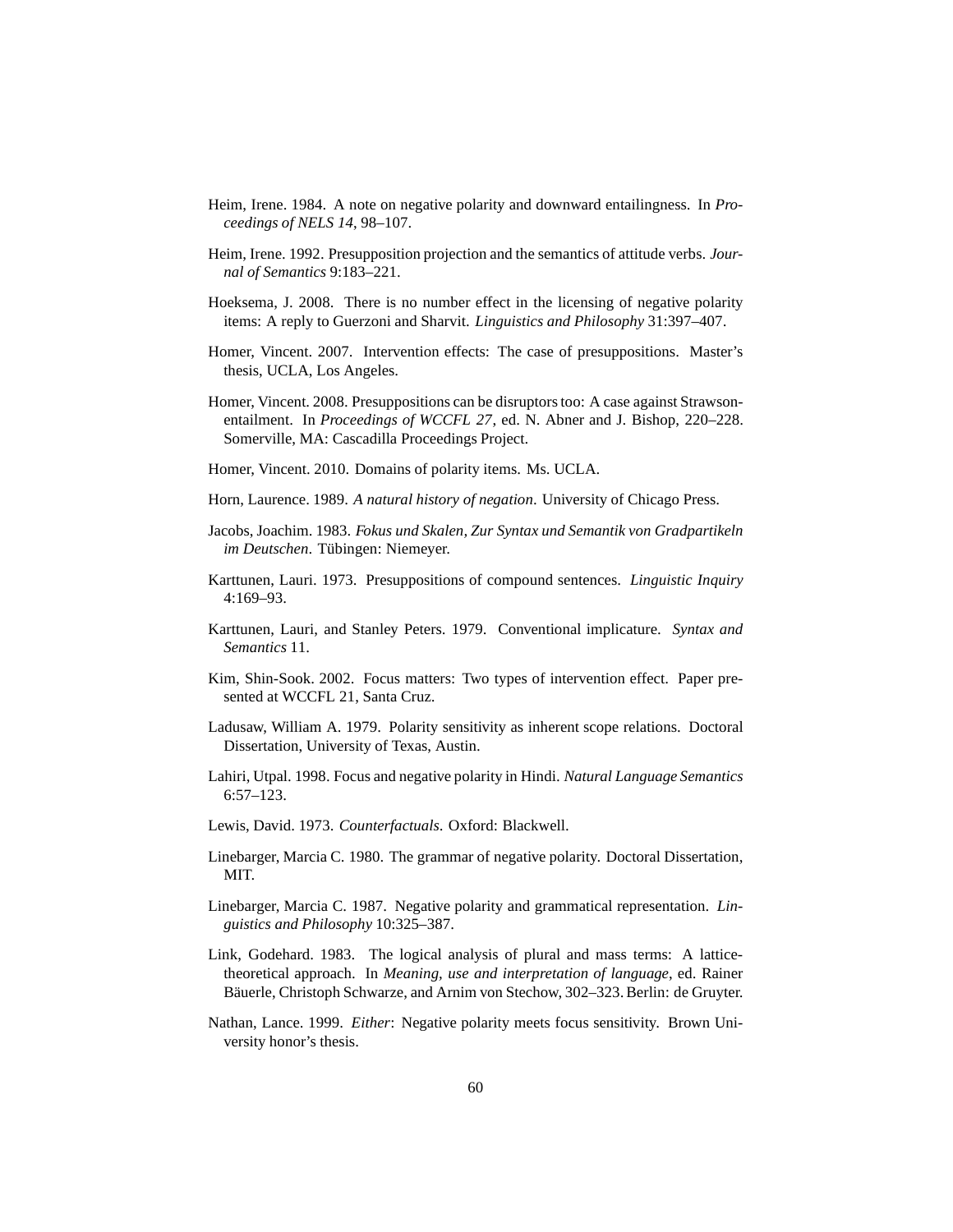- <span id="page-59-5"></span>Heim, Irene. 1984. A note on negative polarity and downward entailingness. In *Proceedings of NELS 14*, 98–107.
- <span id="page-59-8"></span>Heim, Irene. 1992. Presupposition projection and the semantics of attitude verbs. *Journal of Semantics* 9:183–221.
- <span id="page-59-15"></span>Hoeksema, J. 2008. There is no number effect in the licensing of negative polarity items: A reply to Guerzoni and Sharvit. *Linguistics and Philosophy* 31:397–407.
- <span id="page-59-2"></span>Homer, Vincent. 2007. Intervention effects: The case of presuppositions. Master's thesis, UCLA, Los Angeles.
- <span id="page-59-16"></span>Homer, Vincent. 2008. Presuppositions can be disruptors too: A case against Strawsonentailment. In *Proceedings of WCCFL 27*, ed. N. Abner and J. Bishop, 220–228. Somerville, MA: Cascadilla Proceedings Project.
- <span id="page-59-1"></span>Homer, Vincent. 2010. Domains of polarity items. Ms. UCLA.
- <span id="page-59-6"></span>Horn, Laurence. 1989. *A natural history of negation*. University of Chicago Press.
- <span id="page-59-3"></span>Jacobs, Joachim. 1983. *Fokus und Skalen, Zur Syntax und Semantik von Gradpartikeln im Deutschen*. Tübingen: Niemeyer.
- <span id="page-59-13"></span>Karttunen, Lauri. 1973. Presuppositions of compound sentences. *Linguistic Inquiry* 4:169–93.
- <span id="page-59-11"></span>Karttunen, Lauri, and Stanley Peters. 1979. Conventional implicature. *Syntax and Semantics* 11.
- <span id="page-59-4"></span>Kim, Shin-Sook. 2002. Focus matters: Two types of intervention effect. Paper presented at WCCFL 21, Santa Cruz.
- <span id="page-59-0"></span>Ladusaw, William A. 1979. Polarity sensitivity as inherent scope relations. Doctoral Dissertation, University of Texas, Austin.
- <span id="page-59-12"></span>Lahiri, Utpal. 1998. Focus and negative polarity in Hindi. *Natural Language Semantics* 6:57–123.
- <span id="page-59-17"></span>Lewis, David. 1973. *Counterfactuals*. Oxford: Blackwell.
- <span id="page-59-9"></span>Linebarger, Marcia C. 1980. The grammar of negative polarity. Doctoral Dissertation, MIT.
- <span id="page-59-10"></span>Linebarger, Marcia C. 1987. Negative polarity and grammatical representation. *Linguistics and Philosophy* 10:325–387.
- <span id="page-59-14"></span>Link, Godehard. 1983. The logical analysis of plural and mass terms: A latticetheoretical approach. In *Meaning, use and interpretation of language*, ed. Rainer Bäuerle, Christoph Schwarze, and Arnim von Stechow, 302–323. Berlin: de Gruyter.
- <span id="page-59-7"></span>Nathan, Lance. 1999. *Either*: Negative polarity meets focus sensitivity. Brown University honor's thesis.